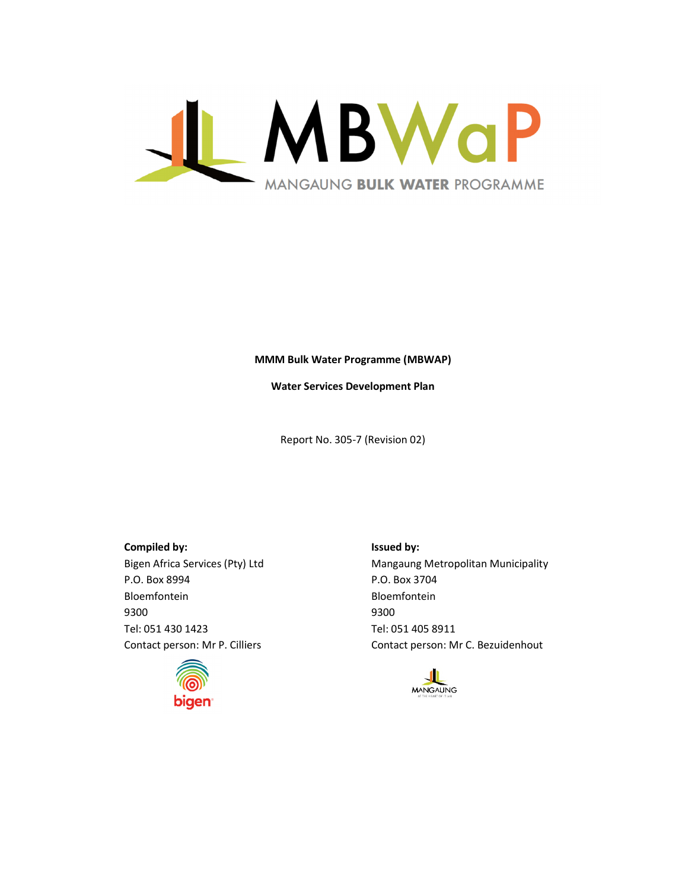

#### MMM Bulk Water Programme (MBWAP)

Water Services Development Plan

Report No. 305-7 (Revision 02)

Compiled by: Issued by: P.O. Box 8994 P.O. Box 3704 Bloemfontein Bloemfontein 9300 9300 Tel: 051 430 1423 Tel: 051 405 8911



Bigen Africa Services (Pty) Ltd Mangaung Metropolitan Municipality Contact person: Mr P. Cilliers Contact person: Mr C. Bezuidenhout

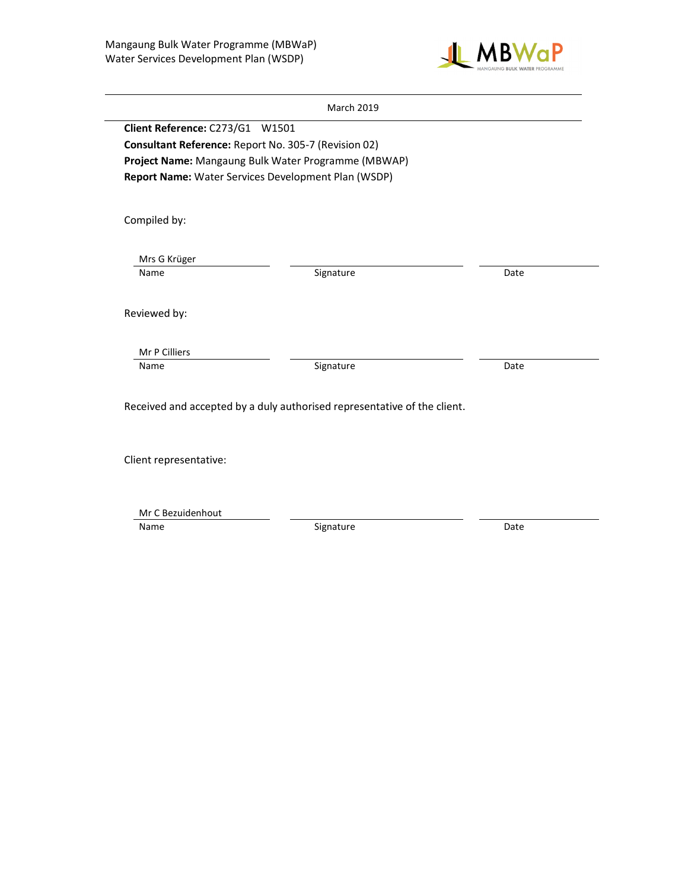

|                                 | <b>March 2019</b>                                                        |      |
|---------------------------------|--------------------------------------------------------------------------|------|
| Client Reference: C273/G1 W1501 |                                                                          |      |
|                                 | Consultant Reference: Report No. 305-7 (Revision 02)                     |      |
|                                 | Project Name: Mangaung Bulk Water Programme (MBWAP)                      |      |
|                                 | Report Name: Water Services Development Plan (WSDP)                      |      |
|                                 |                                                                          |      |
| Compiled by:                    |                                                                          |      |
|                                 |                                                                          |      |
| Mrs G Krüger                    |                                                                          |      |
| Name                            | Signature                                                                | Date |
|                                 |                                                                          |      |
| Reviewed by:                    |                                                                          |      |
| Mr P Cilliers                   |                                                                          |      |
| Name                            | Signature                                                                | Date |
|                                 |                                                                          |      |
|                                 | Received and accepted by a duly authorised representative of the client. |      |
|                                 |                                                                          |      |
|                                 |                                                                          |      |
| Client representative:          |                                                                          |      |
|                                 |                                                                          |      |

Mr C Bezuidenhout

Name Date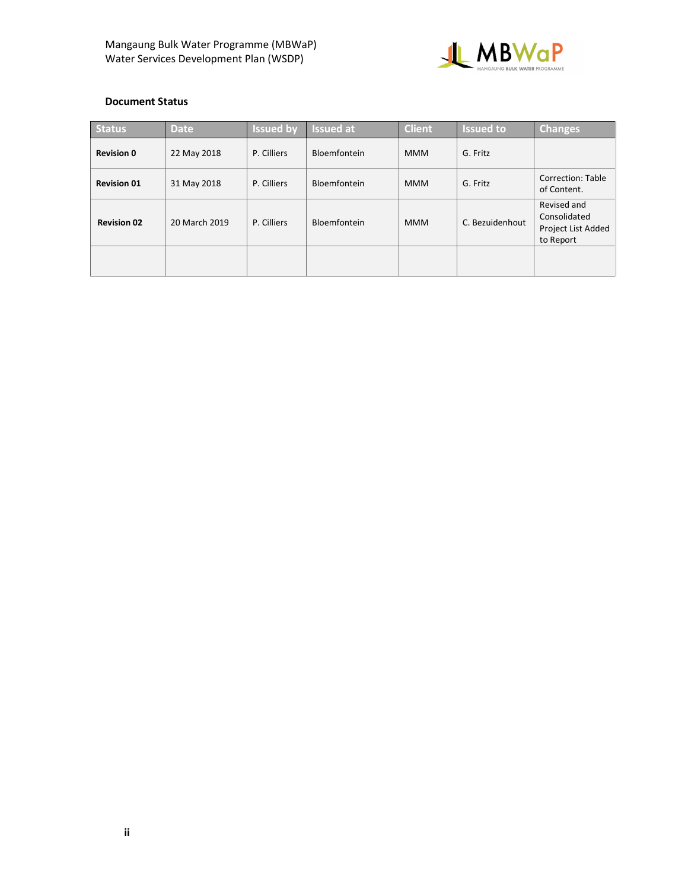

## Document Status

| <b>Status</b>      | <b>Date</b>   | <b>Issued by</b> | <b>Issued at</b> | <b>Client</b> | <b>Issued to</b> | <b>Changes</b>                                                 |
|--------------------|---------------|------------------|------------------|---------------|------------------|----------------------------------------------------------------|
| <b>Revision 0</b>  | 22 May 2018   | P. Cilliers      | Bloemfontein     | <b>MMM</b>    | G. Fritz         |                                                                |
| <b>Revision 01</b> | 31 May 2018   | P. Cilliers      | Bloemfontein     | <b>MMM</b>    | G. Fritz         | Correction: Table<br>of Content.                               |
| <b>Revision 02</b> | 20 March 2019 | P. Cilliers      | Bloemfontein     | <b>MMM</b>    | C. Bezuidenhout  | Revised and<br>Consolidated<br>Project List Added<br>to Report |
|                    |               |                  |                  |               |                  |                                                                |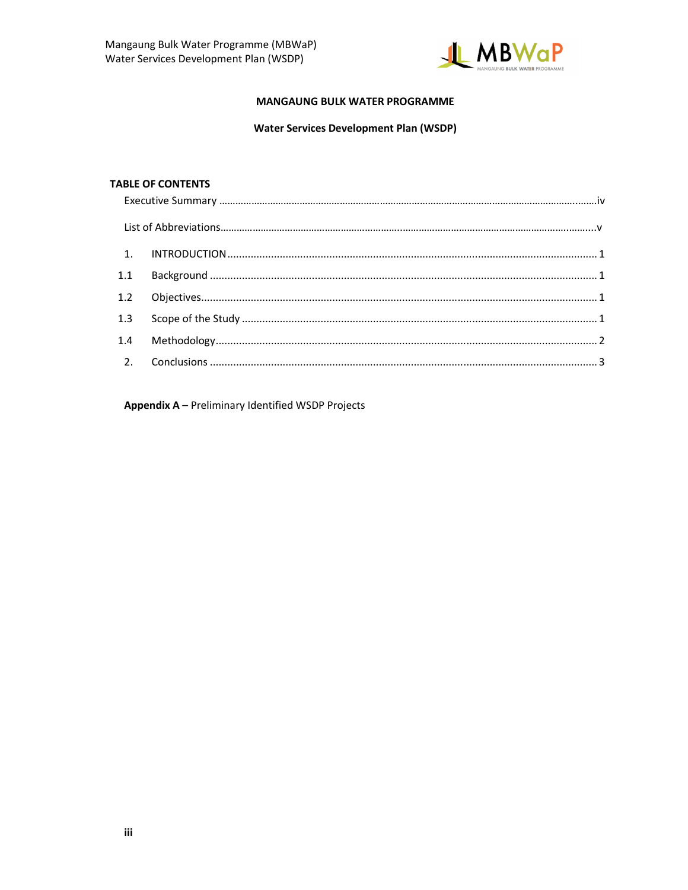

### **MANGAUNG BULK WATER PROGRAMME**

## **Water Services Development Plan (WSDP)**

#### **TABLE OF CONTENTS**

| 1.1 |  |
|-----|--|
|     |  |
|     |  |
|     |  |
|     |  |

Appendix A - Preliminary Identified WSDP Projects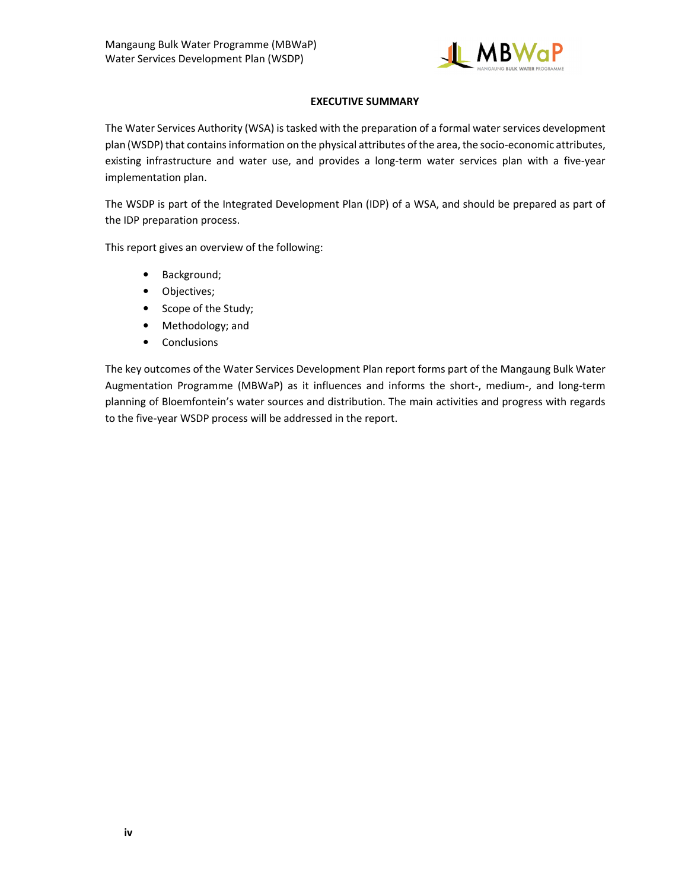

## EXECUTIVE SUMMARY

The Water Services Authority (WSA) is tasked with the preparation of a formal water services development plan (WSDP) that contains information on the physical attributes of the area, the socio-economic attributes, existing infrastructure and water use, and provides a long-term water services plan with a five-year implementation plan.

The WSDP is part of the Integrated Development Plan (IDP) of a WSA, and should be prepared as part of the IDP preparation process.

This report gives an overview of the following:

- Background;
- Objectives;
- Scope of the Study;
- Methodology; and
- Conclusions

The key outcomes of the Water Services Development Plan report forms part of the Mangaung Bulk Water Augmentation Programme (MBWaP) as it influences and informs the short-, medium-, and long-term planning of Bloemfontein's water sources and distribution. The main activities and progress with regards to the five-year WSDP process will be addressed in the report.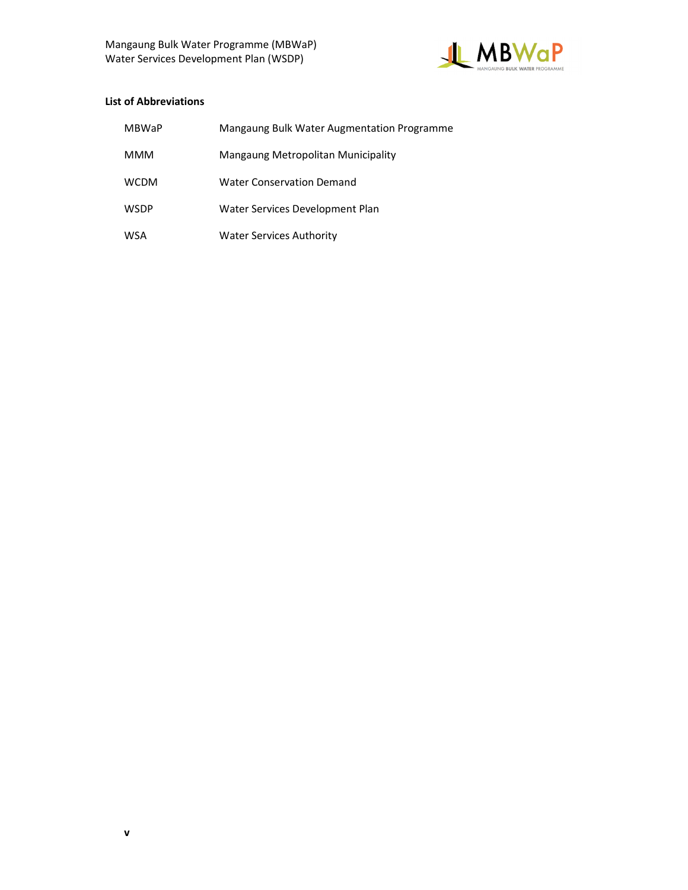

## List of Abbreviations

| MBWaP       | Mangaung Bulk Water Augmentation Programme |
|-------------|--------------------------------------------|
| MMM         | Mangaung Metropolitan Municipality         |
| <b>WCDM</b> | <b>Water Conservation Demand</b>           |
| <b>WSDP</b> | Water Services Development Plan            |
| <b>WSA</b>  | <b>Water Services Authority</b>            |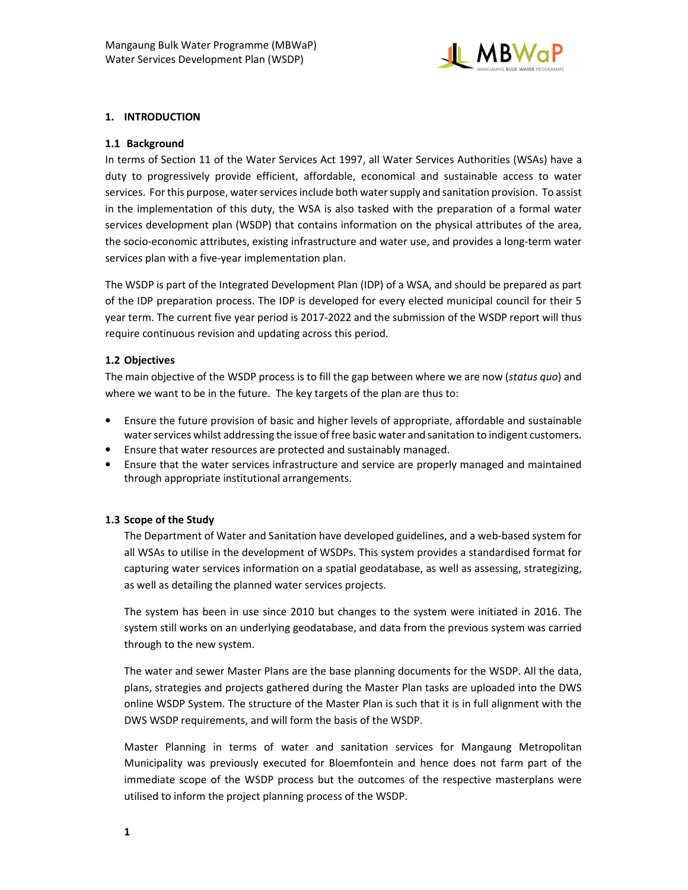

## 1. INTRODUCTION

#### 1.1 Background

In terms of Section 11 of the Water Services Act 1997, all Water Services Authorities (WSAs) have a duty to progressively provide efficient, affordable, economical and sustainable access to water services. For this purpose, water services include both water supply and sanitation provision. To assist in the implementation of this duty, the WSA is also tasked with the preparation of a formal water services development plan (WSDP) that contains information on the physical attributes of the area, the socio-economic attributes, existing infrastructure and water use, and provides a long-term water services plan with a five-year implementation plan.

The WSDP is part of the Integrated Development Plan (IDP) of a WSA, and should be prepared as part of the IDP preparation process. The IDP is developed for every elected municipal council for their 5 year term. The current five year period is 2017-2022 and the submission of the WSDP report will thus require continuous revision and updating across this period.

#### 1.2 Objectives

The main objective of the WSDP process is to fill the gap between where we are now (status quo) and where we want to be in the future. The key targets of the plan are thus to:

- Ensure the future provision of basic and higher levels of appropriate, affordable and sustainable water services whilst addressing the issue of free basic water and sanitation to indigent customers.
- Ensure that water resources are protected and sustainably managed.
- Ensure that the water services infrastructure and service are properly managed and maintained through appropriate institutional arrangements.

#### 1.3 Scope of the Study

The Department of Water and Sanitation have developed guidelines, and a web-based system for all WSAs to utilise in the development of WSDPs. This system provides a standardised format for capturing water services information on a spatial geodatabase, as well as assessing, strategizing, as well as detailing the planned water services projects.

The system has been in use since 2010 but changes to the system were initiated in 2016. The system still works on an underlying geodatabase, and data from the previous system was carried through to the new system.

The water and sewer Master Plans are the base planning documents for the WSDP. All the data, plans, strategies and projects gathered during the Master Plan tasks are uploaded into the DWS online WSDP System. The structure of the Master Plan is such that it is in full alignment with the DWS WSDP requirements, and will form the basis of the WSDP.

Master Planning in terms of water and sanitation services for Mangaung Metropolitan Municipality was previously executed for Bloemfontein and hence does not farm part of the immediate scope of the WSDP process but the outcomes of the respective masterplans were utilised to inform the project planning process of the WSDP.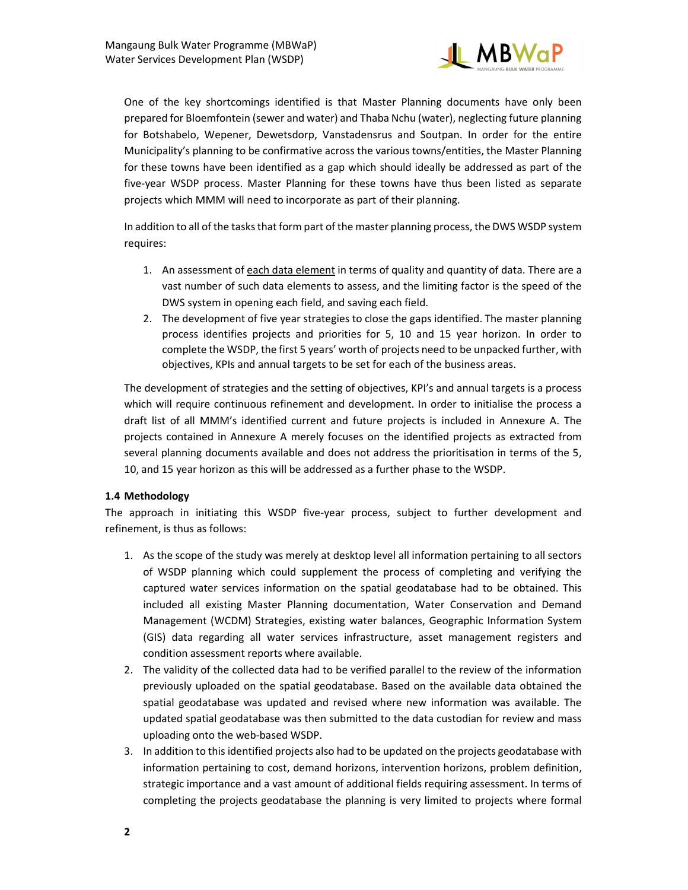

One of the key shortcomings identified is that Master Planning documents have only been prepared for Bloemfontein (sewer and water) and Thaba Nchu (water), neglecting future planning for Botshabelo, Wepener, Dewetsdorp, Vanstadensrus and Soutpan. In order for the entire Municipality's planning to be confirmative across the various towns/entities, the Master Planning for these towns have been identified as a gap which should ideally be addressed as part of the five-year WSDP process. Master Planning for these towns have thus been listed as separate projects which MMM will need to incorporate as part of their planning.

In addition to all of the tasks that form part of the master planning process, the DWS WSDP system requires:

- 1. An assessment of each data element in terms of quality and quantity of data. There are a vast number of such data elements to assess, and the limiting factor is the speed of the DWS system in opening each field, and saving each field.
- 2. The development of five year strategies to close the gaps identified. The master planning process identifies projects and priorities for 5, 10 and 15 year horizon. In order to complete the WSDP, the first 5 years' worth of projects need to be unpacked further, with objectives, KPIs and annual targets to be set for each of the business areas.

The development of strategies and the setting of objectives, KPI's and annual targets is a process which will require continuous refinement and development. In order to initialise the process a draft list of all MMM's identified current and future projects is included in Annexure A. The projects contained in Annexure A merely focuses on the identified projects as extracted from several planning documents available and does not address the prioritisation in terms of the 5, 10, and 15 year horizon as this will be addressed as a further phase to the WSDP.

# 1.4 Methodology

The approach in initiating this WSDP five-year process, subject to further development and refinement, is thus as follows:

- 1. As the scope of the study was merely at desktop level all information pertaining to all sectors of WSDP planning which could supplement the process of completing and verifying the captured water services information on the spatial geodatabase had to be obtained. This included all existing Master Planning documentation, Water Conservation and Demand Management (WCDM) Strategies, existing water balances, Geographic Information System (GIS) data regarding all water services infrastructure, asset management registers and condition assessment reports where available.
- 2. The validity of the collected data had to be verified parallel to the review of the information previously uploaded on the spatial geodatabase. Based on the available data obtained the spatial geodatabase was updated and revised where new information was available. The updated spatial geodatabase was then submitted to the data custodian for review and mass uploading onto the web-based WSDP.
- 3. In addition to this identified projects also had to be updated on the projects geodatabase with information pertaining to cost, demand horizons, intervention horizons, problem definition, strategic importance and a vast amount of additional fields requiring assessment. In terms of completing the projects geodatabase the planning is very limited to projects where formal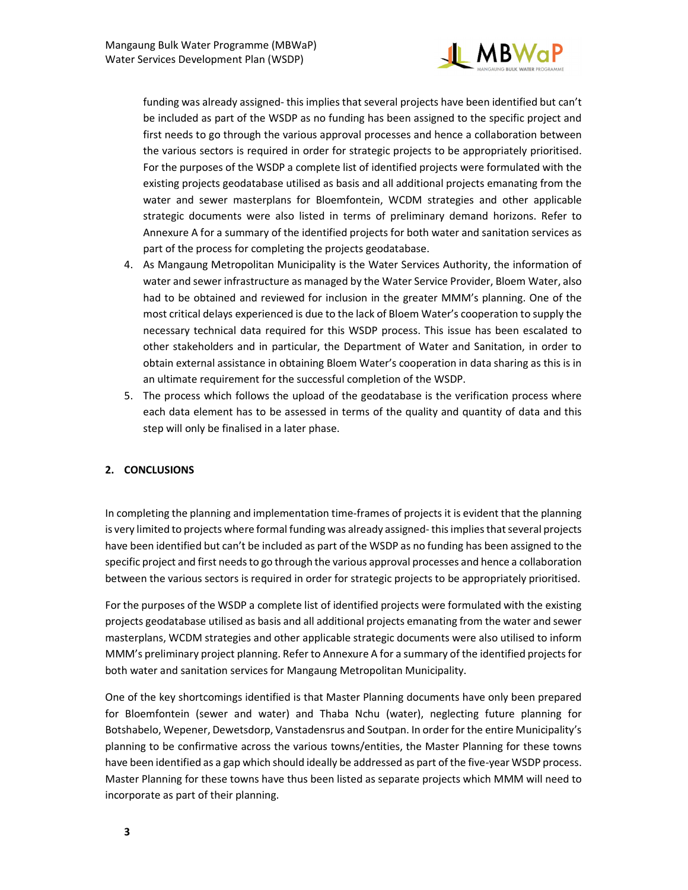

funding was already assigned- this implies that several projects have been identified but can't be included as part of the WSDP as no funding has been assigned to the specific project and first needs to go through the various approval processes and hence a collaboration between the various sectors is required in order for strategic projects to be appropriately prioritised. For the purposes of the WSDP a complete list of identified projects were formulated with the existing projects geodatabase utilised as basis and all additional projects emanating from the water and sewer masterplans for Bloemfontein, WCDM strategies and other applicable strategic documents were also listed in terms of preliminary demand horizons. Refer to Annexure A for a summary of the identified projects for both water and sanitation services as part of the process for completing the projects geodatabase.

- 4. As Mangaung Metropolitan Municipality is the Water Services Authority, the information of water and sewer infrastructure as managed by the Water Service Provider, Bloem Water, also had to be obtained and reviewed for inclusion in the greater MMM's planning. One of the most critical delays experienced is due to the lack of Bloem Water's cooperation to supply the necessary technical data required for this WSDP process. This issue has been escalated to other stakeholders and in particular, the Department of Water and Sanitation, in order to obtain external assistance in obtaining Bloem Water's cooperation in data sharing as this is in an ultimate requirement for the successful completion of the WSDP.
- 5. The process which follows the upload of the geodatabase is the verification process where each data element has to be assessed in terms of the quality and quantity of data and this step will only be finalised in a later phase.

# 2. CONCLUSIONS

In completing the planning and implementation time-frames of projects it is evident that the planning is very limited to projects where formal funding was already assigned- this implies that several projects have been identified but can't be included as part of the WSDP as no funding has been assigned to the specific project and first needs to go through the various approval processes and hence a collaboration between the various sectors is required in order for strategic projects to be appropriately prioritised.

For the purposes of the WSDP a complete list of identified projects were formulated with the existing projects geodatabase utilised as basis and all additional projects emanating from the water and sewer masterplans, WCDM strategies and other applicable strategic documents were also utilised to inform MMM's preliminary project planning. Refer to Annexure A for a summary of the identified projects for both water and sanitation services for Mangaung Metropolitan Municipality.

One of the key shortcomings identified is that Master Planning documents have only been prepared for Bloemfontein (sewer and water) and Thaba Nchu (water), neglecting future planning for Botshabelo, Wepener, Dewetsdorp, Vanstadensrus and Soutpan. In order for the entire Municipality's planning to be confirmative across the various towns/entities, the Master Planning for these towns have been identified as a gap which should ideally be addressed as part of the five-year WSDP process. Master Planning for these towns have thus been listed as separate projects which MMM will need to incorporate as part of their planning.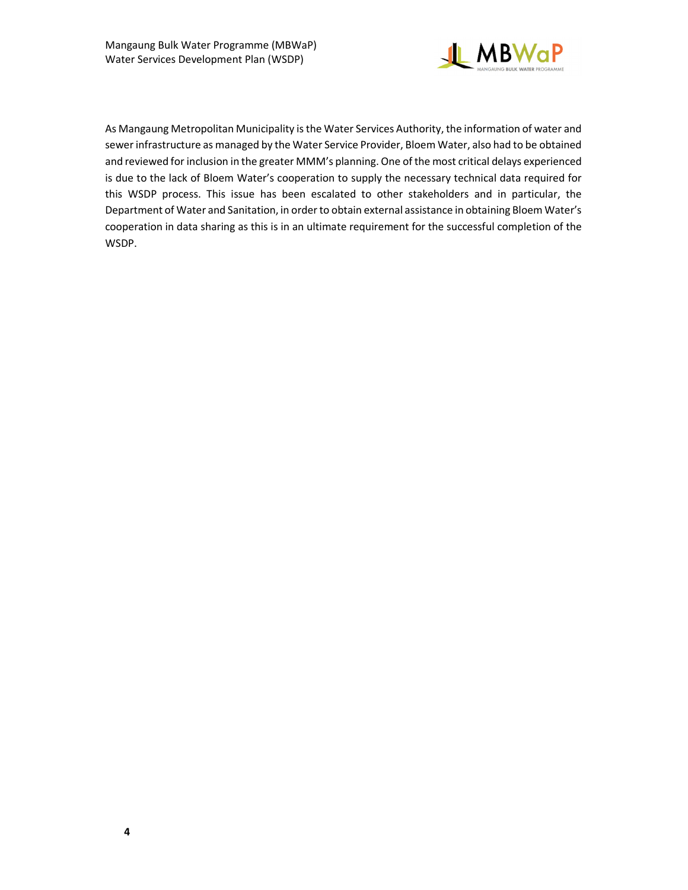

As Mangaung Metropolitan Municipality is the Water Services Authority, the information of water and sewer infrastructure as managed by the Water Service Provider, Bloem Water, also had to be obtained and reviewed for inclusion in the greater MMM's planning. One of the most critical delays experienced is due to the lack of Bloem Water's cooperation to supply the necessary technical data required for this WSDP process. This issue has been escalated to other stakeholders and in particular, the Department of Water and Sanitation, in order to obtain external assistance in obtaining Bloem Water's cooperation in data sharing as this is in an ultimate requirement for the successful completion of the WSDP.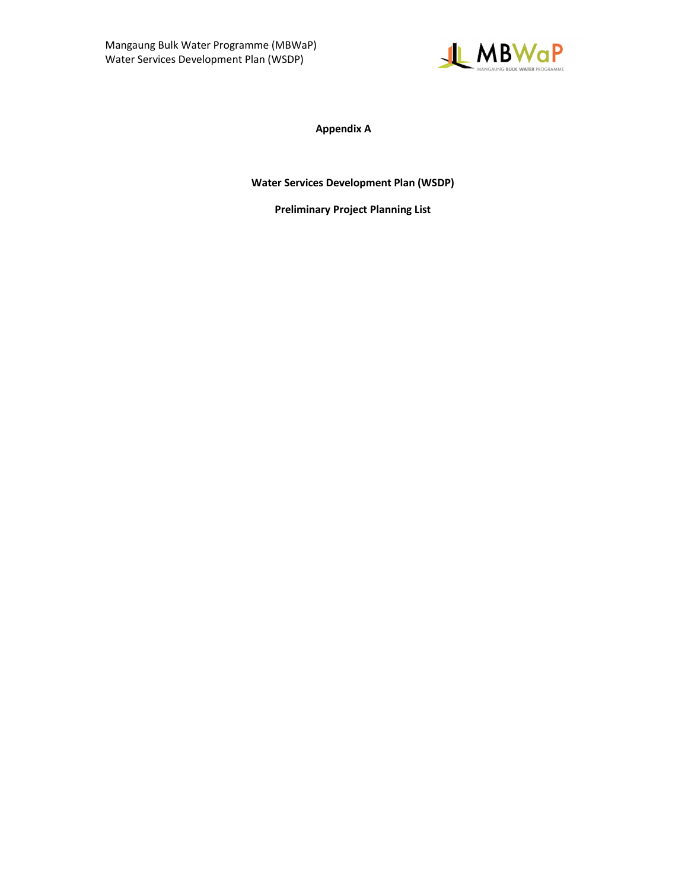

Appendix A

Water Services Development Plan (WSDP)

Preliminary Project Planning List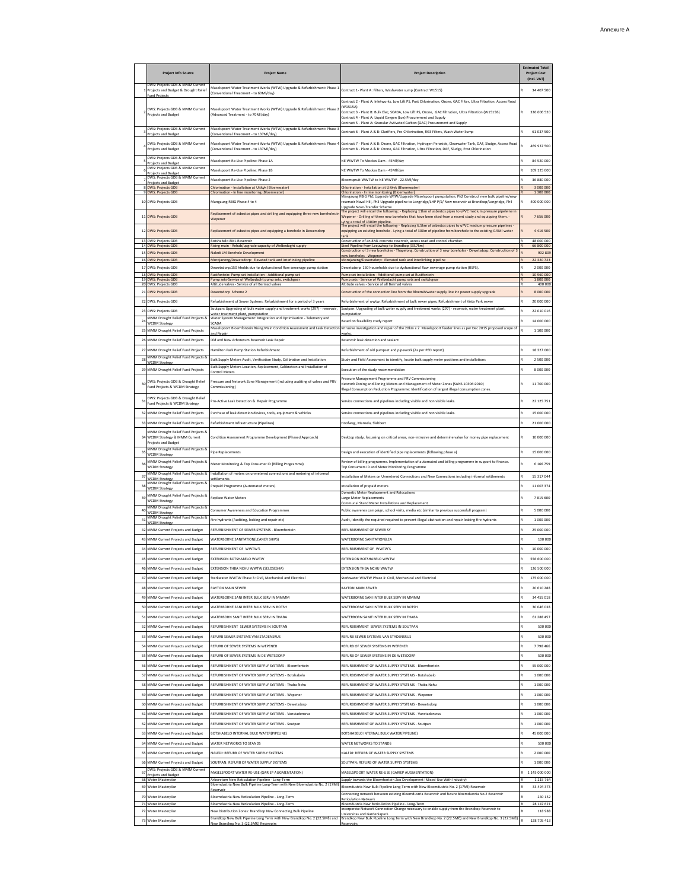|          | <b>Project Info Source</b>                                                                              | <b>Project Name</b>                                                                                                                                          | <b>Project Description</b>                                                                                                                                                                                                                                                                                                                                                           | <b>Estimated Total</b><br><b>Project Cost</b><br>(Incl. VAT) |                             |
|----------|---------------------------------------------------------------------------------------------------------|--------------------------------------------------------------------------------------------------------------------------------------------------------------|--------------------------------------------------------------------------------------------------------------------------------------------------------------------------------------------------------------------------------------------------------------------------------------------------------------------------------------------------------------------------------------|--------------------------------------------------------------|-----------------------------|
|          | DWS: Projects GDB & MMM Current<br>Projects and Budget & Drought Relief                                 | Maselspoort Water Treatment Works (WTW) Upgrade & Refurbishment: Phase 1<br>Conventional Treatment - to 60Ml/day)                                            | Contract 1- Plant A: Filters, Washwater sump (Contract W1515)                                                                                                                                                                                                                                                                                                                        |                                                              | 34 407 500                  |
|          | Fund Projects<br>DWS: Projects GDB & MMM Current<br>Projects and Budget                                 | Maselspoort Water Treatment Works (WTW) Upgrade & Refurbishment: Phase 2<br>(Advanced Treatment - to 70MI/day)                                               | Contract 2 - Plant A: Inletworks, Low Lift PS, Post Chlorination, Ozone, GAC Filter, Ultra Filtration, Access Road<br>(W1515A)<br>Contract 3 - Plant B: Bulk Elec, SCADA, Low Lift PS, Ozone, GAC Filtration, Ultra Filtration (W1515B)<br>Contract 4 - Plant A: Liquid Oxygen (Lox) Procurement and Supply                                                                          |                                                              | 336 606 520                 |
|          | DWS: Projects GDB & MMM Current                                                                         | Maselspoort Water Treatment Works (WTW) Upgrade & Refurbishment: Phase                                                                                       | Contract 5 - Plant A: Granular Avtivated Carbon (GAC) Procurement and Supply<br>Contract 6 - Plant A & B: Clarifiers, Pre-Chlorination, RGS Filters, Wash Water Sump                                                                                                                                                                                                                 |                                                              | 61 037 500                  |
|          | Projects and Budget<br>DWS: Projects GDB & MMM Current<br>Projects and Budget                           | (Conventional Treatment - to 137Ml/day)<br>Aaselspoort Water Treatment Works (WTW) Upgrade & Refurbishment: Phase<br>(Conventional Treatment - to 137Ml/day) | Contract 7 - Plant A & B: Ozone, GAC Filtration, Hydrogen Peroxide, Clearwater Tank, DAF, Sludge, Access Road<br>Contract 8 - Plant A & B: Ozone, GAC Filtration, Ultra Filtration, DAF, Sludge, Post Chlorination                                                                                                                                                                   | R                                                            | 469 937 500                 |
|          | DWS: Projects GDB & MMM Current<br>Projects and Budget                                                  | Maselspoort Re-Use Pipeline: Phase 1A                                                                                                                        | NE WWTW To Mockes Dam - 45Ml/day                                                                                                                                                                                                                                                                                                                                                     |                                                              | 84 520 000                  |
|          | DWS: Projects GDB & MMM Current<br>Projects and Budget<br>DWS: Projects GDB & MMM Current               | Aaselspoort Re-Use Pipeline: Phase 1B                                                                                                                        | NE WWTW To Mockes Dam - 45MI/day                                                                                                                                                                                                                                                                                                                                                     |                                                              | 109 125 000                 |
|          | Projects and Budget<br><b>DWS: Projects GDB</b>                                                         | Maselspoort Re-Use Pipeline: Phase 2<br>Ehlorination - Installation at Uitkyk (Bloemwater)                                                                   | Bloemspruit WWTW to NE WWTW - 22.5Ml/day<br>Chlorination - Installation at Uitkyk (Bloemwater)                                                                                                                                                                                                                                                                                       |                                                              | 36 880 000<br>3 000 000     |
|          | <b>DWS: Projects GDB</b>                                                                                | Chlorination - In line monitoring (Bloemwater)                                                                                                               | Chlorination - In line monitoring (Bloemwater)<br>Mangaung RBIG Ph1 Upgrade WTW/Upgrade Maselspoort pumpstation, Ph2 Construct new bulk pipeline/nev                                                                                                                                                                                                                                 |                                                              | 1 300 000                   |
|          | DWS: Projects GDB<br>11 DWS: Projects GDB                                                               | Mangaung RBIG Phase 4 to 4<br>Replacement of asbestos pipes and drilling and equipping three new boreholes i<br>Wepener                                      | reservoir Naval Hill, Ph3 Upgrade pipeline to Longridge/LHP P/S/ New reservoir at Brandkop/Longridge, Ph4<br>Upgrade Novo-Transfer Scheme<br><mark>The project will entail the following: - Replacing 11km of asbestos pipes to uPVC medium pressure pipeleine ir</mark><br>Wepener - Drilling of three new boreholes that have been sited from a recent study and equipping them. - |                                                              | 400 000 000<br>7 656 000    |
| 12       | <b>DWS: Projects GDB</b>                                                                                | teplacement of asbestos pipes and equipping a borehole in Dewersdorp                                                                                         | ving a total of 1300m pipeline.<br>The project will entail the following - Replacing 6.5km of asbestos pipes to uPVC medium pressure pipelines<br>equipping an existing borehole - Lying a total of 300m of pipeline from borehole to the existing 0.5MI water<br>ank                                                                                                                |                                                              | 4 4 1 6 5 0 0               |
|          | DWS: Projects GDI<br>14 DWS: Projects GDB                                                               | Botshabelo 8ML Reservoi<br>Rising main - Rehab/upgrade capacity of Welbedaght supply                                                                         | onstruction of an 8ML concrete reservoir, access road and control chamb<br>Steel Pipeline from Leeuwkop to Brandkop (33.7km)                                                                                                                                                                                                                                                         |                                                              | 48,000,000<br>66 800 000    |
| 15       | <b>DWS: Projects GDB</b>                                                                                | laledi LM Borehole Development<br>Morojaneng/Dewetsdorp: Elevated tank and interlinking pipe                                                                 | onstruction of 3 new boreholes - Thapelong, Construction of 3 new boreholes - Dewetsdorp, Construction of<br>ew boreholes - Wepene                                                                                                                                                                                                                                                   |                                                              | 902 809<br>22 320 723       |
| 17       | <b>L6 DWS: Projects GDB</b><br>DWS: Projects GDB                                                        | lewetsdorp:150 hholds due to dysfunctional Raw sewerage pump station                                                                                         | Morojaneng/Dewetsdorp: Elevated tank and interlinking pipeline<br>Dewetsdorp: 150 households due to dysfunctional Raw sewerage pump station (RSPS).                                                                                                                                                                                                                                  |                                                              | 2 000 000                   |
| 18<br>19 | <b>DWS: Projects GDB</b><br><b>DWS: Projects GDB</b>                                                    | Rustfontein: Pump set installation - Additional pump s<br>Pump sets-Service of Welbedacht pump sets, switchgear                                              | Pump set installation - Additional pump set at Rustfonteir<br>Pump sets - Service of Welbedacht pump sets and switchgear                                                                                                                                                                                                                                                             |                                                              | 10 960 00<br>1800000        |
| 20<br>21 | <b>DWS: Projects GDB</b><br><b>DWS: Projects GDB</b>                                                    | Altitude valves - Service of all Rermad valves<br>Jewetsdorp Scheme 2                                                                                        | Altitude valves - Service of all Rermad valves<br>Construction of the connection line from the BloemWwater supply line inc power supply upgrade                                                                                                                                                                                                                                      |                                                              | 400 000<br>8 000 000        |
| 22       | <b>DWS: Projects GDB</b>                                                                                | Refurbishment of Sewer Systems: Refurbishment for a period of 3 years                                                                                        | Refurbishment of wwtw, Refurbishment of bulk sewer pipes, Refurbishment of Vista Park sewer                                                                                                                                                                                                                                                                                          |                                                              | 20 000 000                  |
| 23       | DWS: Projects GDB                                                                                       | outpan: Upgrading of bulk water supply and treatment works (297) - reservoir                                                                                 | Soutpan: Upgrading of bulk water supply and treatment works (297) - reservoir, water treatment plant                                                                                                                                                                                                                                                                                 |                                                              | 22 010 016                  |
| 24       | MMM Drought Relief Fund Projects &                                                                      | vater treatment plant, pumpstation<br>Water System Management: Integration and Optimisation - Telemetry and<br>CADA                                          | umpstatio<br>Based on feasibility study report                                                                                                                                                                                                                                                                                                                                       |                                                              | 14 000 000                  |
| 25       | <b>WCDM Strategy</b><br>MMM Drought Relief Fund Projects                                                | Maselspoort Bloemfontein Rising Main Condition Assessment and Leak Detectic<br>nd Repair                                                                     | Intrusive investigation and repair of the 20km x 2 Maselspoort feeder lines as per Dec 2015 proposed scope of<br>rorks                                                                                                                                                                                                                                                               |                                                              | 1 100 000                   |
| 26       | MMM Drought Relief Fund Projects                                                                        | Old and New Arboretum Reservoir Leak Repair                                                                                                                  | Reservoir leak detection and sealant                                                                                                                                                                                                                                                                                                                                                 |                                                              |                             |
| 27       | MMM Drought Relief Fund Projects                                                                        | Hamilton Park Pump Station Refurbishment                                                                                                                     | Refurbishment of old pumpset and pipework (As per PED report)                                                                                                                                                                                                                                                                                                                        |                                                              | 18 327 000                  |
| 28       | MMM Drought Relief Fund Projects &<br><b>WCDM Strategy</b>                                              | Bulk Supply Meters Audit, Verification Study, Calibration and Installation                                                                                   | Study and Field Assessment to identify, locate bulk supply meter positions and installations                                                                                                                                                                                                                                                                                         |                                                              | 2 500 000                   |
| 29       | MMM Drought Relief Fund Projects                                                                        | Bulk Supply Meters Location, Replacement, Calibration and Installation of<br>ontrol Meter                                                                    | Execution of the study recommendation                                                                                                                                                                                                                                                                                                                                                |                                                              | 8 000 000                   |
| 30       | DWS: Projects GDB & Drought Relief<br>Fund Projects & WCDM Strategy                                     | Pressure and Network Zone Management (including auditing of valves and PRV<br>Commissioning)                                                                 | Pressure Management Programme and PRV Commissioning<br>Network Zoning and Zoning Meters and Management of Meter Zones (SANS 10306:2010)<br>Illegal Consumption Reduction Programme: Identification of largest illegal consumption zones                                                                                                                                              |                                                              | 11 700 000                  |
| 31<br>32 | DWS: Projects GDB & Drought Relief<br>Fund Projects & WCDM Strategy<br>MMM Drought Relief Fund Projects | Pro-Active Leak Detection & Repair Programme<br>urchase of leak detection devices, tools, equipment & vehicles                                               | Service connections and pipelines including visible and non visible leaks.<br>ervice connections and pipelines including visible and non visible leaks.                                                                                                                                                                                                                              |                                                              | 22 125 751<br>15 000 000    |
| 33       | MMM Drought Relief Fund Projects                                                                        | Refurbishment Infrastructure (Pipelines)                                                                                                                     | Hoofweg, Maroela, Slabbert                                                                                                                                                                                                                                                                                                                                                           |                                                              | 21 000 000                  |
|          | MMM Drought Relief Fund Projects &                                                                      |                                                                                                                                                              |                                                                                                                                                                                                                                                                                                                                                                                      |                                                              |                             |
| 34       | WCDM Strategy & MMM Current<br>Projects and Budget                                                      | Condition Assessment Programme Development (Phased Approach)                                                                                                 | Desktop study, focussing on critical areas, non-intrusive and determine value for money pipe replacement                                                                                                                                                                                                                                                                             |                                                              | 10 000 000                  |
| 35       | MMM Drought Relief Fund Projects &<br><b>WCDM Strategy</b>                                              | ipe Replacements                                                                                                                                             | Design and execution of identified pipe replacements (following phase a)                                                                                                                                                                                                                                                                                                             |                                                              | 15 000 000                  |
| 36       | MMM Drought Relief Fund Projects &<br><b>WCDM Strategy</b>                                              | Meter Monitoring & Top Consumer ID (Billing Programme)                                                                                                       | Review of billing programme. Implementation of automated and billing programme in support to finance<br>Top Consumers ID and Meter Monitoring Programme                                                                                                                                                                                                                              |                                                              | 6 166 759                   |
| 37       | MMM Drought Relief Fund Projects &                                                                      | nstallation of meters on unmetered connections and metering of inform.                                                                                       | Installation of Meters on Unmetered Connections and New Connections including informal settlements                                                                                                                                                                                                                                                                                   |                                                              | 15 317 044                  |
| 38       | <b>NCDM Strategy</b><br>MMM Drought Relief Fund Projects &<br><b>WCDM Strategy</b>                      | ettlement<br>Prepaid Programme (Automated meters)                                                                                                            | Installation of prepaid meters                                                                                                                                                                                                                                                                                                                                                       |                                                              | 11 007 374                  |
| 39       | MMM Drought Relief Fund Projects &                                                                      | Replace Water Meters                                                                                                                                         | omestic Meter Replacement and Relocations<br>Large Meter Replacements                                                                                                                                                                                                                                                                                                                |                                                              | 7815600                     |
| 40       | <b>WCDM Strategy</b><br>MMM Drought Relief Fund Projects &                                              | Consumer Awareness and Education Programmes                                                                                                                  | ommunal Stand Meter Installations and Replacement<br>Public awarenes campaign, school visits, media etc (similar to previous successfull program)                                                                                                                                                                                                                                    |                                                              | 5 000 000                   |
| 41       | <b>NCDM Strategy</b><br>MMM Drought Relief Fund Projects &                                              | Fire hydrants (Auditing, locking and repair etc)                                                                                                             | Audit, identify the required required to prevent illegal abstraction and repair leaking fire hydrants                                                                                                                                                                                                                                                                                |                                                              | 1 000 000                   |
|          | <b>NCDM Strategy</b><br>MMM Current Projects and Budget                                                 | REFURBISHMENT OF SEWER SYSTEMS - Bloemfontein                                                                                                                | REFURBISHMENT OF SEWER SY                                                                                                                                                                                                                                                                                                                                                            |                                                              | 25 000 000                  |
| 43       | MMM Current Projects and Budget                                                                         | WATERBORNE SANITATION(LEANER SHIPS)                                                                                                                          | WATERBORNE SANITATION(LEA                                                                                                                                                                                                                                                                                                                                                            |                                                              | 100 000                     |
| 44       | MMM Current Projects and Budget                                                                         | REFURBISHMENT OF WWTW'S                                                                                                                                      | REFURBISHMENT OF WWTW'S                                                                                                                                                                                                                                                                                                                                                              |                                                              | 10,000,000                  |
| 45       | MMM Current Projects and Budget                                                                         | EXTENSION BOTSHABELO WWTW                                                                                                                                    | <b>EXTENSION ROTSHARELO WWTW</b>                                                                                                                                                                                                                                                                                                                                                     |                                                              | 556,600,000                 |
|          | MM Current Projects and Budget                                                                          | XIENSION IHBA NCHU WWIW (SELOSESHA)                                                                                                                          | XIENSION IHBA NCHU WWI V                                                                                                                                                                                                                                                                                                                                                             |                                                              | <b>150 200 000</b>          |
| 47       | MMM Current Projects and Budget                                                                         | Sterkwater WWTW Phase 3: Civil, Mechanical and Electrical                                                                                                    | Sterkwater WWTW Phase 3: Civil, Mechanical and Electrical                                                                                                                                                                                                                                                                                                                            |                                                              | 175 000 000                 |
| 48       | MMM Current Projects and Budget                                                                         | <b>RAYTON MAIN SEWER</b>                                                                                                                                     | RAYTON MAIN SEWER                                                                                                                                                                                                                                                                                                                                                                    |                                                              | 20 610 288                  |
| 49       | MMM Current Projects and Budget                                                                         | WATERBORNE SANI INTER BULK SERV IN MMMM                                                                                                                      | WATERBORNE SANI INTER BULK SERV IN MMMM                                                                                                                                                                                                                                                                                                                                              |                                                              | 34 455 018                  |
| 50       | MMM Current Projects and Budget                                                                         | WATERBORNE SANI INTER BULK SERV IN BOTSH                                                                                                                     | WATERBORNE SANI INTER BULK SERV IN BOTSH                                                                                                                                                                                                                                                                                                                                             |                                                              | 30 046 038                  |
| 51<br>52 | MMM Current Projects and Budget<br>MMM Current Projects and Budget                                      | WATERBORN SANIT INTER BULK SERV IN THABA<br>REFURBISHMENT SEWER SYSTEMS IN SOUTPAN                                                                           | WATERBORN SANIT INTER BULK SERV IN THABA<br>REFURBISHMENT SEWER SYSTEMS IN SOUTPAN                                                                                                                                                                                                                                                                                                   |                                                              | 61 288 457<br>500 000       |
| 53       | MMM Current Projects and Budget                                                                         | REFURB SEWER SYSTEMS VAN STADENSRUS                                                                                                                          | REFURB SEWER SYSTEMS VAN STADENSRUS                                                                                                                                                                                                                                                                                                                                                  |                                                              | 500 000                     |
| 54       | MMM Current Projects and Budget                                                                         | REFURB OF SEWER SYSTEMS IN WEPENER                                                                                                                           | REFURB OF SEWER SYSTEMS IN WEPENER                                                                                                                                                                                                                                                                                                                                                   | R                                                            | 7798466                     |
| 55       | MMM Current Projects and Budget                                                                         | REFURB OF SEWER SYSTEMS IN DE WETSDORP                                                                                                                       | REFURB OF SEWER SYSTEMS IN DE WETSDORF                                                                                                                                                                                                                                                                                                                                               |                                                              | 500 000                     |
| 56       | MMM Current Projects and Budget                                                                         | REFURBISHMENT OF WATER SUPPLY SYSTEMS - Bloemfontein                                                                                                         | REFURBISHMENT OF WATER SUPPLY SYSTEMS - Bloemfontein                                                                                                                                                                                                                                                                                                                                 |                                                              | 55 000 000                  |
| 57       | MMM Current Projects and Budget                                                                         | REFURBISHMENT OF WATER SUPPLY SYSTEMS - Botshabelo                                                                                                           | REFURBISHMENT OF WATER SUPPLY SYSTEMS - Botshabelo                                                                                                                                                                                                                                                                                                                                   |                                                              | 1 000 000                   |
| 58       | MMM Current Projects and Budget                                                                         | REFURBISHMENT OF WATER SUPPLY SYSTEMS - Thaba Nchu                                                                                                           | REFURBISHMENT OF WATER SUPPLY SYSTEMS - Thaba Nchu                                                                                                                                                                                                                                                                                                                                   | R                                                            | 1 000 000                   |
| 59       | MMM Current Projects and Budget                                                                         | REFURBISHMENT OF WATER SUPPLY SYSTEMS - Wepener                                                                                                              | REFURBISHMENT OF WATER SUPPLY SYSTEMS - Wepener                                                                                                                                                                                                                                                                                                                                      |                                                              | 1 000 000                   |
|          | 60 MMM Current Projects and Budget                                                                      | REFURBISHMENT OF WATER SUPPLY SYSTEMS - Dewetsdorp                                                                                                           | REFURBISHMENT OF WATER SUPPLY SYSTEMS - Dewetsdorp                                                                                                                                                                                                                                                                                                                                   |                                                              | 1 000 000                   |
| 61       | MMM Current Projects and Budget                                                                         | REFURBISHMENT OF WATER SUPPLY SYSTEMS - Vanstadensrus                                                                                                        | REFURBISHMENT OF WATER SUPPLY SYSTEMS - Vanstadensrus                                                                                                                                                                                                                                                                                                                                | R                                                            | 1 000 000                   |
| 62<br>63 | MMM Current Projects and Budget<br>MMM Current Projects and Budget                                      | REFURBISHMENT OF WATER SUPPLY SYSTEMS - Soutpan<br><b>3OTSHABELO INTERNAL BULK WATER(PIPELINE)</b>                                                           | REFURBISHMENT OF WATER SUPPLY SYSTEMS - Soutpan<br>BOTSHABELO INTERNAL BULK WATER(PIPELINE)                                                                                                                                                                                                                                                                                          |                                                              | 1 000 000<br>45 000 000     |
| 64       | MMM Current Projects and Budget                                                                         | WATER NETWORKS TO STANDS                                                                                                                                     | WATER NETWORKS TO STANDS                                                                                                                                                                                                                                                                                                                                                             |                                                              | 500 000                     |
| 65       | MMM Current Projects and Budget                                                                         | NALEDI: REFURB OF WATER SUPPLY SYSTEMS                                                                                                                       | NALEDI: REFURB OF WATER SUPPLY SYSTEMS                                                                                                                                                                                                                                                                                                                                               | R                                                            | 2 000 000                   |
| 66       | MMM Current Projects and Budget                                                                         | SOUTPAN: REFURB OF WATER SUPPLY SYSTEMS                                                                                                                      | SOUTPAN: REFURB OF WATER SUPPLY SYSTEMS                                                                                                                                                                                                                                                                                                                                              |                                                              | 1 000 000                   |
| 67       | DWS: Projects GDB & MMM Current<br>Projects and Budget                                                  | AASELSPOORT WATER RE-USE (GARIEP AUGMENTATION)                                                                                                               | MASELSPOORT WATER RE-USE (GARIEP AUGMENTATION)                                                                                                                                                                                                                                                                                                                                       |                                                              | R 1 145 000 000             |
|          | 68 Water Masterplan<br>69 Water Masterplan                                                              | Arboretum New Reticulation Pipeline - Long-Term<br>loemdustria New Bulk Pipeline Long-Term with New Bloemdustria No. 2 (17MI                                 | Supply towards the Bloemfontein Zoo Development (Mixed-Use With Industry)<br>Bloemdustria New Bulk Pipeline Long-Term with New Bloemdustria No. 2 (17MI) Reservoi                                                                                                                                                                                                                    | R                                                            | 1 2 1 5 7 6 4<br>33 494 373 |
| 70       | Water Masterplan                                                                                        | Reservoir<br>Bloemdustria New Reticulation Pipeline - Long-Term                                                                                              | Connecting network between existing Bloemdustria Reservoir and future Bloemdustria No.2 Reservoir                                                                                                                                                                                                                                                                                    | R                                                            | 240 152                     |
|          | Water Masterplan                                                                                        | <b>Iloemdustria New Reticulation Pipeline</b>                                                                                                                | Reticulation Network<br>Bloemdustria New Reticulation Pipeline - Long-Term                                                                                                                                                                                                                                                                                                           |                                                              | 28 147 621                  |
| 72       | Water Masterplan                                                                                        | lew Distribution Zones: Brandkop New Connecting Bulk Pipeline<br>Brandkop New Bulk Pipeline Long Term with New Brandkop No. 2 (22.5ME) and                   | Incorporate Network Connection Change necessary to enable supply from the Brandkop Reservoir to<br>Universitas and Gardeniapark<br>Brandkop New Bulk Pipeline Long Term with New Brandkop No. 2 (22.5M8) and New Brandkop No. 3 (22.5M8)                                                                                                                                             |                                                              | 118988                      |
| 73       | Water Masterplan                                                                                        | New Brandkop No. 3 (22.5M <sup>e</sup> ) Reservoirs                                                                                                          | Reservoirs                                                                                                                                                                                                                                                                                                                                                                           |                                                              | 128 705 413                 |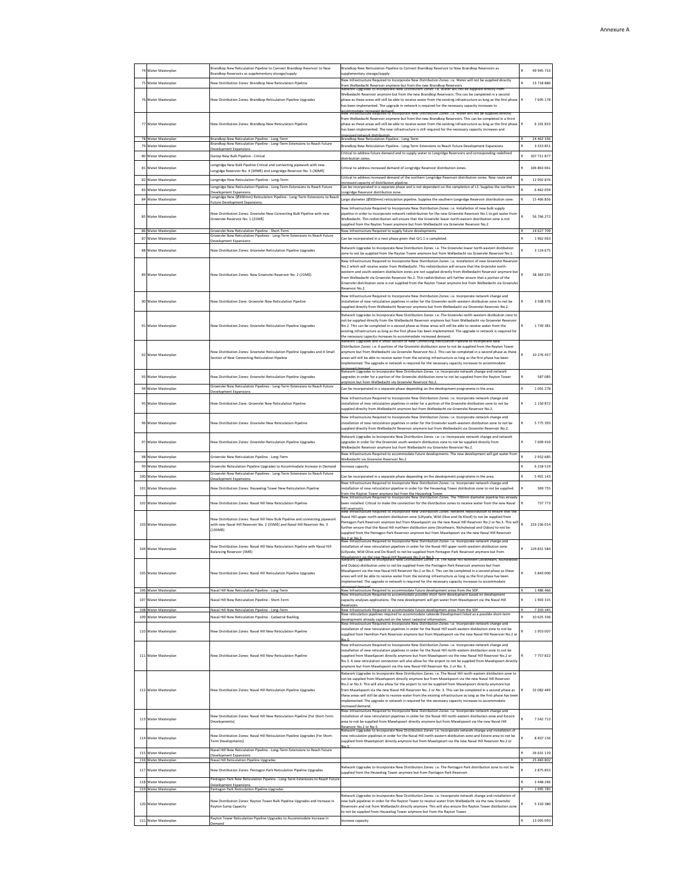| 74 Water Masterplan<br>49 945 733<br>Brandkop Reservoirs as supplementary storage/supply<br>supplementary storage/supply<br>lew Infrastructure Required to Incorporate New Distribution Zones: i.e. Water will not be supplied directly<br>75<br>Water Masterplan<br>New Distribution Zones: Brandkop New Reticulation Pipeline<br>13 718 886<br>rom Welbedacht Reservoir anymore but from the new Brandkop Reservoirs<br>(etwork Upgrades to incorporate New Distribution Zones: i.e. Water will not be supplied directly f<br>Welbedacht Reservoir anymore but from the new Brandkop Reservoirs. This can be completed in a second<br>76 Water Masterplan<br>New Distribution Zones: Brandkop Reticulation Pipeline Upgrades<br>phase as these areas will still be able to receive water from the existing infrastructure as long as the first phase<br>7 695 178<br>has been implemented. The upgrade in network is required for the necessary capacity increases to<br>ommodate increased demand<br>v Infrastructure Required to Incorporate New Distribution Zones: i.e. Water will not be suppli<br>from Welbedacht Reservoir anymore but from the new Brandkop Reservoirs. This can be completed in a third<br>77 Water Masterplan<br>New Distribution Zones: Brandkop New Reticulation Pipeline<br>shase as these areas will still be able to receive water from the existing infrastructure as long as the first phase<br>6 101 833<br>has been implemented. The new infrastructure is still required for the necessary capacity increases and<br>marqved network distribution<br>78 Water Masterplan<br>Brandkop New Reticulation Pipeline - Long-Term<br>Brandkop New Reticulation Pipeline - Long-Term<br>24 462 336<br>Brandkop New Reticulation Pipeline - Long-Term Extensions to Reach Future<br>Water Masterplan<br>Brandkop New Reticulation Pipeline - Long-Term Extensions to Reach Future Development Expansions<br>3 5 3 3 8 5 1<br>evelopment Expansions<br>Critical to address future demand and to supply water to Longridge Reservoirs and corresponding redefined<br>80 Water Masterplan<br>Gariep New Bulk Pipeline - Critical<br>107 711 877<br>listribution zon<br>Longridge New Bulk Pipeline Critical and connecting pipework with new<br>Water Masterplan<br>Critical to address increased demand of Longridge Reservoir distribution zones.<br>106 863 061<br>81<br>Longidge Reservoir No. 4 (30ME) and Longridge Reservoir No. 5 (30ME)<br>Critical to address increased demand of the northern Longridge Reservoir distribution zones. New route and<br>82 Water Masterplan<br>12 992 876<br>ongridge New Reticulation Pipeline - Long-Term<br>ncreased capacity of distribution pipeline<br>Longridge New Reticulation Pipeline - Long-Term Extensions to Reach Future<br>Can be incorporated in a separate phase and is not dependant on the completion of L1. Supplies the northern<br>83 Water Masterplan<br>6 4 6 2 0 5 9<br>Development Expansions<br>Longridge New (Ø300mm) Reticulation Pipeline - Long-Term Extensions to Read<br>ongridge Reservoir distribution zone<br>Water Masterplan<br>arge diameter (Ø300mm) reticulation pipeline. Supplies the southern Longridge Reservoir distribution zone.<br>15 466 856<br>84<br>uture Development Expansion<br>Vew Infrastructure Required to Incorporate New Distribution Zones: i.e. Installation of new bulk supply<br>New Distribution Zones: Groenvlei New Connecting Bulk Pipeline with new<br>pipeline in order to incorporate network redistribution for the new Groenvlei Reservoir No.1 to get water from<br>85 Water Masterplan<br>56 766 272<br>Groenvlei Reservoir No. 1 (21ME)<br>Welbedacht. This redistribution will ensure that the Groenvlei lower north-eastern distribution zone is not<br>supplied from the Rayton Tower anymore but from Welbedacht via Groenvlei Reservoir No.2.<br>86 Water Masterpla<br>Groenvlei New Reticulation Pipeline - Short-Tern<br>rastructure Required to supply future develop<br>14 627 709<br>Groenvlei New Reticulation Pipelines - Long-Term Extensions to Reach Future<br>87 Water Masterplan<br>Can be incorporated in a next phase given that Gr1.1 is completed.<br>1962063<br>Development Expansions<br>Network Upgrades to Incorporate New Distribution Zones: i.e. The Groenvlei lower north-eastern distibution<br>88 Water Masterplan<br>Vew Distribution Zones: Groenvlei Reticulation Pipeline Upgrades<br>3 124 675<br>zone to not be supplied from the Rayton Tower anymore but from Welbedacht via Groenvlei Reservoir No.1.<br>New Infrastructure Required to Incorporate New Distribution Zones: i.e. Installation of new Groenvlei Reservoi<br>No.2 which will receive water from Welbedacht. This redistribution will ensure that the Groenvlei north-<br>western and south-western distibution zones are not supplied directly from Welbedacht Reservoir anymore but<br>38 38 3 2 3 5<br>89 Water Masterplan<br>New Distribution Zones: New Groenvlei Reservoir No. 2 (21ME)<br>from Welbedacht via Groenvlei Reservoir No.2. This redistribution will further ensure that a portion of the<br>Groenvlei distribution zone is not supplied from the Rayton Tower anymore but from Welbedacht via Groenvle<br>Reservoir No.2<br>New Infrastructure Required to Incorporate New Distribution Zones: i.e. Incorporate network change and<br>3 5 0 8 3 7 6<br>90 Water Masterplan<br>New Distribution Zone: Groenvlei New Reticulation Pipeline<br>installation of new reticulation pipelines in order for the Groenvlei north-western distibution zone to not be<br>supplied directly from Welbedacht Reservoir anymore but from Welbedacht via Groenylei Reservoir No.2.<br>Network Upgrades to Incorporate New Distribution Zones: i.e. The Groenvlei north-western distibution zone to<br>not be supplied directly from the Welbedacht Reservoir anymore but from Welbedacht via Groenvlei Reservoir<br>91 Water Masterplan<br>New Distribution Zones: Groenvlei Reticulation Pipeline Upgrades<br>No.2. This can be completed in a second phase as these areas will still be able to receive water from the<br>1739381<br>existing infrastructure as long as the first phase has been implemented. The upgrade in network is required for<br>the necessary capacity increases to accommodate increased demand.<br>Distribution Zones: i.e. A portion of the Groenvlei distibution zone to not be supplied from the Rayton Towe<br>New Distribution Zones: Groenvlei Reticulation Pipeline Upgrades and A Small<br>anymore but from Welbedacht via Groenylei Reservoir No.2. This can be completed in a second phase as these<br>92 Water Masterplan<br>10 276 457<br>Section of New Connecting Reticulation Pipeline<br>areas will still be able to receive water from the existing infrastructure as long as the first phase has been<br>mplemented. The upgrade in network is required for the necessary capacity increases to accommodate<br>ncreased demand<br>Vetwork Upgrades to Incorporate New Distribution Zones: i.e. Incorporate network change and network<br>93 Water Masterplan<br>upgrades in order for a portion of the Groenvlei distibution zone to not be supplied from the Rayton Tower<br>587 085<br>Vew Distribution Zones: Groenvlei Reticulation Pipeline Upgrades<br>more but from Welbedacht via Groenvlei Reservoir No.2<br>Groenvlei New Reticulation Pipelines - Long-Term Extensions to Reach Future<br>94 Water Masterplan<br>Can be incorporated in a separate phase depending on the development programme in the area.<br>1001278<br>evelopment Expansions<br>New Infrastructure Required to Incorporate New Distribution Zones: i.e. Incorporate network change and<br>1 150 872<br>95 Water Masterplan<br>New Distribution Zone: Groenvlei New Reticulation Pipeline<br>nstallation of new reticulation pipelines in order for a portion of the Groenvlei distibution zone to not be<br>upplied direclty from Welbedacht anymore but from Welbedacht via Groenvlei Reservoir No.2.<br>Vew Infrastructure Required to Incorporate New Distribution Zones: i.e. Incorporate network change and<br>5 775 393<br>96 Water Masterplan<br>New Distribution Zones: Groenvlei New Reticulation Pipeline<br>installation of new reticulation pipelines in order for the Groenvlei south-western distibution zone to not be<br>supplied directly from Welbedacht Reservoir anymore but from Welbedacht via Groenvlei Reservoir No.2.<br>Network Upgrades to Incorporate New Distribution Zones: i.e. i.e. Incorporate network change and network<br>97 Water Masterplan<br>New Distribution Zones: Groenvlei Reticulation Pipeline Upgrades<br>upgrades in order for the Groenvlei south-western distibution zone to not be supplied directly from<br>7 609 410<br>Welbedacht Reservoir anymore but from Welbedacht via Groenvlei Reservoir No.2.<br>lew Infrastructure Required to accommodate future developments. The new development will get water from<br>98 Water Masterplan<br>2 9 3 2 6 8 5<br>Groenvlei New Reticulation Pipeline - Long-Term<br>Welbedacht via Groenvlei Reservoir No.2<br>Water Masterplan<br>Groenvlei Reticulation Pipeline Upgrades to Accommodate Increase in Demand<br>6 2 1 8 5 1 9<br>99<br>Increase capacity<br>Groenvlei New Reticulation Pipelines - Long-Term Extensions to Reach Future<br>Water Masterplan<br>Can be incorporated in a separate phase depending on the development programme in the area.<br>5 401 143<br>100<br>velopment Expansion:<br>Infrastructure Required to Incorporate New Distribution Zones: i.e. Incorporate network change<br>101<br>Water Masterplan<br>lew Distribution Zones: Heuwelsig Tower New Reticulation Pipeline<br>nstallation of new reticulation pipeline in order for the Heuwelsig Tower distibution zone to not be supplied<br>369 755<br>from the Rayton Tower anymore but from the Heuwelsig Tower<br>New Infrastructure Required to Incorporate New Distribution Zones. The 700mm diameter pipeline has alread<br>102 Water Masterplan<br>New Distribution Zones: Naval Hill New Reticulation Pipeline<br>been installed. Critical to make the connection for the distribution zones to receive water from the new Naval<br>737 773<br>reservoirs.<br>« Infrastructu<br>Naval Hill upper north-western distibution zone (Lillyvale, Wild Olive and De Kloof) to not be supplied from<br>New Distribution Zones: Naval Hill New Bulk Pipeline and connecting pipework<br>Pentagon Park Reservoir anymore but from Maselspoort via the new Naval Hill Reservoir No.2 or No.3. This wi<br>103 Water Masterplan<br>with new Naval Hill Reservoir No. 2 (35Mº) and Naval Hill Reservoir No. 3<br>233 236 014<br>further ensure that the Naval Hill northern distibution zone (Strathearn, Nicholwood and Oubos) to not be<br>$(130M\ell)$<br>supplied from the Pentagon Park Reservoir anymore but from Maselspoort via the new Naval Hill Reservoir<br>New Infrastructure Required to Incorporate New Distribution Zones: i.e. Incorporate network change an<br>New Distribution Zones: Naval Hill New Reticulation Pineline with Naval Hill<br>installation of new reticulation pipelines in order for the Naval Hill upper north-western distibution zone<br>104 Water Masterplan<br>129 831 584<br>[Lillyvale, Wild Olive and De Kloof] to not be supplied from Pentagon Park Reservoir anymore but from<br>Balancing Reservoir (3ME)<br>.<br>Aaselspoort via the new Naval Hill Reservoir No.2 or No.3.<br>Jetwork Uperages to Incorporate New Distribution Zones: i.e. The Naval Hill northern (Strathearr<br>e) dictibution<br>Maselspoort via the new Naval Hill Reservoir No.2 or No.3. This can be completed in a second phase as these<br>105 Water Masterplan<br>New Distribution Zones: Naval Hill Reticulation Pipeline Upgrades<br>5 843 000<br>areas will still be able to receive water from the existing infrastructure as long as the first phase has been<br>implemented. The upgrade in network is required for the necessary capacity increases to accommodate<br>106 Water Masternian<br>Naval Hill New Reticulation Pipeline - Long-Term<br>New Infrastructure Required to accommodate future development areas from the SDF<br>1486 466<br>Infrastructure Required to accommodate possible short-term development based on<br>Water Masterplan<br>capacity analyses applications. The new development will get water from Maselspoort via the Naval Hill:<br>1903315<br>107<br>Naval Hill New Reticulation Pipeline - Short-Term<br>teservoirs<br>108<br>New Infrastructure Required to accommodate future development areas from the SDR<br>7 203 345<br>Vater Masterpla<br>lew reticulation pipelines required to accommodate Lakeside Development listed as a possible short-tern<br>10 625 336<br>109 Water Masterplan<br>Naval Hill New Reticulation Pipeline - Cadastral Backlog<br>evelopment already captured on the latest cadastral information.<br>Jew Infrastructure Required to Incorporate New Distribution Zones: i.e. Incorporate network change ar<br>installation of new reticulation pipelines in order for the Naval Hill south-eastern distibution zone to not be<br>110 Water Masterplan<br>New Distribution Zones: Naval Hill New Reticulation Pipeline<br>1953007<br>supplied from Hamilton Park Reservoir anymore but from Maselspoort via the new Naval Hill Reservoir No.2 o<br>New Infrastructure Required to Incorporate New Distribution Zones: i.e. Incorporate network change and<br>installation of new reticulation pipelines in order for the Naval Hill north-eastern distibution zone to not be<br>111 Water Masterplan<br>New Distribution Zones: Naval Hill New Reticulation Pipeline<br>supplied from Maselspoort directly anymore but from Maselspoort via the new Naval Hill Reservoir No.2 or<br>7757822<br>No.3. A new reticulation connection will also allow for the airport to not be supplied from Maselspoort directly<br>anymore but from Maselspoort via the new Naval Hill Reservoir No. 2 or No. 3.<br>Network Upgrades to Incorporate New Distribution Zones: i.e. The Naval Hill north-eastern distibution zone to<br>not be supplied from Maselspoort directly anymore but from Maselspoort via the new Naval Hill Reservoir<br>No.2 or No.3. This will also allow for the airport to not be supplied from Maselspoort directly anymore but<br>112 Water Masternian<br>New Distribution Zones: Naval Hill Reticulation Pipeline Upgrades<br>from Maselspoort via the new Naval Hill Reservoir No. 2 or No. 3. This can be completed in a second phase as<br>32 082 449<br>these areas will still be able to receive water from the existing infrastructure as long as the first phase has bee<br>implemented. The upgrade in network is required for the necessary capacity increases to accommodate<br>ncreased demand.<br>tructure Required to Incorporate New Distribution Zones: i.e. Incorporate network change a<br>New Distribution Zones: Naval Hill New Reticulation Pipeline (For Short-Term<br>installation of new reticulation pipelines in order for the Naval Hill north-eastern distibution zone and Estoire<br>113 Water Masterplan<br>7 542 713<br>area to not be supplied from Maselspoort directly anymore but from Maselspoort via the new Naval Hill<br>Developments)<br>jeservoir. No 2 or No 3.<br>letwork Upgrades to Incorporate New Distribution Zones: i.e. Incorporate network change and installation of<br>New Distribution Zones: Naval Hill Reticulation Pipeline Upgrades (For Short-<br>new reticulation pipelines in order for the Naval Hill north-eastern distibution zone and Estoire area to not be<br>114 Water Masterplan<br>8 407 156<br>supplied from Maselspoort directly anymore but from Maselspoort via the new Naval Hill Reservoir No.2 or<br>Ferm Developments)<br>Naval Hill New Reticulation Pipeline - Long-Term Extensions to Reach Future<br>115<br>Water Masterplan<br>26 631 119<br>Development Expansions<br>116 Water Masterplan<br>25 483 802<br>Naval Hill Reticulation Pipeline Upgrades<br>Network Upgrades to Incorporate New Distribution Zones: i.e. The Pentagon Park distribution zone to not be<br>117<br>Water Masterplan<br>New Distribution Zones: Pentagon Park Reticulation Pipeline Upgrades<br>2 875 853<br>supplied from the Heuwelsig Tower anymore but from Pentagon Park Reservoir.<br>Pentagon Park New Reticulation Pipeline - Long-Term Extensions to Reach Futur<br>2 448 246<br>118<br>Water Masterplan<br><b>Development Expansions</b><br>119 Water Masterplan<br>Pentagon Park Reticulation Pipeline Upgrades<br>1995 785<br>Network Upgrades to Incorporate New Distribution Zones: i.e. Incorporate network change and installation of<br>New Distribution Zones: Rayton Tower Bulk Pipeline Upgrades and Increase in<br>ew bulk pipelines in order for the Rayton Tower to receive water from Welbedacht via the new Groenvlei<br>5 310 380<br>120 Water Masterplan<br>Reservoirs and not from Welbedacht directly anymore. This will also ensure the Rayton Tower distibution zone<br>Rayton Sump Capacity<br>to not be supplied from Heuwelsig Tower anymore but from the Rayton Tower<br>Rayton Tower Reticulation Pipeline Upgrades to Accommodate Increase in<br>121 Water Masterplan<br>13 095 093<br>Increase capacity.<br>lemand |  |                                                                         |                                                                                                |  |
|-------------------------------------------------------------------------------------------------------------------------------------------------------------------------------------------------------------------------------------------------------------------------------------------------------------------------------------------------------------------------------------------------------------------------------------------------------------------------------------------------------------------------------------------------------------------------------------------------------------------------------------------------------------------------------------------------------------------------------------------------------------------------------------------------------------------------------------------------------------------------------------------------------------------------------------------------------------------------------------------------------------------------------------------------------------------------------------------------------------------------------------------------------------------------------------------------------------------------------------------------------------------------------------------------------------------------------------------------------------------------------------------------------------------------------------------------------------------------------------------------------------------------------------------------------------------------------------------------------------------------------------------------------------------------------------------------------------------------------------------------------------------------------------------------------------------------------------------------------------------------------------------------------------------------------------------------------------------------------------------------------------------------------------------------------------------------------------------------------------------------------------------------------------------------------------------------------------------------------------------------------------------------------------------------------------------------------------------------------------------------------------------------------------------------------------------------------------------------------------------------------------------------------------------------------------------------------------------------------------------------------------------------------------------------------------------------------------------------------------------------------------------------------------------------------------------------------------------------------------------------------------------------------------------------------------------------------------------------------------------------------------------------------------------------------------------------------------------------------------------------------------------------------------------------------------------------------------------------------------------------------------------------------------------------------------------------------------------------------------------------------------------------------------------------------------------------------------------------------------------------------------------------------------------------------------------------------------------------------------------------------------------------------------------------------------------------------------------------------------------------------------------------------------------------------------------------------------------------------------------------------------------------------------------------------------------------------------------------------------------------------------------------------------------------------------------------------------------------------------------------------------------------------------------------------------------------------------------------------------------------------------------------------------------------------------------------------------------------------------------------------------------------------------------------------------------------------------------------------------------------------------------------------------------------------------------------------------------------------------------------------------------------------------------------------------------------------------------------------------------------------------------------------------------------------------------------------------------------------------------------------------------------------------------------------------------------------------------------------------------------------------------------------------------------------------------------------------------------------------------------------------------------------------------------------------------------------------------------------------------------------------------------------------------------------------------------------------------------------------------------------------------------------------------------------------------------------------------------------------------------------------------------------------------------------------------------------------------------------------------------------------------------------------------------------------------------------------------------------------------------------------------------------------------------------------------------------------------------------------------------------------------------------------------------------------------------------------------------------------------------------------------------------------------------------------------------------------------------------------------------------------------------------------------------------------------------------------------------------------------------------------------------------------------------------------------------------------------------------------------------------------------------------------------------------------------------------------------------------------------------------------------------------------------------------------------------------------------------------------------------------------------------------------------------------------------------------------------------------------------------------------------------------------------------------------------------------------------------------------------------------------------------------------------------------------------------------------------------------------------------------------------------------------------------------------------------------------------------------------------------------------------------------------------------------------------------------------------------------------------------------------------------------------------------------------------------------------------------------------------------------------------------------------------------------------------------------------------------------------------------------------------------------------------------------------------------------------------------------------------------------------------------------------------------------------------------------------------------------------------------------------------------------------------------------------------------------------------------------------------------------------------------------------------------------------------------------------------------------------------------------------------------------------------------------------------------------------------------------------------------------------------------------------------------------------------------------------------------------------------------------------------------------------------------------------------------------------------------------------------------------------------------------------------------------------------------------------------------------------------------------------------------------------------------------------------------------------------------------------------------------------------------------------------------------------------------------------------------------------------------------------------------------------------------------------------------------------------------------------------------------------------------------------------------------------------------------------------------------------------------------------------------------------------------------------------------------------------------------------------------------------------------------------------------------------------------------------------------------------------------------------------------------------------------------------------------------------------------------------------------------------------------------------------------------------------------------------------------------------------------------------------------------------------------------------------------------------------------------------------------------------------------------------------------------------------------------------------------------------------------------------------------------------------------------------------------------------------------------------------------------------------------------------------------------------------------------------------------------------------------------------------------------------------------------------------------------------------------------------------------------------------------------------------------------------------------------------------------------------------------------------------------------------------------------------------------------------------------------------------------------------------------------------------------------------------------------------------------------------------------------------------------------------------------------------------------------------------------------------------------------------------------------------------------------------------------------------------------------------------------------------------------------------------------------------------------------------------------------------------------------------------------------------------------------------------------------------------------------------------------------------------------------------------------------------------------------------------------------------------------------------------------------------------------------------------------------------------------------------------------------------------------------------------------------------------------------------------------------------------------------------------------------------------------------------------------------------------------------------------------------------------------------------------------------------------------------------------------------------------------------------------------------------------------------------------------------------------------------------------------------------------------------------------------------------------------------------------------------------------------------------------------------------------------------------------------------------------------------------------------------------------------------------------------------------------------------------------------------------------------------------------------------------------------------------------------------------------------------------------------------------------------------------------------------------------------------------------------------------------------------------------------------------------------------------------------------------------------------------------------------------------------------------------------------------------------------------------------------------------------------------------------------------------------------------------------------------------------------------------------------------------------------------------------------------------------------------------------------------------------------------------------------------------------------------------------------------------------------------------------------------------------------------------------------------------------------------------------------------------------------------------------------------------------------------------------------------------------------------------------------------------------------------------------------------------------------------------------------------------------------------------------------------------------------------------------------------------------------------------------------------------------------------------------------------------------------------------------------------------------------------------------------------------------------------------------------------------------------------------------------------------------------------------------------------------------------------------------------------------------------------------------------------------------------------------------------------------------------------------------------------------------------------------------------------------------------------------------------------------------------------------------------------------------------------------------------------------------------------------------------------------------------------------------------------------------------------------------------------------------------------------------------------------------------------------------------------------------------------------------------------------------------------------------------------------------------------------------------------------------------------------------------------------------------------------------------------------------------------------------------------------------------------------------------------------------------------------------------------------------------------------------------------------------------------------------------------------------------------------------------------------------------------------------------------------------------------------------------------------------------------------------------------------------------------------------------------------------------------------------------------------------------------------------------------------------------------------------------------------------------------------------------------------------------------------------------------------------------------------------------------------------------------------------------------------------------------------------------------------------------------------------------------------------------------------------------------------------------------------------------------------------------------------------------------------------------------------------------------------------------------------------------------------------------------------------------------------------------------------------------------------------------------------------------------------------------------------------------------------------------------------------------------------------------------------------------------------------------------------------------------------------------------------------------------------------------------------------------------------------------------------------------------------------------------------------------------------------------------------------------------------------------------------------------------------------------------------------------------------------------------------------------------------------------------------------------------------------------------------------------------------------------------------------------------------------------------------------------------------------------------------------------------------------------------------------------------------------------------------------------------------------------------------------------------------------------------------------------------------------------------------------------------------------------------------------------------------------------------------------------------------------------------------------------------------------------------------------------------------------------------------------------------------------------------------------------------------------------------------------------------|--|-------------------------------------------------------------------------|------------------------------------------------------------------------------------------------|--|
|                                                                                                                                                                                                                                                                                                                                                                                                                                                                                                                                                                                                                                                                                                                                                                                                                                                                                                                                                                                                                                                                                                                                                                                                                                                                                                                                                                                                                                                                                                                                                                                                                                                                                                                                                                                                                                                                                                                                                                                                                                                                                                                                                                                                                                                                                                                                                                                                                                                                                                                                                                                                                                                                                                                                                                                                                                                                                                                                                                                                                                                                                                                                                                                                                                                                                                                                                                                                                                                                                                                                                                                                                                                                                                                                                                                                                                                                                                                                                                                                                                                                                                                                                                                                                                                                                                                                                                                                                                                                                                                                                                                                                                                                                                                                                                                                                                                                                                                                                                                                                                                                                                                                                                                                                                                                                                                                                                                                                                                                                                                                                                                                                                                                                                                                                                                                                                                                                                                                                                                                                                                                                                                                                                                                                                                                                                                                                                                                                                                                                                                                                                                                                                                                                                                                                                                                                                                                                                                                                                                                                                                                                                                                                                                                                                                                                                                                                                                                                                                                                                                                                                                                                                                                                                                                                                                                                                                                                                                                                                                                                                                                                                                                                                                                                                                                                                                                                                                                                                                                                                                                                                                                                                                                                                                                                                                                                                                                                                                                                                                                                                                                                                                                                                                                                                                                                                                                                                                                                                                                                                                                                                                                                                                                                                                                                                                                                                                                                                                                                                                                                                                                                                                                                                                                                                                                                                                                                                                                                                                                                                                                                                                                                                                                                                                                                                                                                                                                                                                                                                                                                                                                                                                                                                                                                                                                                                                                                                                                                                                                                                                                                                                                                                                                                                                                                                                                                                                                                                                                                                                                                                                                                                                                                                                                                                                                                                                                                                                                                                                                                                                                                                                                                                                                                                                                                                                                                                                                                                                                                                                                                                                                                                                                                                                                                                                                                                                                                                                                                                                                                                                                                                                                                                                                                                                                                                                                                                                                                                                                                                                                                                                                                                                                                                                                                                                                                                                                                                                                                                                                                                                                                                                                                                                                                                                                                                                                                                                                                                                                                                                                                                                                                                                                                                                                                                                                                                                                                                                                                                                                                                                                                                                                                                                                                                                                                                                                                                                                                                                                                                                                                                                                                                                                                                                                                                                                                                                                                                                                                                                                                                                                                                                                                                                                                                                                                                                                                                                                                                                                                                                                                                                                                                                                                                                                                                                                                                                                                                                                                                                                                                             |  | Brandkop New Reticulation Pipeline to Connect Brandkop Reservoir to New | Brandkop New Reticulation Pipeline to Connect Brandkop Reservoir to New Brandkop Reservoirs as |  |
|                                                                                                                                                                                                                                                                                                                                                                                                                                                                                                                                                                                                                                                                                                                                                                                                                                                                                                                                                                                                                                                                                                                                                                                                                                                                                                                                                                                                                                                                                                                                                                                                                                                                                                                                                                                                                                                                                                                                                                                                                                                                                                                                                                                                                                                                                                                                                                                                                                                                                                                                                                                                                                                                                                                                                                                                                                                                                                                                                                                                                                                                                                                                                                                                                                                                                                                                                                                                                                                                                                                                                                                                                                                                                                                                                                                                                                                                                                                                                                                                                                                                                                                                                                                                                                                                                                                                                                                                                                                                                                                                                                                                                                                                                                                                                                                                                                                                                                                                                                                                                                                                                                                                                                                                                                                                                                                                                                                                                                                                                                                                                                                                                                                                                                                                                                                                                                                                                                                                                                                                                                                                                                                                                                                                                                                                                                                                                                                                                                                                                                                                                                                                                                                                                                                                                                                                                                                                                                                                                                                                                                                                                                                                                                                                                                                                                                                                                                                                                                                                                                                                                                                                                                                                                                                                                                                                                                                                                                                                                                                                                                                                                                                                                                                                                                                                                                                                                                                                                                                                                                                                                                                                                                                                                                                                                                                                                                                                                                                                                                                                                                                                                                                                                                                                                                                                                                                                                                                                                                                                                                                                                                                                                                                                                                                                                                                                                                                                                                                                                                                                                                                                                                                                                                                                                                                                                                                                                                                                                                                                                                                                                                                                                                                                                                                                                                                                                                                                                                                                                                                                                                                                                                                                                                                                                                                                                                                                                                                                                                                                                                                                                                                                                                                                                                                                                                                                                                                                                                                                                                                                                                                                                                                                                                                                                                                                                                                                                                                                                                                                                                                                                                                                                                                                                                                                                                                                                                                                                                                                                                                                                                                                                                                                                                                                                                                                                                                                                                                                                                                                                                                                                                                                                                                                                                                                                                                                                                                                                                                                                                                                                                                                                                                                                                                                                                                                                                                                                                                                                                                                                                                                                                                                                                                                                                                                                                                                                                                                                                                                                                                                                                                                                                                                                                                                                                                                                                                                                                                                                                                                                                                                                                                                                                                                                                                                                                                                                                                                                                                                                                                                                                                                                                                                                                                                                                                                                                                                                                                                                                                                                                                                                                                                                                                                                                                                                                                                                                                                                                                                                                                                                                                                                                                                                                                                                                                                                                                                                                                                                                                                                                             |  |                                                                         |                                                                                                |  |
|                                                                                                                                                                                                                                                                                                                                                                                                                                                                                                                                                                                                                                                                                                                                                                                                                                                                                                                                                                                                                                                                                                                                                                                                                                                                                                                                                                                                                                                                                                                                                                                                                                                                                                                                                                                                                                                                                                                                                                                                                                                                                                                                                                                                                                                                                                                                                                                                                                                                                                                                                                                                                                                                                                                                                                                                                                                                                                                                                                                                                                                                                                                                                                                                                                                                                                                                                                                                                                                                                                                                                                                                                                                                                                                                                                                                                                                                                                                                                                                                                                                                                                                                                                                                                                                                                                                                                                                                                                                                                                                                                                                                                                                                                                                                                                                                                                                                                                                                                                                                                                                                                                                                                                                                                                                                                                                                                                                                                                                                                                                                                                                                                                                                                                                                                                                                                                                                                                                                                                                                                                                                                                                                                                                                                                                                                                                                                                                                                                                                                                                                                                                                                                                                                                                                                                                                                                                                                                                                                                                                                                                                                                                                                                                                                                                                                                                                                                                                                                                                                                                                                                                                                                                                                                                                                                                                                                                                                                                                                                                                                                                                                                                                                                                                                                                                                                                                                                                                                                                                                                                                                                                                                                                                                                                                                                                                                                                                                                                                                                                                                                                                                                                                                                                                                                                                                                                                                                                                                                                                                                                                                                                                                                                                                                                                                                                                                                                                                                                                                                                                                                                                                                                                                                                                                                                                                                                                                                                                                                                                                                                                                                                                                                                                                                                                                                                                                                                                                                                                                                                                                                                                                                                                                                                                                                                                                                                                                                                                                                                                                                                                                                                                                                                                                                                                                                                                                                                                                                                                                                                                                                                                                                                                                                                                                                                                                                                                                                                                                                                                                                                                                                                                                                                                                                                                                                                                                                                                                                                                                                                                                                                                                                                                                                                                                                                                                                                                                                                                                                                                                                                                                                                                                                                                                                                                                                                                                                                                                                                                                                                                                                                                                                                                                                                                                                                                                                                                                                                                                                                                                                                                                                                                                                                                                                                                                                                                                                                                                                                                                                                                                                                                                                                                                                                                                                                                                                                                                                                                                                                                                                                                                                                                                                                                                                                                                                                                                                                                                                                                                                                                                                                                                                                                                                                                                                                                                                                                                                                                                                                                                                                                                                                                                                                                                                                                                                                                                                                                                                                                                                                                                                                                                                                                                                                                                                                                                                                                                                                                                                                                                                             |  |                                                                         |                                                                                                |  |
|                                                                                                                                                                                                                                                                                                                                                                                                                                                                                                                                                                                                                                                                                                                                                                                                                                                                                                                                                                                                                                                                                                                                                                                                                                                                                                                                                                                                                                                                                                                                                                                                                                                                                                                                                                                                                                                                                                                                                                                                                                                                                                                                                                                                                                                                                                                                                                                                                                                                                                                                                                                                                                                                                                                                                                                                                                                                                                                                                                                                                                                                                                                                                                                                                                                                                                                                                                                                                                                                                                                                                                                                                                                                                                                                                                                                                                                                                                                                                                                                                                                                                                                                                                                                                                                                                                                                                                                                                                                                                                                                                                                                                                                                                                                                                                                                                                                                                                                                                                                                                                                                                                                                                                                                                                                                                                                                                                                                                                                                                                                                                                                                                                                                                                                                                                                                                                                                                                                                                                                                                                                                                                                                                                                                                                                                                                                                                                                                                                                                                                                                                                                                                                                                                                                                                                                                                                                                                                                                                                                                                                                                                                                                                                                                                                                                                                                                                                                                                                                                                                                                                                                                                                                                                                                                                                                                                                                                                                                                                                                                                                                                                                                                                                                                                                                                                                                                                                                                                                                                                                                                                                                                                                                                                                                                                                                                                                                                                                                                                                                                                                                                                                                                                                                                                                                                                                                                                                                                                                                                                                                                                                                                                                                                                                                                                                                                                                                                                                                                                                                                                                                                                                                                                                                                                                                                                                                                                                                                                                                                                                                                                                                                                                                                                                                                                                                                                                                                                                                                                                                                                                                                                                                                                                                                                                                                                                                                                                                                                                                                                                                                                                                                                                                                                                                                                                                                                                                                                                                                                                                                                                                                                                                                                                                                                                                                                                                                                                                                                                                                                                                                                                                                                                                                                                                                                                                                                                                                                                                                                                                                                                                                                                                                                                                                                                                                                                                                                                                                                                                                                                                                                                                                                                                                                                                                                                                                                                                                                                                                                                                                                                                                                                                                                                                                                                                                                                                                                                                                                                                                                                                                                                                                                                                                                                                                                                                                                                                                                                                                                                                                                                                                                                                                                                                                                                                                                                                                                                                                                                                                                                                                                                                                                                                                                                                                                                                                                                                                                                                                                                                                                                                                                                                                                                                                                                                                                                                                                                                                                                                                                                                                                                                                                                                                                                                                                                                                                                                                                                                                                                                                                                                                                                                                                                                                                                                                                                                                                                                                                                                                                                             |  |                                                                         |                                                                                                |  |
|                                                                                                                                                                                                                                                                                                                                                                                                                                                                                                                                                                                                                                                                                                                                                                                                                                                                                                                                                                                                                                                                                                                                                                                                                                                                                                                                                                                                                                                                                                                                                                                                                                                                                                                                                                                                                                                                                                                                                                                                                                                                                                                                                                                                                                                                                                                                                                                                                                                                                                                                                                                                                                                                                                                                                                                                                                                                                                                                                                                                                                                                                                                                                                                                                                                                                                                                                                                                                                                                                                                                                                                                                                                                                                                                                                                                                                                                                                                                                                                                                                                                                                                                                                                                                                                                                                                                                                                                                                                                                                                                                                                                                                                                                                                                                                                                                                                                                                                                                                                                                                                                                                                                                                                                                                                                                                                                                                                                                                                                                                                                                                                                                                                                                                                                                                                                                                                                                                                                                                                                                                                                                                                                                                                                                                                                                                                                                                                                                                                                                                                                                                                                                                                                                                                                                                                                                                                                                                                                                                                                                                                                                                                                                                                                                                                                                                                                                                                                                                                                                                                                                                                                                                                                                                                                                                                                                                                                                                                                                                                                                                                                                                                                                                                                                                                                                                                                                                                                                                                                                                                                                                                                                                                                                                                                                                                                                                                                                                                                                                                                                                                                                                                                                                                                                                                                                                                                                                                                                                                                                                                                                                                                                                                                                                                                                                                                                                                                                                                                                                                                                                                                                                                                                                                                                                                                                                                                                                                                                                                                                                                                                                                                                                                                                                                                                                                                                                                                                                                                                                                                                                                                                                                                                                                                                                                                                                                                                                                                                                                                                                                                                                                                                                                                                                                                                                                                                                                                                                                                                                                                                                                                                                                                                                                                                                                                                                                                                                                                                                                                                                                                                                                                                                                                                                                                                                                                                                                                                                                                                                                                                                                                                                                                                                                                                                                                                                                                                                                                                                                                                                                                                                                                                                                                                                                                                                                                                                                                                                                                                                                                                                                                                                                                                                                                                                                                                                                                                                                                                                                                                                                                                                                                                                                                                                                                                                                                                                                                                                                                                                                                                                                                                                                                                                                                                                                                                                                                                                                                                                                                                                                                                                                                                                                                                                                                                                                                                                                                                                                                                                                                                                                                                                                                                                                                                                                                                                                                                                                                                                                                                                                                                                                                                                                                                                                                                                                                                                                                                                                                                                                                                                                                                                                                                                                                                                                                                                                                                                                                                                                                                                             |  |                                                                         |                                                                                                |  |
|                                                                                                                                                                                                                                                                                                                                                                                                                                                                                                                                                                                                                                                                                                                                                                                                                                                                                                                                                                                                                                                                                                                                                                                                                                                                                                                                                                                                                                                                                                                                                                                                                                                                                                                                                                                                                                                                                                                                                                                                                                                                                                                                                                                                                                                                                                                                                                                                                                                                                                                                                                                                                                                                                                                                                                                                                                                                                                                                                                                                                                                                                                                                                                                                                                                                                                                                                                                                                                                                                                                                                                                                                                                                                                                                                                                                                                                                                                                                                                                                                                                                                                                                                                                                                                                                                                                                                                                                                                                                                                                                                                                                                                                                                                                                                                                                                                                                                                                                                                                                                                                                                                                                                                                                                                                                                                                                                                                                                                                                                                                                                                                                                                                                                                                                                                                                                                                                                                                                                                                                                                                                                                                                                                                                                                                                                                                                                                                                                                                                                                                                                                                                                                                                                                                                                                                                                                                                                                                                                                                                                                                                                                                                                                                                                                                                                                                                                                                                                                                                                                                                                                                                                                                                                                                                                                                                                                                                                                                                                                                                                                                                                                                                                                                                                                                                                                                                                                                                                                                                                                                                                                                                                                                                                                                                                                                                                                                                                                                                                                                                                                                                                                                                                                                                                                                                                                                                                                                                                                                                                                                                                                                                                                                                                                                                                                                                                                                                                                                                                                                                                                                                                                                                                                                                                                                                                                                                                                                                                                                                                                                                                                                                                                                                                                                                                                                                                                                                                                                                                                                                                                                                                                                                                                                                                                                                                                                                                                                                                                                                                                                                                                                                                                                                                                                                                                                                                                                                                                                                                                                                                                                                                                                                                                                                                                                                                                                                                                                                                                                                                                                                                                                                                                                                                                                                                                                                                                                                                                                                                                                                                                                                                                                                                                                                                                                                                                                                                                                                                                                                                                                                                                                                                                                                                                                                                                                                                                                                                                                                                                                                                                                                                                                                                                                                                                                                                                                                                                                                                                                                                                                                                                                                                                                                                                                                                                                                                                                                                                                                                                                                                                                                                                                                                                                                                                                                                                                                                                                                                                                                                                                                                                                                                                                                                                                                                                                                                                                                                                                                                                                                                                                                                                                                                                                                                                                                                                                                                                                                                                                                                                                                                                                                                                                                                                                                                                                                                                                                                                                                                                                                                                                                                                                                                                                                                                                                                                                                                                                                                                                                                                             |  |                                                                         |                                                                                                |  |
|                                                                                                                                                                                                                                                                                                                                                                                                                                                                                                                                                                                                                                                                                                                                                                                                                                                                                                                                                                                                                                                                                                                                                                                                                                                                                                                                                                                                                                                                                                                                                                                                                                                                                                                                                                                                                                                                                                                                                                                                                                                                                                                                                                                                                                                                                                                                                                                                                                                                                                                                                                                                                                                                                                                                                                                                                                                                                                                                                                                                                                                                                                                                                                                                                                                                                                                                                                                                                                                                                                                                                                                                                                                                                                                                                                                                                                                                                                                                                                                                                                                                                                                                                                                                                                                                                                                                                                                                                                                                                                                                                                                                                                                                                                                                                                                                                                                                                                                                                                                                                                                                                                                                                                                                                                                                                                                                                                                                                                                                                                                                                                                                                                                                                                                                                                                                                                                                                                                                                                                                                                                                                                                                                                                                                                                                                                                                                                                                                                                                                                                                                                                                                                                                                                                                                                                                                                                                                                                                                                                                                                                                                                                                                                                                                                                                                                                                                                                                                                                                                                                                                                                                                                                                                                                                                                                                                                                                                                                                                                                                                                                                                                                                                                                                                                                                                                                                                                                                                                                                                                                                                                                                                                                                                                                                                                                                                                                                                                                                                                                                                                                                                                                                                                                                                                                                                                                                                                                                                                                                                                                                                                                                                                                                                                                                                                                                                                                                                                                                                                                                                                                                                                                                                                                                                                                                                                                                                                                                                                                                                                                                                                                                                                                                                                                                                                                                                                                                                                                                                                                                                                                                                                                                                                                                                                                                                                                                                                                                                                                                                                                                                                                                                                                                                                                                                                                                                                                                                                                                                                                                                                                                                                                                                                                                                                                                                                                                                                                                                                                                                                                                                                                                                                                                                                                                                                                                                                                                                                                                                                                                                                                                                                                                                                                                                                                                                                                                                                                                                                                                                                                                                                                                                                                                                                                                                                                                                                                                                                                                                                                                                                                                                                                                                                                                                                                                                                                                                                                                                                                                                                                                                                                                                                                                                                                                                                                                                                                                                                                                                                                                                                                                                                                                                                                                                                                                                                                                                                                                                                                                                                                                                                                                                                                                                                                                                                                                                                                                                                                                                                                                                                                                                                                                                                                                                                                                                                                                                                                                                                                                                                                                                                                                                                                                                                                                                                                                                                                                                                                                                                                                                                                                                                                                                                                                                                                                                                                                                                                                                                                                                                             |  |                                                                         |                                                                                                |  |
|                                                                                                                                                                                                                                                                                                                                                                                                                                                                                                                                                                                                                                                                                                                                                                                                                                                                                                                                                                                                                                                                                                                                                                                                                                                                                                                                                                                                                                                                                                                                                                                                                                                                                                                                                                                                                                                                                                                                                                                                                                                                                                                                                                                                                                                                                                                                                                                                                                                                                                                                                                                                                                                                                                                                                                                                                                                                                                                                                                                                                                                                                                                                                                                                                                                                                                                                                                                                                                                                                                                                                                                                                                                                                                                                                                                                                                                                                                                                                                                                                                                                                                                                                                                                                                                                                                                                                                                                                                                                                                                                                                                                                                                                                                                                                                                                                                                                                                                                                                                                                                                                                                                                                                                                                                                                                                                                                                                                                                                                                                                                                                                                                                                                                                                                                                                                                                                                                                                                                                                                                                                                                                                                                                                                                                                                                                                                                                                                                                                                                                                                                                                                                                                                                                                                                                                                                                                                                                                                                                                                                                                                                                                                                                                                                                                                                                                                                                                                                                                                                                                                                                                                                                                                                                                                                                                                                                                                                                                                                                                                                                                                                                                                                                                                                                                                                                                                                                                                                                                                                                                                                                                                                                                                                                                                                                                                                                                                                                                                                                                                                                                                                                                                                                                                                                                                                                                                                                                                                                                                                                                                                                                                                                                                                                                                                                                                                                                                                                                                                                                                                                                                                                                                                                                                                                                                                                                                                                                                                                                                                                                                                                                                                                                                                                                                                                                                                                                                                                                                                                                                                                                                                                                                                                                                                                                                                                                                                                                                                                                                                                                                                                                                                                                                                                                                                                                                                                                                                                                                                                                                                                                                                                                                                                                                                                                                                                                                                                                                                                                                                                                                                                                                                                                                                                                                                                                                                                                                                                                                                                                                                                                                                                                                                                                                                                                                                                                                                                                                                                                                                                                                                                                                                                                                                                                                                                                                                                                                                                                                                                                                                                                                                                                                                                                                                                                                                                                                                                                                                                                                                                                                                                                                                                                                                                                                                                                                                                                                                                                                                                                                                                                                                                                                                                                                                                                                                                                                                                                                                                                                                                                                                                                                                                                                                                                                                                                                                                                                                                                                                                                                                                                                                                                                                                                                                                                                                                                                                                                                                                                                                                                                                                                                                                                                                                                                                                                                                                                                                                                                                                                                                                                                                                                                                                                                                                                                                                                                                                                                                                                                                                             |  |                                                                         |                                                                                                |  |
|                                                                                                                                                                                                                                                                                                                                                                                                                                                                                                                                                                                                                                                                                                                                                                                                                                                                                                                                                                                                                                                                                                                                                                                                                                                                                                                                                                                                                                                                                                                                                                                                                                                                                                                                                                                                                                                                                                                                                                                                                                                                                                                                                                                                                                                                                                                                                                                                                                                                                                                                                                                                                                                                                                                                                                                                                                                                                                                                                                                                                                                                                                                                                                                                                                                                                                                                                                                                                                                                                                                                                                                                                                                                                                                                                                                                                                                                                                                                                                                                                                                                                                                                                                                                                                                                                                                                                                                                                                                                                                                                                                                                                                                                                                                                                                                                                                                                                                                                                                                                                                                                                                                                                                                                                                                                                                                                                                                                                                                                                                                                                                                                                                                                                                                                                                                                                                                                                                                                                                                                                                                                                                                                                                                                                                                                                                                                                                                                                                                                                                                                                                                                                                                                                                                                                                                                                                                                                                                                                                                                                                                                                                                                                                                                                                                                                                                                                                                                                                                                                                                                                                                                                                                                                                                                                                                                                                                                                                                                                                                                                                                                                                                                                                                                                                                                                                                                                                                                                                                                                                                                                                                                                                                                                                                                                                                                                                                                                                                                                                                                                                                                                                                                                                                                                                                                                                                                                                                                                                                                                                                                                                                                                                                                                                                                                                                                                                                                                                                                                                                                                                                                                                                                                                                                                                                                                                                                                                                                                                                                                                                                                                                                                                                                                                                                                                                                                                                                                                                                                                                                                                                                                                                                                                                                                                                                                                                                                                                                                                                                                                                                                                                                                                                                                                                                                                                                                                                                                                                                                                                                                                                                                                                                                                                                                                                                                                                                                                                                                                                                                                                                                                                                                                                                                                                                                                                                                                                                                                                                                                                                                                                                                                                                                                                                                                                                                                                                                                                                                                                                                                                                                                                                                                                                                                                                                                                                                                                                                                                                                                                                                                                                                                                                                                                                                                                                                                                                                                                                                                                                                                                                                                                                                                                                                                                                                                                                                                                                                                                                                                                                                                                                                                                                                                                                                                                                                                                                                                                                                                                                                                                                                                                                                                                                                                                                                                                                                                                                                                                                                                                                                                                                                                                                                                                                                                                                                                                                                                                                                                                                                                                                                                                                                                                                                                                                                                                                                                                                                                                                                                                                                                                                                                                                                                                                                                                                                                                                                                                                                                                                                                             |  |                                                                         |                                                                                                |  |
|                                                                                                                                                                                                                                                                                                                                                                                                                                                                                                                                                                                                                                                                                                                                                                                                                                                                                                                                                                                                                                                                                                                                                                                                                                                                                                                                                                                                                                                                                                                                                                                                                                                                                                                                                                                                                                                                                                                                                                                                                                                                                                                                                                                                                                                                                                                                                                                                                                                                                                                                                                                                                                                                                                                                                                                                                                                                                                                                                                                                                                                                                                                                                                                                                                                                                                                                                                                                                                                                                                                                                                                                                                                                                                                                                                                                                                                                                                                                                                                                                                                                                                                                                                                                                                                                                                                                                                                                                                                                                                                                                                                                                                                                                                                                                                                                                                                                                                                                                                                                                                                                                                                                                                                                                                                                                                                                                                                                                                                                                                                                                                                                                                                                                                                                                                                                                                                                                                                                                                                                                                                                                                                                                                                                                                                                                                                                                                                                                                                                                                                                                                                                                                                                                                                                                                                                                                                                                                                                                                                                                                                                                                                                                                                                                                                                                                                                                                                                                                                                                                                                                                                                                                                                                                                                                                                                                                                                                                                                                                                                                                                                                                                                                                                                                                                                                                                                                                                                                                                                                                                                                                                                                                                                                                                                                                                                                                                                                                                                                                                                                                                                                                                                                                                                                                                                                                                                                                                                                                                                                                                                                                                                                                                                                                                                                                                                                                                                                                                                                                                                                                                                                                                                                                                                                                                                                                                                                                                                                                                                                                                                                                                                                                                                                                                                                                                                                                                                                                                                                                                                                                                                                                                                                                                                                                                                                                                                                                                                                                                                                                                                                                                                                                                                                                                                                                                                                                                                                                                                                                                                                                                                                                                                                                                                                                                                                                                                                                                                                                                                                                                                                                                                                                                                                                                                                                                                                                                                                                                                                                                                                                                                                                                                                                                                                                                                                                                                                                                                                                                                                                                                                                                                                                                                                                                                                                                                                                                                                                                                                                                                                                                                                                                                                                                                                                                                                                                                                                                                                                                                                                                                                                                                                                                                                                                                                                                                                                                                                                                                                                                                                                                                                                                                                                                                                                                                                                                                                                                                                                                                                                                                                                                                                                                                                                                                                                                                                                                                                                                                                                                                                                                                                                                                                                                                                                                                                                                                                                                                                                                                                                                                                                                                                                                                                                                                                                                                                                                                                                                                                                                                                                                                                                                                                                                                                                                                                                                                                                                                                                                                                                             |  |                                                                         |                                                                                                |  |
|                                                                                                                                                                                                                                                                                                                                                                                                                                                                                                                                                                                                                                                                                                                                                                                                                                                                                                                                                                                                                                                                                                                                                                                                                                                                                                                                                                                                                                                                                                                                                                                                                                                                                                                                                                                                                                                                                                                                                                                                                                                                                                                                                                                                                                                                                                                                                                                                                                                                                                                                                                                                                                                                                                                                                                                                                                                                                                                                                                                                                                                                                                                                                                                                                                                                                                                                                                                                                                                                                                                                                                                                                                                                                                                                                                                                                                                                                                                                                                                                                                                                                                                                                                                                                                                                                                                                                                                                                                                                                                                                                                                                                                                                                                                                                                                                                                                                                                                                                                                                                                                                                                                                                                                                                                                                                                                                                                                                                                                                                                                                                                                                                                                                                                                                                                                                                                                                                                                                                                                                                                                                                                                                                                                                                                                                                                                                                                                                                                                                                                                                                                                                                                                                                                                                                                                                                                                                                                                                                                                                                                                                                                                                                                                                                                                                                                                                                                                                                                                                                                                                                                                                                                                                                                                                                                                                                                                                                                                                                                                                                                                                                                                                                                                                                                                                                                                                                                                                                                                                                                                                                                                                                                                                                                                                                                                                                                                                                                                                                                                                                                                                                                                                                                                                                                                                                                                                                                                                                                                                                                                                                                                                                                                                                                                                                                                                                                                                                                                                                                                                                                                                                                                                                                                                                                                                                                                                                                                                                                                                                                                                                                                                                                                                                                                                                                                                                                                                                                                                                                                                                                                                                                                                                                                                                                                                                                                                                                                                                                                                                                                                                                                                                                                                                                                                                                                                                                                                                                                                                                                                                                                                                                                                                                                                                                                                                                                                                                                                                                                                                                                                                                                                                                                                                                                                                                                                                                                                                                                                                                                                                                                                                                                                                                                                                                                                                                                                                                                                                                                                                                                                                                                                                                                                                                                                                                                                                                                                                                                                                                                                                                                                                                                                                                                                                                                                                                                                                                                                                                                                                                                                                                                                                                                                                                                                                                                                                                                                                                                                                                                                                                                                                                                                                                                                                                                                                                                                                                                                                                                                                                                                                                                                                                                                                                                                                                                                                                                                                                                                                                                                                                                                                                                                                                                                                                                                                                                                                                                                                                                                                                                                                                                                                                                                                                                                                                                                                                                                                                                                                                                                                                                                                                                                                                                                                                                                                                                                                                                                                                                                                                             |  |                                                                         |                                                                                                |  |
|                                                                                                                                                                                                                                                                                                                                                                                                                                                                                                                                                                                                                                                                                                                                                                                                                                                                                                                                                                                                                                                                                                                                                                                                                                                                                                                                                                                                                                                                                                                                                                                                                                                                                                                                                                                                                                                                                                                                                                                                                                                                                                                                                                                                                                                                                                                                                                                                                                                                                                                                                                                                                                                                                                                                                                                                                                                                                                                                                                                                                                                                                                                                                                                                                                                                                                                                                                                                                                                                                                                                                                                                                                                                                                                                                                                                                                                                                                                                                                                                                                                                                                                                                                                                                                                                                                                                                                                                                                                                                                                                                                                                                                                                                                                                                                                                                                                                                                                                                                                                                                                                                                                                                                                                                                                                                                                                                                                                                                                                                                                                                                                                                                                                                                                                                                                                                                                                                                                                                                                                                                                                                                                                                                                                                                                                                                                                                                                                                                                                                                                                                                                                                                                                                                                                                                                                                                                                                                                                                                                                                                                                                                                                                                                                                                                                                                                                                                                                                                                                                                                                                                                                                                                                                                                                                                                                                                                                                                                                                                                                                                                                                                                                                                                                                                                                                                                                                                                                                                                                                                                                                                                                                                                                                                                                                                                                                                                                                                                                                                                                                                                                                                                                                                                                                                                                                                                                                                                                                                                                                                                                                                                                                                                                                                                                                                                                                                                                                                                                                                                                                                                                                                                                                                                                                                                                                                                                                                                                                                                                                                                                                                                                                                                                                                                                                                                                                                                                                                                                                                                                                                                                                                                                                                                                                                                                                                                                                                                                                                                                                                                                                                                                                                                                                                                                                                                                                                                                                                                                                                                                                                                                                                                                                                                                                                                                                                                                                                                                                                                                                                                                                                                                                                                                                                                                                                                                                                                                                                                                                                                                                                                                                                                                                                                                                                                                                                                                                                                                                                                                                                                                                                                                                                                                                                                                                                                                                                                                                                                                                                                                                                                                                                                                                                                                                                                                                                                                                                                                                                                                                                                                                                                                                                                                                                                                                                                                                                                                                                                                                                                                                                                                                                                                                                                                                                                                                                                                                                                                                                                                                                                                                                                                                                                                                                                                                                                                                                                                                                                                                                                                                                                                                                                                                                                                                                                                                                                                                                                                                                                                                                                                                                                                                                                                                                                                                                                                                                                                                                                                                                                                                                                                                                                                                                                                                                                                                                                                                                                                                                                                                                             |  |                                                                         |                                                                                                |  |
|                                                                                                                                                                                                                                                                                                                                                                                                                                                                                                                                                                                                                                                                                                                                                                                                                                                                                                                                                                                                                                                                                                                                                                                                                                                                                                                                                                                                                                                                                                                                                                                                                                                                                                                                                                                                                                                                                                                                                                                                                                                                                                                                                                                                                                                                                                                                                                                                                                                                                                                                                                                                                                                                                                                                                                                                                                                                                                                                                                                                                                                                                                                                                                                                                                                                                                                                                                                                                                                                                                                                                                                                                                                                                                                                                                                                                                                                                                                                                                                                                                                                                                                                                                                                                                                                                                                                                                                                                                                                                                                                                                                                                                                                                                                                                                                                                                                                                                                                                                                                                                                                                                                                                                                                                                                                                                                                                                                                                                                                                                                                                                                                                                                                                                                                                                                                                                                                                                                                                                                                                                                                                                                                                                                                                                                                                                                                                                                                                                                                                                                                                                                                                                                                                                                                                                                                                                                                                                                                                                                                                                                                                                                                                                                                                                                                                                                                                                                                                                                                                                                                                                                                                                                                                                                                                                                                                                                                                                                                                                                                                                                                                                                                                                                                                                                                                                                                                                                                                                                                                                                                                                                                                                                                                                                                                                                                                                                                                                                                                                                                                                                                                                                                                                                                                                                                                                                                                                                                                                                                                                                                                                                                                                                                                                                                                                                                                                                                                                                                                                                                                                                                                                                                                                                                                                                                                                                                                                                                                                                                                                                                                                                                                                                                                                                                                                                                                                                                                                                                                                                                                                                                                                                                                                                                                                                                                                                                                                                                                                                                                                                                                                                                                                                                                                                                                                                                                                                                                                                                                                                                                                                                                                                                                                                                                                                                                                                                                                                                                                                                                                                                                                                                                                                                                                                                                                                                                                                                                                                                                                                                                                                                                                                                                                                                                                                                                                                                                                                                                                                                                                                                                                                                                                                                                                                                                                                                                                                                                                                                                                                                                                                                                                                                                                                                                                                                                                                                                                                                                                                                                                                                                                                                                                                                                                                                                                                                                                                                                                                                                                                                                                                                                                                                                                                                                                                                                                                                                                                                                                                                                                                                                                                                                                                                                                                                                                                                                                                                                                                                                                                                                                                                                                                                                                                                                                                                                                                                                                                                                                                                                                                                                                                                                                                                                                                                                                                                                                                                                                                                                                                                                                                                                                                                                                                                                                                                                                                                                                                                                                                                                                             |  |                                                                         |                                                                                                |  |
|                                                                                                                                                                                                                                                                                                                                                                                                                                                                                                                                                                                                                                                                                                                                                                                                                                                                                                                                                                                                                                                                                                                                                                                                                                                                                                                                                                                                                                                                                                                                                                                                                                                                                                                                                                                                                                                                                                                                                                                                                                                                                                                                                                                                                                                                                                                                                                                                                                                                                                                                                                                                                                                                                                                                                                                                                                                                                                                                                                                                                                                                                                                                                                                                                                                                                                                                                                                                                                                                                                                                                                                                                                                                                                                                                                                                                                                                                                                                                                                                                                                                                                                                                                                                                                                                                                                                                                                                                                                                                                                                                                                                                                                                                                                                                                                                                                                                                                                                                                                                                                                                                                                                                                                                                                                                                                                                                                                                                                                                                                                                                                                                                                                                                                                                                                                                                                                                                                                                                                                                                                                                                                                                                                                                                                                                                                                                                                                                                                                                                                                                                                                                                                                                                                                                                                                                                                                                                                                                                                                                                                                                                                                                                                                                                                                                                                                                                                                                                                                                                                                                                                                                                                                                                                                                                                                                                                                                                                                                                                                                                                                                                                                                                                                                                                                                                                                                                                                                                                                                                                                                                                                                                                                                                                                                                                                                                                                                                                                                                                                                                                                                                                                                                                                                                                                                                                                                                                                                                                                                                                                                                                                                                                                                                                                                                                                                                                                                                                                                                                                                                                                                                                                                                                                                                                                                                                                                                                                                                                                                                                                                                                                                                                                                                                                                                                                                                                                                                                                                                                                                                                                                                                                                                                                                                                                                                                                                                                                                                                                                                                                                                                                                                                                                                                                                                                                                                                                                                                                                                                                                                                                                                                                                                                                                                                                                                                                                                                                                                                                                                                                                                                                                                                                                                                                                                                                                                                                                                                                                                                                                                                                                                                                                                                                                                                                                                                                                                                                                                                                                                                                                                                                                                                                                                                                                                                                                                                                                                                                                                                                                                                                                                                                                                                                                                                                                                                                                                                                                                                                                                                                                                                                                                                                                                                                                                                                                                                                                                                                                                                                                                                                                                                                                                                                                                                                                                                                                                                                                                                                                                                                                                                                                                                                                                                                                                                                                                                                                                                                                                                                                                                                                                                                                                                                                                                                                                                                                                                                                                                                                                                                                                                                                                                                                                                                                                                                                                                                                                                                                                                                                                                                                                                                                                                                                                                                                                                                                                                                                                                                                                                             |  |                                                                         |                                                                                                |  |
|                                                                                                                                                                                                                                                                                                                                                                                                                                                                                                                                                                                                                                                                                                                                                                                                                                                                                                                                                                                                                                                                                                                                                                                                                                                                                                                                                                                                                                                                                                                                                                                                                                                                                                                                                                                                                                                                                                                                                                                                                                                                                                                                                                                                                                                                                                                                                                                                                                                                                                                                                                                                                                                                                                                                                                                                                                                                                                                                                                                                                                                                                                                                                                                                                                                                                                                                                                                                                                                                                                                                                                                                                                                                                                                                                                                                                                                                                                                                                                                                                                                                                                                                                                                                                                                                                                                                                                                                                                                                                                                                                                                                                                                                                                                                                                                                                                                                                                                                                                                                                                                                                                                                                                                                                                                                                                                                                                                                                                                                                                                                                                                                                                                                                                                                                                                                                                                                                                                                                                                                                                                                                                                                                                                                                                                                                                                                                                                                                                                                                                                                                                                                                                                                                                                                                                                                                                                                                                                                                                                                                                                                                                                                                                                                                                                                                                                                                                                                                                                                                                                                                                                                                                                                                                                                                                                                                                                                                                                                                                                                                                                                                                                                                                                                                                                                                                                                                                                                                                                                                                                                                                                                                                                                                                                                                                                                                                                                                                                                                                                                                                                                                                                                                                                                                                                                                                                                                                                                                                                                                                                                                                                                                                                                                                                                                                                                                                                                                                                                                                                                                                                                                                                                                                                                                                                                                                                                                                                                                                                                                                                                                                                                                                                                                                                                                                                                                                                                                                                                                                                                                                                                                                                                                                                                                                                                                                                                                                                                                                                                                                                                                                                                                                                                                                                                                                                                                                                                                                                                                                                                                                                                                                                                                                                                                                                                                                                                                                                                                                                                                                                                                                                                                                                                                                                                                                                                                                                                                                                                                                                                                                                                                                                                                                                                                                                                                                                                                                                                                                                                                                                                                                                                                                                                                                                                                                                                                                                                                                                                                                                                                                                                                                                                                                                                                                                                                                                                                                                                                                                                                                                                                                                                                                                                                                                                                                                                                                                                                                                                                                                                                                                                                                                                                                                                                                                                                                                                                                                                                                                                                                                                                                                                                                                                                                                                                                                                                                                                                                                                                                                                                                                                                                                                                                                                                                                                                                                                                                                                                                                                                                                                                                                                                                                                                                                                                                                                                                                                                                                                                                                                                                                                                                                                                                                                                                                                                                                                                                                                                                                                                                             |  |                                                                         |                                                                                                |  |
|                                                                                                                                                                                                                                                                                                                                                                                                                                                                                                                                                                                                                                                                                                                                                                                                                                                                                                                                                                                                                                                                                                                                                                                                                                                                                                                                                                                                                                                                                                                                                                                                                                                                                                                                                                                                                                                                                                                                                                                                                                                                                                                                                                                                                                                                                                                                                                                                                                                                                                                                                                                                                                                                                                                                                                                                                                                                                                                                                                                                                                                                                                                                                                                                                                                                                                                                                                                                                                                                                                                                                                                                                                                                                                                                                                                                                                                                                                                                                                                                                                                                                                                                                                                                                                                                                                                                                                                                                                                                                                                                                                                                                                                                                                                                                                                                                                                                                                                                                                                                                                                                                                                                                                                                                                                                                                                                                                                                                                                                                                                                                                                                                                                                                                                                                                                                                                                                                                                                                                                                                                                                                                                                                                                                                                                                                                                                                                                                                                                                                                                                                                                                                                                                                                                                                                                                                                                                                                                                                                                                                                                                                                                                                                                                                                                                                                                                                                                                                                                                                                                                                                                                                                                                                                                                                                                                                                                                                                                                                                                                                                                                                                                                                                                                                                                                                                                                                                                                                                                                                                                                                                                                                                                                                                                                                                                                                                                                                                                                                                                                                                                                                                                                                                                                                                                                                                                                                                                                                                                                                                                                                                                                                                                                                                                                                                                                                                                                                                                                                                                                                                                                                                                                                                                                                                                                                                                                                                                                                                                                                                                                                                                                                                                                                                                                                                                                                                                                                                                                                                                                                                                                                                                                                                                                                                                                                                                                                                                                                                                                                                                                                                                                                                                                                                                                                                                                                                                                                                                                                                                                                                                                                                                                                                                                                                                                                                                                                                                                                                                                                                                                                                                                                                                                                                                                                                                                                                                                                                                                                                                                                                                                                                                                                                                                                                                                                                                                                                                                                                                                                                                                                                                                                                                                                                                                                                                                                                                                                                                                                                                                                                                                                                                                                                                                                                                                                                                                                                                                                                                                                                                                                                                                                                                                                                                                                                                                                                                                                                                                                                                                                                                                                                                                                                                                                                                                                                                                                                                                                                                                                                                                                                                                                                                                                                                                                                                                                                                                                                                                                                                                                                                                                                                                                                                                                                                                                                                                                                                                                                                                                                                                                                                                                                                                                                                                                                                                                                                                                                                                                                                                                                                                                                                                                                                                                                                                                                                                                                                                                                                                                                             |  |                                                                         |                                                                                                |  |
|                                                                                                                                                                                                                                                                                                                                                                                                                                                                                                                                                                                                                                                                                                                                                                                                                                                                                                                                                                                                                                                                                                                                                                                                                                                                                                                                                                                                                                                                                                                                                                                                                                                                                                                                                                                                                                                                                                                                                                                                                                                                                                                                                                                                                                                                                                                                                                                                                                                                                                                                                                                                                                                                                                                                                                                                                                                                                                                                                                                                                                                                                                                                                                                                                                                                                                                                                                                                                                                                                                                                                                                                                                                                                                                                                                                                                                                                                                                                                                                                                                                                                                                                                                                                                                                                                                                                                                                                                                                                                                                                                                                                                                                                                                                                                                                                                                                                                                                                                                                                                                                                                                                                                                                                                                                                                                                                                                                                                                                                                                                                                                                                                                                                                                                                                                                                                                                                                                                                                                                                                                                                                                                                                                                                                                                                                                                                                                                                                                                                                                                                                                                                                                                                                                                                                                                                                                                                                                                                                                                                                                                                                                                                                                                                                                                                                                                                                                                                                                                                                                                                                                                                                                                                                                                                                                                                                                                                                                                                                                                                                                                                                                                                                                                                                                                                                                                                                                                                                                                                                                                                                                                                                                                                                                                                                                                                                                                                                                                                                                                                                                                                                                                                                                                                                                                                                                                                                                                                                                                                                                                                                                                                                                                                                                                                                                                                                                                                                                                                                                                                                                                                                                                                                                                                                                                                                                                                                                                                                                                                                                                                                                                                                                                                                                                                                                                                                                                                                                                                                                                                                                                                                                                                                                                                                                                                                                                                                                                                                                                                                                                                                                                                                                                                                                                                                                                                                                                                                                                                                                                                                                                                                                                                                                                                                                                                                                                                                                                                                                                                                                                                                                                                                                                                                                                                                                                                                                                                                                                                                                                                                                                                                                                                                                                                                                                                                                                                                                                                                                                                                                                                                                                                                                                                                                                                                                                                                                                                                                                                                                                                                                                                                                                                                                                                                                                                                                                                                                                                                                                                                                                                                                                                                                                                                                                                                                                                                                                                                                                                                                                                                                                                                                                                                                                                                                                                                                                                                                                                                                                                                                                                                                                                                                                                                                                                                                                                                                                                                                                                                                                                                                                                                                                                                                                                                                                                                                                                                                                                                                                                                                                                                                                                                                                                                                                                                                                                                                                                                                                                                                                                                                                                                                                                                                                                                                                                                                                                                                                                                                                                                                             |  |                                                                         |                                                                                                |  |
|                                                                                                                                                                                                                                                                                                                                                                                                                                                                                                                                                                                                                                                                                                                                                                                                                                                                                                                                                                                                                                                                                                                                                                                                                                                                                                                                                                                                                                                                                                                                                                                                                                                                                                                                                                                                                                                                                                                                                                                                                                                                                                                                                                                                                                                                                                                                                                                                                                                                                                                                                                                                                                                                                                                                                                                                                                                                                                                                                                                                                                                                                                                                                                                                                                                                                                                                                                                                                                                                                                                                                                                                                                                                                                                                                                                                                                                                                                                                                                                                                                                                                                                                                                                                                                                                                                                                                                                                                                                                                                                                                                                                                                                                                                                                                                                                                                                                                                                                                                                                                                                                                                                                                                                                                                                                                                                                                                                                                                                                                                                                                                                                                                                                                                                                                                                                                                                                                                                                                                                                                                                                                                                                                                                                                                                                                                                                                                                                                                                                                                                                                                                                                                                                                                                                                                                                                                                                                                                                                                                                                                                                                                                                                                                                                                                                                                                                                                                                                                                                                                                                                                                                                                                                                                                                                                                                                                                                                                                                                                                                                                                                                                                                                                                                                                                                                                                                                                                                                                                                                                                                                                                                                                                                                                                                                                                                                                                                                                                                                                                                                                                                                                                                                                                                                                                                                                                                                                                                                                                                                                                                                                                                                                                                                                                                                                                                                                                                                                                                                                                                                                                                                                                                                                                                                                                                                                                                                                                                                                                                                                                                                                                                                                                                                                                                                                                                                                                                                                                                                                                                                                                                                                                                                                                                                                                                                                                                                                                                                                                                                                                                                                                                                                                                                                                                                                                                                                                                                                                                                                                                                                                                                                                                                                                                                                                                                                                                                                                                                                                                                                                                                                                                                                                                                                                                                                                                                                                                                                                                                                                                                                                                                                                                                                                                                                                                                                                                                                                                                                                                                                                                                                                                                                                                                                                                                                                                                                                                                                                                                                                                                                                                                                                                                                                                                                                                                                                                                                                                                                                                                                                                                                                                                                                                                                                                                                                                                                                                                                                                                                                                                                                                                                                                                                                                                                                                                                                                                                                                                                                                                                                                                                                                                                                                                                                                                                                                                                                                                                                                                                                                                                                                                                                                                                                                                                                                                                                                                                                                                                                                                                                                                                                                                                                                                                                                                                                                                                                                                                                                                                                                                                                                                                                                                                                                                                                                                                                                                                                                                                                                                                             |  |                                                                         |                                                                                                |  |
|                                                                                                                                                                                                                                                                                                                                                                                                                                                                                                                                                                                                                                                                                                                                                                                                                                                                                                                                                                                                                                                                                                                                                                                                                                                                                                                                                                                                                                                                                                                                                                                                                                                                                                                                                                                                                                                                                                                                                                                                                                                                                                                                                                                                                                                                                                                                                                                                                                                                                                                                                                                                                                                                                                                                                                                                                                                                                                                                                                                                                                                                                                                                                                                                                                                                                                                                                                                                                                                                                                                                                                                                                                                                                                                                                                                                                                                                                                                                                                                                                                                                                                                                                                                                                                                                                                                                                                                                                                                                                                                                                                                                                                                                                                                                                                                                                                                                                                                                                                                                                                                                                                                                                                                                                                                                                                                                                                                                                                                                                                                                                                                                                                                                                                                                                                                                                                                                                                                                                                                                                                                                                                                                                                                                                                                                                                                                                                                                                                                                                                                                                                                                                                                                                                                                                                                                                                                                                                                                                                                                                                                                                                                                                                                                                                                                                                                                                                                                                                                                                                                                                                                                                                                                                                                                                                                                                                                                                                                                                                                                                                                                                                                                                                                                                                                                                                                                                                                                                                                                                                                                                                                                                                                                                                                                                                                                                                                                                                                                                                                                                                                                                                                                                                                                                                                                                                                                                                                                                                                                                                                                                                                                                                                                                                                                                                                                                                                                                                                                                                                                                                                                                                                                                                                                                                                                                                                                                                                                                                                                                                                                                                                                                                                                                                                                                                                                                                                                                                                                                                                                                                                                                                                                                                                                                                                                                                                                                                                                                                                                                                                                                                                                                                                                                                                                                                                                                                                                                                                                                                                                                                                                                                                                                                                                                                                                                                                                                                                                                                                                                                                                                                                                                                                                                                                                                                                                                                                                                                                                                                                                                                                                                                                                                                                                                                                                                                                                                                                                                                                                                                                                                                                                                                                                                                                                                                                                                                                                                                                                                                                                                                                                                                                                                                                                                                                                                                                                                                                                                                                                                                                                                                                                                                                                                                                                                                                                                                                                                                                                                                                                                                                                                                                                                                                                                                                                                                                                                                                                                                                                                                                                                                                                                                                                                                                                                                                                                                                                                                                                                                                                                                                                                                                                                                                                                                                                                                                                                                                                                                                                                                                                                                                                                                                                                                                                                                                                                                                                                                                                                                                                                                                                                                                                                                                                                                                                                                                                                                                                                                                                                                             |  |                                                                         |                                                                                                |  |
|                                                                                                                                                                                                                                                                                                                                                                                                                                                                                                                                                                                                                                                                                                                                                                                                                                                                                                                                                                                                                                                                                                                                                                                                                                                                                                                                                                                                                                                                                                                                                                                                                                                                                                                                                                                                                                                                                                                                                                                                                                                                                                                                                                                                                                                                                                                                                                                                                                                                                                                                                                                                                                                                                                                                                                                                                                                                                                                                                                                                                                                                                                                                                                                                                                                                                                                                                                                                                                                                                                                                                                                                                                                                                                                                                                                                                                                                                                                                                                                                                                                                                                                                                                                                                                                                                                                                                                                                                                                                                                                                                                                                                                                                                                                                                                                                                                                                                                                                                                                                                                                                                                                                                                                                                                                                                                                                                                                                                                                                                                                                                                                                                                                                                                                                                                                                                                                                                                                                                                                                                                                                                                                                                                                                                                                                                                                                                                                                                                                                                                                                                                                                                                                                                                                                                                                                                                                                                                                                                                                                                                                                                                                                                                                                                                                                                                                                                                                                                                                                                                                                                                                                                                                                                                                                                                                                                                                                                                                                                                                                                                                                                                                                                                                                                                                                                                                                                                                                                                                                                                                                                                                                                                                                                                                                                                                                                                                                                                                                                                                                                                                                                                                                                                                                                                                                                                                                                                                                                                                                                                                                                                                                                                                                                                                                                                                                                                                                                                                                                                                                                                                                                                                                                                                                                                                                                                                                                                                                                                                                                                                                                                                                                                                                                                                                                                                                                                                                                                                                                                                                                                                                                                                                                                                                                                                                                                                                                                                                                                                                                                                                                                                                                                                                                                                                                                                                                                                                                                                                                                                                                                                                                                                                                                                                                                                                                                                                                                                                                                                                                                                                                                                                                                                                                                                                                                                                                                                                                                                                                                                                                                                                                                                                                                                                                                                                                                                                                                                                                                                                                                                                                                                                                                                                                                                                                                                                                                                                                                                                                                                                                                                                                                                                                                                                                                                                                                                                                                                                                                                                                                                                                                                                                                                                                                                                                                                                                                                                                                                                                                                                                                                                                                                                                                                                                                                                                                                                                                                                                                                                                                                                                                                                                                                                                                                                                                                                                                                                                                                                                                                                                                                                                                                                                                                                                                                                                                                                                                                                                                                                                                                                                                                                                                                                                                                                                                                                                                                                                                                                                                                                                                                                                                                                                                                                                                                                                                                                                                                                                                                                                                             |  |                                                                         |                                                                                                |  |
|                                                                                                                                                                                                                                                                                                                                                                                                                                                                                                                                                                                                                                                                                                                                                                                                                                                                                                                                                                                                                                                                                                                                                                                                                                                                                                                                                                                                                                                                                                                                                                                                                                                                                                                                                                                                                                                                                                                                                                                                                                                                                                                                                                                                                                                                                                                                                                                                                                                                                                                                                                                                                                                                                                                                                                                                                                                                                                                                                                                                                                                                                                                                                                                                                                                                                                                                                                                                                                                                                                                                                                                                                                                                                                                                                                                                                                                                                                                                                                                                                                                                                                                                                                                                                                                                                                                                                                                                                                                                                                                                                                                                                                                                                                                                                                                                                                                                                                                                                                                                                                                                                                                                                                                                                                                                                                                                                                                                                                                                                                                                                                                                                                                                                                                                                                                                                                                                                                                                                                                                                                                                                                                                                                                                                                                                                                                                                                                                                                                                                                                                                                                                                                                                                                                                                                                                                                                                                                                                                                                                                                                                                                                                                                                                                                                                                                                                                                                                                                                                                                                                                                                                                                                                                                                                                                                                                                                                                                                                                                                                                                                                                                                                                                                                                                                                                                                                                                                                                                                                                                                                                                                                                                                                                                                                                                                                                                                                                                                                                                                                                                                                                                                                                                                                                                                                                                                                                                                                                                                                                                                                                                                                                                                                                                                                                                                                                                                                                                                                                                                                                                                                                                                                                                                                                                                                                                                                                                                                                                                                                                                                                                                                                                                                                                                                                                                                                                                                                                                                                                                                                                                                                                                                                                                                                                                                                                                                                                                                                                                                                                                                                                                                                                                                                                                                                                                                                                                                                                                                                                                                                                                                                                                                                                                                                                                                                                                                                                                                                                                                                                                                                                                                                                                                                                                                                                                                                                                                                                                                                                                                                                                                                                                                                                                                                                                                                                                                                                                                                                                                                                                                                                                                                                                                                                                                                                                                                                                                                                                                                                                                                                                                                                                                                                                                                                                                                                                                                                                                                                                                                                                                                                                                                                                                                                                                                                                                                                                                                                                                                                                                                                                                                                                                                                                                                                                                                                                                                                                                                                                                                                                                                                                                                                                                                                                                                                                                                                                                                                                                                                                                                                                                                                                                                                                                                                                                                                                                                                                                                                                                                                                                                                                                                                                                                                                                                                                                                                                                                                                                                                                                                                                                                                                                                                                                                                                                                                                                                                                                                                                                                                             |  |                                                                         |                                                                                                |  |
|                                                                                                                                                                                                                                                                                                                                                                                                                                                                                                                                                                                                                                                                                                                                                                                                                                                                                                                                                                                                                                                                                                                                                                                                                                                                                                                                                                                                                                                                                                                                                                                                                                                                                                                                                                                                                                                                                                                                                                                                                                                                                                                                                                                                                                                                                                                                                                                                                                                                                                                                                                                                                                                                                                                                                                                                                                                                                                                                                                                                                                                                                                                                                                                                                                                                                                                                                                                                                                                                                                                                                                                                                                                                                                                                                                                                                                                                                                                                                                                                                                                                                                                                                                                                                                                                                                                                                                                                                                                                                                                                                                                                                                                                                                                                                                                                                                                                                                                                                                                                                                                                                                                                                                                                                                                                                                                                                                                                                                                                                                                                                                                                                                                                                                                                                                                                                                                                                                                                                                                                                                                                                                                                                                                                                                                                                                                                                                                                                                                                                                                                                                                                                                                                                                                                                                                                                                                                                                                                                                                                                                                                                                                                                                                                                                                                                                                                                                                                                                                                                                                                                                                                                                                                                                                                                                                                                                                                                                                                                                                                                                                                                                                                                                                                                                                                                                                                                                                                                                                                                                                                                                                                                                                                                                                                                                                                                                                                                                                                                                                                                                                                                                                                                                                                                                                                                                                                                                                                                                                                                                                                                                                                                                                                                                                                                                                                                                                                                                                                                                                                                                                                                                                                                                                                                                                                                                                                                                                                                                                                                                                                                                                                                                                                                                                                                                                                                                                                                                                                                                                                                                                                                                                                                                                                                                                                                                                                                                                                                                                                                                                                                                                                                                                                                                                                                                                                                                                                                                                                                                                                                                                                                                                                                                                                                                                                                                                                                                                                                                                                                                                                                                                                                                                                                                                                                                                                                                                                                                                                                                                                                                                                                                                                                                                                                                                                                                                                                                                                                                                                                                                                                                                                                                                                                                                                                                                                                                                                                                                                                                                                                                                                                                                                                                                                                                                                                                                                                                                                                                                                                                                                                                                                                                                                                                                                                                                                                                                                                                                                                                                                                                                                                                                                                                                                                                                                                                                                                                                                                                                                                                                                                                                                                                                                                                                                                                                                                                                                                                                                                                                                                                                                                                                                                                                                                                                                                                                                                                                                                                                                                                                                                                                                                                                                                                                                                                                                                                                                                                                                                                                                                                                                                                                                                                                                                                                                                                                                                                                                                                                                                                             |  |                                                                         |                                                                                                |  |
|                                                                                                                                                                                                                                                                                                                                                                                                                                                                                                                                                                                                                                                                                                                                                                                                                                                                                                                                                                                                                                                                                                                                                                                                                                                                                                                                                                                                                                                                                                                                                                                                                                                                                                                                                                                                                                                                                                                                                                                                                                                                                                                                                                                                                                                                                                                                                                                                                                                                                                                                                                                                                                                                                                                                                                                                                                                                                                                                                                                                                                                                                                                                                                                                                                                                                                                                                                                                                                                                                                                                                                                                                                                                                                                                                                                                                                                                                                                                                                                                                                                                                                                                                                                                                                                                                                                                                                                                                                                                                                                                                                                                                                                                                                                                                                                                                                                                                                                                                                                                                                                                                                                                                                                                                                                                                                                                                                                                                                                                                                                                                                                                                                                                                                                                                                                                                                                                                                                                                                                                                                                                                                                                                                                                                                                                                                                                                                                                                                                                                                                                                                                                                                                                                                                                                                                                                                                                                                                                                                                                                                                                                                                                                                                                                                                                                                                                                                                                                                                                                                                                                                                                                                                                                                                                                                                                                                                                                                                                                                                                                                                                                                                                                                                                                                                                                                                                                                                                                                                                                                                                                                                                                                                                                                                                                                                                                                                                                                                                                                                                                                                                                                                                                                                                                                                                                                                                                                                                                                                                                                                                                                                                                                                                                                                                                                                                                                                                                                                                                                                                                                                                                                                                                                                                                                                                                                                                                                                                                                                                                                                                                                                                                                                                                                                                                                                                                                                                                                                                                                                                                                                                                                                                                                                                                                                                                                                                                                                                                                                                                                                                                                                                                                                                                                                                                                                                                                                                                                                                                                                                                                                                                                                                                                                                                                                                                                                                                                                                                                                                                                                                                                                                                                                                                                                                                                                                                                                                                                                                                                                                                                                                                                                                                                                                                                                                                                                                                                                                                                                                                                                                                                                                                                                                                                                                                                                                                                                                                                                                                                                                                                                                                                                                                                                                                                                                                                                                                                                                                                                                                                                                                                                                                                                                                                                                                                                                                                                                                                                                                                                                                                                                                                                                                                                                                                                                                                                                                                                                                                                                                                                                                                                                                                                                                                                                                                                                                                                                                                                                                                                                                                                                                                                                                                                                                                                                                                                                                                                                                                                                                                                                                                                                                                                                                                                                                                                                                                                                                                                                                                                                                                                                                                                                                                                                                                                                                                                                                                                                                                                                                                             |  |                                                                         |                                                                                                |  |
|                                                                                                                                                                                                                                                                                                                                                                                                                                                                                                                                                                                                                                                                                                                                                                                                                                                                                                                                                                                                                                                                                                                                                                                                                                                                                                                                                                                                                                                                                                                                                                                                                                                                                                                                                                                                                                                                                                                                                                                                                                                                                                                                                                                                                                                                                                                                                                                                                                                                                                                                                                                                                                                                                                                                                                                                                                                                                                                                                                                                                                                                                                                                                                                                                                                                                                                                                                                                                                                                                                                                                                                                                                                                                                                                                                                                                                                                                                                                                                                                                                                                                                                                                                                                                                                                                                                                                                                                                                                                                                                                                                                                                                                                                                                                                                                                                                                                                                                                                                                                                                                                                                                                                                                                                                                                                                                                                                                                                                                                                                                                                                                                                                                                                                                                                                                                                                                                                                                                                                                                                                                                                                                                                                                                                                                                                                                                                                                                                                                                                                                                                                                                                                                                                                                                                                                                                                                                                                                                                                                                                                                                                                                                                                                                                                                                                                                                                                                                                                                                                                                                                                                                                                                                                                                                                                                                                                                                                                                                                                                                                                                                                                                                                                                                                                                                                                                                                                                                                                                                                                                                                                                                                                                                                                                                                                                                                                                                                                                                                                                                                                                                                                                                                                                                                                                                                                                                                                                                                                                                                                                                                                                                                                                                                                                                                                                                                                                                                                                                                                                                                                                                                                                                                                                                                                                                                                                                                                                                                                                                                                                                                                                                                                                                                                                                                                                                                                                                                                                                                                                                                                                                                                                                                                                                                                                                                                                                                                                                                                                                                                                                                                                                                                                                                                                                                                                                                                                                                                                                                                                                                                                                                                                                                                                                                                                                                                                                                                                                                                                                                                                                                                                                                                                                                                                                                                                                                                                                                                                                                                                                                                                                                                                                                                                                                                                                                                                                                                                                                                                                                                                                                                                                                                                                                                                                                                                                                                                                                                                                                                                                                                                                                                                                                                                                                                                                                                                                                                                                                                                                                                                                                                                                                                                                                                                                                                                                                                                                                                                                                                                                                                                                                                                                                                                                                                                                                                                                                                                                                                                                                                                                                                                                                                                                                                                                                                                                                                                                                                                                                                                                                                                                                                                                                                                                                                                                                                                                                                                                                                                                                                                                                                                                                                                                                                                                                                                                                                                                                                                                                                                                                                                                                                                                                                                                                                                                                                                                                                                                                                                                                                             |  |                                                                         |                                                                                                |  |
|                                                                                                                                                                                                                                                                                                                                                                                                                                                                                                                                                                                                                                                                                                                                                                                                                                                                                                                                                                                                                                                                                                                                                                                                                                                                                                                                                                                                                                                                                                                                                                                                                                                                                                                                                                                                                                                                                                                                                                                                                                                                                                                                                                                                                                                                                                                                                                                                                                                                                                                                                                                                                                                                                                                                                                                                                                                                                                                                                                                                                                                                                                                                                                                                                                                                                                                                                                                                                                                                                                                                                                                                                                                                                                                                                                                                                                                                                                                                                                                                                                                                                                                                                                                                                                                                                                                                                                                                                                                                                                                                                                                                                                                                                                                                                                                                                                                                                                                                                                                                                                                                                                                                                                                                                                                                                                                                                                                                                                                                                                                                                                                                                                                                                                                                                                                                                                                                                                                                                                                                                                                                                                                                                                                                                                                                                                                                                                                                                                                                                                                                                                                                                                                                                                                                                                                                                                                                                                                                                                                                                                                                                                                                                                                                                                                                                                                                                                                                                                                                                                                                                                                                                                                                                                                                                                                                                                                                                                                                                                                                                                                                                                                                                                                                                                                                                                                                                                                                                                                                                                                                                                                                                                                                                                                                                                                                                                                                                                                                                                                                                                                                                                                                                                                                                                                                                                                                                                                                                                                                                                                                                                                                                                                                                                                                                                                                                                                                                                                                                                                                                                                                                                                                                                                                                                                                                                                                                                                                                                                                                                                                                                                                                                                                                                                                                                                                                                                                                                                                                                                                                                                                                                                                                                                                                                                                                                                                                                                                                                                                                                                                                                                                                                                                                                                                                                                                                                                                                                                                                                                                                                                                                                                                                                                                                                                                                                                                                                                                                                                                                                                                                                                                                                                                                                                                                                                                                                                                                                                                                                                                                                                                                                                                                                                                                                                                                                                                                                                                                                                                                                                                                                                                                                                                                                                                                                                                                                                                                                                                                                                                                                                                                                                                                                                                                                                                                                                                                                                                                                                                                                                                                                                                                                                                                                                                                                                                                                                                                                                                                                                                                                                                                                                                                                                                                                                                                                                                                                                                                                                                                                                                                                                                                                                                                                                                                                                                                                                                                                                                                                                                                                                                                                                                                                                                                                                                                                                                                                                                                                                                                                                                                                                                                                                                                                                                                                                                                                                                                                                                                                                                                                                                                                                                                                                                                                                                                                                                                                                                                                                                                                             |  |                                                                         |                                                                                                |  |
|                                                                                                                                                                                                                                                                                                                                                                                                                                                                                                                                                                                                                                                                                                                                                                                                                                                                                                                                                                                                                                                                                                                                                                                                                                                                                                                                                                                                                                                                                                                                                                                                                                                                                                                                                                                                                                                                                                                                                                                                                                                                                                                                                                                                                                                                                                                                                                                                                                                                                                                                                                                                                                                                                                                                                                                                                                                                                                                                                                                                                                                                                                                                                                                                                                                                                                                                                                                                                                                                                                                                                                                                                                                                                                                                                                                                                                                                                                                                                                                                                                                                                                                                                                                                                                                                                                                                                                                                                                                                                                                                                                                                                                                                                                                                                                                                                                                                                                                                                                                                                                                                                                                                                                                                                                                                                                                                                                                                                                                                                                                                                                                                                                                                                                                                                                                                                                                                                                                                                                                                                                                                                                                                                                                                                                                                                                                                                                                                                                                                                                                                                                                                                                                                                                                                                                                                                                                                                                                                                                                                                                                                                                                                                                                                                                                                                                                                                                                                                                                                                                                                                                                                                                                                                                                                                                                                                                                                                                                                                                                                                                                                                                                                                                                                                                                                                                                                                                                                                                                                                                                                                                                                                                                                                                                                                                                                                                                                                                                                                                                                                                                                                                                                                                                                                                                                                                                                                                                                                                                                                                                                                                                                                                                                                                                                                                                                                                                                                                                                                                                                                                                                                                                                                                                                                                                                                                                                                                                                                                                                                                                                                                                                                                                                                                                                                                                                                                                                                                                                                                                                                                                                                                                                                                                                                                                                                                                                                                                                                                                                                                                                                                                                                                                                                                                                                                                                                                                                                                                                                                                                                                                                                                                                                                                                                                                                                                                                                                                                                                                                                                                                                                                                                                                                                                                                                                                                                                                                                                                                                                                                                                                                                                                                                                                                                                                                                                                                                                                                                                                                                                                                                                                                                                                                                                                                                                                                                                                                                                                                                                                                                                                                                                                                                                                                                                                                                                                                                                                                                                                                                                                                                                                                                                                                                                                                                                                                                                                                                                                                                                                                                                                                                                                                                                                                                                                                                                                                                                                                                                                                                                                                                                                                                                                                                                                                                                                                                                                                                                                                                                                                                                                                                                                                                                                                                                                                                                                                                                                                                                                                                                                                                                                                                                                                                                                                                                                                                                                                                                                                                                                                                                                                                                                                                                                                                                                                                                                                                                                                                                                                                                             |  |                                                                         |                                                                                                |  |
|                                                                                                                                                                                                                                                                                                                                                                                                                                                                                                                                                                                                                                                                                                                                                                                                                                                                                                                                                                                                                                                                                                                                                                                                                                                                                                                                                                                                                                                                                                                                                                                                                                                                                                                                                                                                                                                                                                                                                                                                                                                                                                                                                                                                                                                                                                                                                                                                                                                                                                                                                                                                                                                                                                                                                                                                                                                                                                                                                                                                                                                                                                                                                                                                                                                                                                                                                                                                                                                                                                                                                                                                                                                                                                                                                                                                                                                                                                                                                                                                                                                                                                                                                                                                                                                                                                                                                                                                                                                                                                                                                                                                                                                                                                                                                                                                                                                                                                                                                                                                                                                                                                                                                                                                                                                                                                                                                                                                                                                                                                                                                                                                                                                                                                                                                                                                                                                                                                                                                                                                                                                                                                                                                                                                                                                                                                                                                                                                                                                                                                                                                                                                                                                                                                                                                                                                                                                                                                                                                                                                                                                                                                                                                                                                                                                                                                                                                                                                                                                                                                                                                                                                                                                                                                                                                                                                                                                                                                                                                                                                                                                                                                                                                                                                                                                                                                                                                                                                                                                                                                                                                                                                                                                                                                                                                                                                                                                                                                                                                                                                                                                                                                                                                                                                                                                                                                                                                                                                                                                                                                                                                                                                                                                                                                                                                                                                                                                                                                                                                                                                                                                                                                                                                                                                                                                                                                                                                                                                                                                                                                                                                                                                                                                                                                                                                                                                                                                                                                                                                                                                                                                                                                                                                                                                                                                                                                                                                                                                                                                                                                                                                                                                                                                                                                                                                                                                                                                                                                                                                                                                                                                                                                                                                                                                                                                                                                                                                                                                                                                                                                                                                                                                                                                                                                                                                                                                                                                                                                                                                                                                                                                                                                                                                                                                                                                                                                                                                                                                                                                                                                                                                                                                                                                                                                                                                                                                                                                                                                                                                                                                                                                                                                                                                                                                                                                                                                                                                                                                                                                                                                                                                                                                                                                                                                                                                                                                                                                                                                                                                                                                                                                                                                                                                                                                                                                                                                                                                                                                                                                                                                                                                                                                                                                                                                                                                                                                                                                                                                                                                                                                                                                                                                                                                                                                                                                                                                                                                                                                                                                                                                                                                                                                                                                                                                                                                                                                                                                                                                                                                                                                                                                                                                                                                                                                                                                                                                                                                                                                                                                                                                             |  |                                                                         |                                                                                                |  |
|                                                                                                                                                                                                                                                                                                                                                                                                                                                                                                                                                                                                                                                                                                                                                                                                                                                                                                                                                                                                                                                                                                                                                                                                                                                                                                                                                                                                                                                                                                                                                                                                                                                                                                                                                                                                                                                                                                                                                                                                                                                                                                                                                                                                                                                                                                                                                                                                                                                                                                                                                                                                                                                                                                                                                                                                                                                                                                                                                                                                                                                                                                                                                                                                                                                                                                                                                                                                                                                                                                                                                                                                                                                                                                                                                                                                                                                                                                                                                                                                                                                                                                                                                                                                                                                                                                                                                                                                                                                                                                                                                                                                                                                                                                                                                                                                                                                                                                                                                                                                                                                                                                                                                                                                                                                                                                                                                                                                                                                                                                                                                                                                                                                                                                                                                                                                                                                                                                                                                                                                                                                                                                                                                                                                                                                                                                                                                                                                                                                                                                                                                                                                                                                                                                                                                                                                                                                                                                                                                                                                                                                                                                                                                                                                                                                                                                                                                                                                                                                                                                                                                                                                                                                                                                                                                                                                                                                                                                                                                                                                                                                                                                                                                                                                                                                                                                                                                                                                                                                                                                                                                                                                                                                                                                                                                                                                                                                                                                                                                                                                                                                                                                                                                                                                                                                                                                                                                                                                                                                                                                                                                                                                                                                                                                                                                                                                                                                                                                                                                                                                                                                                                                                                                                                                                                                                                                                                                                                                                                                                                                                                                                                                                                                                                                                                                                                                                                                                                                                                                                                                                                                                                                                                                                                                                                                                                                                                                                                                                                                                                                                                                                                                                                                                                                                                                                                                                                                                                                                                                                                                                                                                                                                                                                                                                                                                                                                                                                                                                                                                                                                                                                                                                                                                                                                                                                                                                                                                                                                                                                                                                                                                                                                                                                                                                                                                                                                                                                                                                                                                                                                                                                                                                                                                                                                                                                                                                                                                                                                                                                                                                                                                                                                                                                                                                                                                                                                                                                                                                                                                                                                                                                                                                                                                                                                                                                                                                                                                                                                                                                                                                                                                                                                                                                                                                                                                                                                                                                                                                                                                                                                                                                                                                                                                                                                                                                                                                                                                                                                                                                                                                                                                                                                                                                                                                                                                                                                                                                                                                                                                                                                                                                                                                                                                                                                                                                                                                                                                                                                                                                                                                                                                                                                                                                                                                                                                                                                                                                                                                                                                                                             |  |                                                                         |                                                                                                |  |
|                                                                                                                                                                                                                                                                                                                                                                                                                                                                                                                                                                                                                                                                                                                                                                                                                                                                                                                                                                                                                                                                                                                                                                                                                                                                                                                                                                                                                                                                                                                                                                                                                                                                                                                                                                                                                                                                                                                                                                                                                                                                                                                                                                                                                                                                                                                                                                                                                                                                                                                                                                                                                                                                                                                                                                                                                                                                                                                                                                                                                                                                                                                                                                                                                                                                                                                                                                                                                                                                                                                                                                                                                                                                                                                                                                                                                                                                                                                                                                                                                                                                                                                                                                                                                                                                                                                                                                                                                                                                                                                                                                                                                                                                                                                                                                                                                                                                                                                                                                                                                                                                                                                                                                                                                                                                                                                                                                                                                                                                                                                                                                                                                                                                                                                                                                                                                                                                                                                                                                                                                                                                                                                                                                                                                                                                                                                                                                                                                                                                                                                                                                                                                                                                                                                                                                                                                                                                                                                                                                                                                                                                                                                                                                                                                                                                                                                                                                                                                                                                                                                                                                                                                                                                                                                                                                                                                                                                                                                                                                                                                                                                                                                                                                                                                                                                                                                                                                                                                                                                                                                                                                                                                                                                                                                                                                                                                                                                                                                                                                                                                                                                                                                                                                                                                                                                                                                                                                                                                                                                                                                                                                                                                                                                                                                                                                                                                                                                                                                                                                                                                                                                                                                                                                                                                                                                                                                                                                                                                                                                                                                                                                                                                                                                                                                                                                                                                                                                                                                                                                                                                                                                                                                                                                                                                                                                                                                                                                                                                                                                                                                                                                                                                                                                                                                                                                                                                                                                                                                                                                                                                                                                                                                                                                                                                                                                                                                                                                                                                                                                                                                                                                                                                                                                                                                                                                                                                                                                                                                                                                                                                                                                                                                                                                                                                                                                                                                                                                                                                                                                                                                                                                                                                                                                                                                                                                                                                                                                                                                                                                                                                                                                                                                                                                                                                                                                                                                                                                                                                                                                                                                                                                                                                                                                                                                                                                                                                                                                                                                                                                                                                                                                                                                                                                                                                                                                                                                                                                                                                                                                                                                                                                                                                                                                                                                                                                                                                                                                                                                                                                                                                                                                                                                                                                                                                                                                                                                                                                                                                                                                                                                                                                                                                                                                                                                                                                                                                                                                                                                                                                                                                                                                                                                                                                                                                                                                                                                                                                                                                                                                                                             |  |                                                                         |                                                                                                |  |
|                                                                                                                                                                                                                                                                                                                                                                                                                                                                                                                                                                                                                                                                                                                                                                                                                                                                                                                                                                                                                                                                                                                                                                                                                                                                                                                                                                                                                                                                                                                                                                                                                                                                                                                                                                                                                                                                                                                                                                                                                                                                                                                                                                                                                                                                                                                                                                                                                                                                                                                                                                                                                                                                                                                                                                                                                                                                                                                                                                                                                                                                                                                                                                                                                                                                                                                                                                                                                                                                                                                                                                                                                                                                                                                                                                                                                                                                                                                                                                                                                                                                                                                                                                                                                                                                                                                                                                                                                                                                                                                                                                                                                                                                                                                                                                                                                                                                                                                                                                                                                                                                                                                                                                                                                                                                                                                                                                                                                                                                                                                                                                                                                                                                                                                                                                                                                                                                                                                                                                                                                                                                                                                                                                                                                                                                                                                                                                                                                                                                                                                                                                                                                                                                                                                                                                                                                                                                                                                                                                                                                                                                                                                                                                                                                                                                                                                                                                                                                                                                                                                                                                                                                                                                                                                                                                                                                                                                                                                                                                                                                                                                                                                                                                                                                                                                                                                                                                                                                                                                                                                                                                                                                                                                                                                                                                                                                                                                                                                                                                                                                                                                                                                                                                                                                                                                                                                                                                                                                                                                                                                                                                                                                                                                                                                                                                                                                                                                                                                                                                                                                                                                                                                                                                                                                                                                                                                                                                                                                                                                                                                                                                                                                                                                                                                                                                                                                                                                                                                                                                                                                                                                                                                                                                                                                                                                                                                                                                                                                                                                                                                                                                                                                                                                                                                                                                                                                                                                                                                                                                                                                                                                                                                                                                                                                                                                                                                                                                                                                                                                                                                                                                                                                                                                                                                                                                                                                                                                                                                                                                                                                                                                                                                                                                                                                                                                                                                                                                                                                                                                                                                                                                                                                                                                                                                                                                                                                                                                                                                                                                                                                                                                                                                                                                                                                                                                                                                                                                                                                                                                                                                                                                                                                                                                                                                                                                                                                                                                                                                                                                                                                                                                                                                                                                                                                                                                                                                                                                                                                                                                                                                                                                                                                                                                                                                                                                                                                                                                                                                                                                                                                                                                                                                                                                                                                                                                                                                                                                                                                                                                                                                                                                                                                                                                                                                                                                                                                                                                                                                                                                                                                                                                                                                                                                                                                                                                                                                                                                                                                                                                                                             |  |                                                                         |                                                                                                |  |
|                                                                                                                                                                                                                                                                                                                                                                                                                                                                                                                                                                                                                                                                                                                                                                                                                                                                                                                                                                                                                                                                                                                                                                                                                                                                                                                                                                                                                                                                                                                                                                                                                                                                                                                                                                                                                                                                                                                                                                                                                                                                                                                                                                                                                                                                                                                                                                                                                                                                                                                                                                                                                                                                                                                                                                                                                                                                                                                                                                                                                                                                                                                                                                                                                                                                                                                                                                                                                                                                                                                                                                                                                                                                                                                                                                                                                                                                                                                                                                                                                                                                                                                                                                                                                                                                                                                                                                                                                                                                                                                                                                                                                                                                                                                                                                                                                                                                                                                                                                                                                                                                                                                                                                                                                                                                                                                                                                                                                                                                                                                                                                                                                                                                                                                                                                                                                                                                                                                                                                                                                                                                                                                                                                                                                                                                                                                                                                                                                                                                                                                                                                                                                                                                                                                                                                                                                                                                                                                                                                                                                                                                                                                                                                                                                                                                                                                                                                                                                                                                                                                                                                                                                                                                                                                                                                                                                                                                                                                                                                                                                                                                                                                                                                                                                                                                                                                                                                                                                                                                                                                                                                                                                                                                                                                                                                                                                                                                                                                                                                                                                                                                                                                                                                                                                                                                                                                                                                                                                                                                                                                                                                                                                                                                                                                                                                                                                                                                                                                                                                                                                                                                                                                                                                                                                                                                                                                                                                                                                                                                                                                                                                                                                                                                                                                                                                                                                                                                                                                                                                                                                                                                                                                                                                                                                                                                                                                                                                                                                                                                                                                                                                                                                                                                                                                                                                                                                                                                                                                                                                                                                                                                                                                                                                                                                                                                                                                                                                                                                                                                                                                                                                                                                                                                                                                                                                                                                                                                                                                                                                                                                                                                                                                                                                                                                                                                                                                                                                                                                                                                                                                                                                                                                                                                                                                                                                                                                                                                                                                                                                                                                                                                                                                                                                                                                                                                                                                                                                                                                                                                                                                                                                                                                                                                                                                                                                                                                                                                                                                                                                                                                                                                                                                                                                                                                                                                                                                                                                                                                                                                                                                                                                                                                                                                                                                                                                                                                                                                                                                                                                                                                                                                                                                                                                                                                                                                                                                                                                                                                                                                                                                                                                                                                                                                                                                                                                                                                                                                                                                                                                                                                                                                                                                                                                                                                                                                                                                                                                                                                                                                                                             |  |                                                                         |                                                                                                |  |
|                                                                                                                                                                                                                                                                                                                                                                                                                                                                                                                                                                                                                                                                                                                                                                                                                                                                                                                                                                                                                                                                                                                                                                                                                                                                                                                                                                                                                                                                                                                                                                                                                                                                                                                                                                                                                                                                                                                                                                                                                                                                                                                                                                                                                                                                                                                                                                                                                                                                                                                                                                                                                                                                                                                                                                                                                                                                                                                                                                                                                                                                                                                                                                                                                                                                                                                                                                                                                                                                                                                                                                                                                                                                                                                                                                                                                                                                                                                                                                                                                                                                                                                                                                                                                                                                                                                                                                                                                                                                                                                                                                                                                                                                                                                                                                                                                                                                                                                                                                                                                                                                                                                                                                                                                                                                                                                                                                                                                                                                                                                                                                                                                                                                                                                                                                                                                                                                                                                                                                                                                                                                                                                                                                                                                                                                                                                                                                                                                                                                                                                                                                                                                                                                                                                                                                                                                                                                                                                                                                                                                                                                                                                                                                                                                                                                                                                                                                                                                                                                                                                                                                                                                                                                                                                                                                                                                                                                                                                                                                                                                                                                                                                                                                                                                                                                                                                                                                                                                                                                                                                                                                                                                                                                                                                                                                                                                                                                                                                                                                                                                                                                                                                                                                                                                                                                                                                                                                                                                                                                                                                                                                                                                                                                                                                                                                                                                                                                                                                                                                                                                                                                                                                                                                                                                                                                                                                                                                                                                                                                                                                                                                                                                                                                                                                                                                                                                                                                                                                                                                                                                                                                                                                                                                                                                                                                                                                                                                                                                                                                                                                                                                                                                                                                                                                                                                                                                                                                                                                                                                                                                                                                                                                                                                                                                                                                                                                                                                                                                                                                                                                                                                                                                                                                                                                                                                                                                                                                                                                                                                                                                                                                                                                                                                                                                                                                                                                                                                                                                                                                                                                                                                                                                                                                                                                                                                                                                                                                                                                                                                                                                                                                                                                                                                                                                                                                                                                                                                                                                                                                                                                                                                                                                                                                                                                                                                                                                                                                                                                                                                                                                                                                                                                                                                                                                                                                                                                                                                                                                                                                                                                                                                                                                                                                                                                                                                                                                                                                                                                                                                                                                                                                                                                                                                                                                                                                                                                                                                                                                                                                                                                                                                                                                                                                                                                                                                                                                                                                                                                                                                                                                                                                                                                                                                                                                                                                                                                                                                                                                                                                                                             |  |                                                                         |                                                                                                |  |
|                                                                                                                                                                                                                                                                                                                                                                                                                                                                                                                                                                                                                                                                                                                                                                                                                                                                                                                                                                                                                                                                                                                                                                                                                                                                                                                                                                                                                                                                                                                                                                                                                                                                                                                                                                                                                                                                                                                                                                                                                                                                                                                                                                                                                                                                                                                                                                                                                                                                                                                                                                                                                                                                                                                                                                                                                                                                                                                                                                                                                                                                                                                                                                                                                                                                                                                                                                                                                                                                                                                                                                                                                                                                                                                                                                                                                                                                                                                                                                                                                                                                                                                                                                                                                                                                                                                                                                                                                                                                                                                                                                                                                                                                                                                                                                                                                                                                                                                                                                                                                                                                                                                                                                                                                                                                                                                                                                                                                                                                                                                                                                                                                                                                                                                                                                                                                                                                                                                                                                                                                                                                                                                                                                                                                                                                                                                                                                                                                                                                                                                                                                                                                                                                                                                                                                                                                                                                                                                                                                                                                                                                                                                                                                                                                                                                                                                                                                                                                                                                                                                                                                                                                                                                                                                                                                                                                                                                                                                                                                                                                                                                                                                                                                                                                                                                                                                                                                                                                                                                                                                                                                                                                                                                                                                                                                                                                                                                                                                                                                                                                                                                                                                                                                                                                                                                                                                                                                                                                                                                                                                                                                                                                                                                                                                                                                                                                                                                                                                                                                                                                                                                                                                                                                                                                                                                                                                                                                                                                                                                                                                                                                                                                                                                                                                                                                                                                                                                                                                                                                                                                                                                                                                                                                                                                                                                                                                                                                                                                                                                                                                                                                                                                                                                                                                                                                                                                                                                                                                                                                                                                                                                                                                                                                                                                                                                                                                                                                                                                                                                                                                                                                                                                                                                                                                                                                                                                                                                                                                                                                                                                                                                                                                                                                                                                                                                                                                                                                                                                                                                                                                                                                                                                                                                                                                                                                                                                                                                                                                                                                                                                                                                                                                                                                                                                                                                                                                                                                                                                                                                                                                                                                                                                                                                                                                                                                                                                                                                                                                                                                                                                                                                                                                                                                                                                                                                                                                                                                                                                                                                                                                                                                                                                                                                                                                                                                                                                                                                                                                                                                                                                                                                                                                                                                                                                                                                                                                                                                                                                                                                                                                                                                                                                                                                                                                                                                                                                                                                                                                                                                                                                                                                                                                                                                                                                                                                                                                                                                                                                                                                                                             |  |                                                                         |                                                                                                |  |
|                                                                                                                                                                                                                                                                                                                                                                                                                                                                                                                                                                                                                                                                                                                                                                                                                                                                                                                                                                                                                                                                                                                                                                                                                                                                                                                                                                                                                                                                                                                                                                                                                                                                                                                                                                                                                                                                                                                                                                                                                                                                                                                                                                                                                                                                                                                                                                                                                                                                                                                                                                                                                                                                                                                                                                                                                                                                                                                                                                                                                                                                                                                                                                                                                                                                                                                                                                                                                                                                                                                                                                                                                                                                                                                                                                                                                                                                                                                                                                                                                                                                                                                                                                                                                                                                                                                                                                                                                                                                                                                                                                                                                                                                                                                                                                                                                                                                                                                                                                                                                                                                                                                                                                                                                                                                                                                                                                                                                                                                                                                                                                                                                                                                                                                                                                                                                                                                                                                                                                                                                                                                                                                                                                                                                                                                                                                                                                                                                                                                                                                                                                                                                                                                                                                                                                                                                                                                                                                                                                                                                                                                                                                                                                                                                                                                                                                                                                                                                                                                                                                                                                                                                                                                                                                                                                                                                                                                                                                                                                                                                                                                                                                                                                                                                                                                                                                                                                                                                                                                                                                                                                                                                                                                                                                                                                                                                                                                                                                                                                                                                                                                                                                                                                                                                                                                                                                                                                                                                                                                                                                                                                                                                                                                                                                                                                                                                                                                                                                                                                                                                                                                                                                                                                                                                                                                                                                                                                                                                                                                                                                                                                                                                                                                                                                                                                                                                                                                                                                                                                                                                                                                                                                                                                                                                                                                                                                                                                                                                                                                                                                                                                                                                                                                                                                                                                                                                                                                                                                                                                                                                                                                                                                                                                                                                                                                                                                                                                                                                                                                                                                                                                                                                                                                                                                                                                                                                                                                                                                                                                                                                                                                                                                                                                                                                                                                                                                                                                                                                                                                                                                                                                                                                                                                                                                                                                                                                                                                                                                                                                                                                                                                                                                                                                                                                                                                                                                                                                                                                                                                                                                                                                                                                                                                                                                                                                                                                                                                                                                                                                                                                                                                                                                                                                                                                                                                                                                                                                                                                                                                                                                                                                                                                                                                                                                                                                                                                                                                                                                                                                                                                                                                                                                                                                                                                                                                                                                                                                                                                                                                                                                                                                                                                                                                                                                                                                                                                                                                                                                                                                                                                                                                                                                                                                                                                                                                                                                                                                                                                                                                                                             |  |                                                                         |                                                                                                |  |
|                                                                                                                                                                                                                                                                                                                                                                                                                                                                                                                                                                                                                                                                                                                                                                                                                                                                                                                                                                                                                                                                                                                                                                                                                                                                                                                                                                                                                                                                                                                                                                                                                                                                                                                                                                                                                                                                                                                                                                                                                                                                                                                                                                                                                                                                                                                                                                                                                                                                                                                                                                                                                                                                                                                                                                                                                                                                                                                                                                                                                                                                                                                                                                                                                                                                                                                                                                                                                                                                                                                                                                                                                                                                                                                                                                                                                                                                                                                                                                                                                                                                                                                                                                                                                                                                                                                                                                                                                                                                                                                                                                                                                                                                                                                                                                                                                                                                                                                                                                                                                                                                                                                                                                                                                                                                                                                                                                                                                                                                                                                                                                                                                                                                                                                                                                                                                                                                                                                                                                                                                                                                                                                                                                                                                                                                                                                                                                                                                                                                                                                                                                                                                                                                                                                                                                                                                                                                                                                                                                                                                                                                                                                                                                                                                                                                                                                                                                                                                                                                                                                                                                                                                                                                                                                                                                                                                                                                                                                                                                                                                                                                                                                                                                                                                                                                                                                                                                                                                                                                                                                                                                                                                                                                                                                                                                                                                                                                                                                                                                                                                                                                                                                                                                                                                                                                                                                                                                                                                                                                                                                                                                                                                                                                                                                                                                                                                                                                                                                                                                                                                                                                                                                                                                                                                                                                                                                                                                                                                                                                                                                                                                                                                                                                                                                                                                                                                                                                                                                                                                                                                                                                                                                                                                                                                                                                                                                                                                                                                                                                                                                                                                                                                                                                                                                                                                                                                                                                                                                                                                                                                                                                                                                                                                                                                                                                                                                                                                                                                                                                                                                                                                                                                                                                                                                                                                                                                                                                                                                                                                                                                                                                                                                                                                                                                                                                                                                                                                                                                                                                                                                                                                                                                                                                                                                                                                                                                                                                                                                                                                                                                                                                                                                                                                                                                                                                                                                                                                                                                                                                                                                                                                                                                                                                                                                                                                                                                                                                                                                                                                                                                                                                                                                                                                                                                                                                                                                                                                                                                                                                                                                                                                                                                                                                                                                                                                                                                                                                                                                                                                                                                                                                                                                                                                                                                                                                                                                                                                                                                                                                                                                                                                                                                                                                                                                                                                                                                                                                                                                                                                                                                                                                                                                                                                                                                                                                                                                                                                                                                                                                                                             |  |                                                                         |                                                                                                |  |
|                                                                                                                                                                                                                                                                                                                                                                                                                                                                                                                                                                                                                                                                                                                                                                                                                                                                                                                                                                                                                                                                                                                                                                                                                                                                                                                                                                                                                                                                                                                                                                                                                                                                                                                                                                                                                                                                                                                                                                                                                                                                                                                                                                                                                                                                                                                                                                                                                                                                                                                                                                                                                                                                                                                                                                                                                                                                                                                                                                                                                                                                                                                                                                                                                                                                                                                                                                                                                                                                                                                                                                                                                                                                                                                                                                                                                                                                                                                                                                                                                                                                                                                                                                                                                                                                                                                                                                                                                                                                                                                                                                                                                                                                                                                                                                                                                                                                                                                                                                                                                                                                                                                                                                                                                                                                                                                                                                                                                                                                                                                                                                                                                                                                                                                                                                                                                                                                                                                                                                                                                                                                                                                                                                                                                                                                                                                                                                                                                                                                                                                                                                                                                                                                                                                                                                                                                                                                                                                                                                                                                                                                                                                                                                                                                                                                                                                                                                                                                                                                                                                                                                                                                                                                                                                                                                                                                                                                                                                                                                                                                                                                                                                                                                                                                                                                                                                                                                                                                                                                                                                                                                                                                                                                                                                                                                                                                                                                                                                                                                                                                                                                                                                                                                                                                                                                                                                                                                                                                                                                                                                                                                                                                                                                                                                                                                                                                                                                                                                                                                                                                                                                                                                                                                                                                                                                                                                                                                                                                                                                                                                                                                                                                                                                                                                                                                                                                                                                                                                                                                                                                                                                                                                                                                                                                                                                                                                                                                                                                                                                                                                                                                                                                                                                                                                                                                                                                                                                                                                                                                                                                                                                                                                                                                                                                                                                                                                                                                                                                                                                                                                                                                                                                                                                                                                                                                                                                                                                                                                                                                                                                                                                                                                                                                                                                                                                                                                                                                                                                                                                                                                                                                                                                                                                                                                                                                                                                                                                                                                                                                                                                                                                                                                                                                                                                                                                                                                                                                                                                                                                                                                                                                                                                                                                                                                                                                                                                                                                                                                                                                                                                                                                                                                                                                                                                                                                                                                                                                                                                                                                                                                                                                                                                                                                                                                                                                                                                                                                                                                                                                                                                                                                                                                                                                                                                                                                                                                                                                                                                                                                                                                                                                                                                                                                                                                                                                                                                                                                                                                                                                                                                                                                                                                                                                                                                                                                                                                                                                                                                                                                                                             |  |                                                                         |                                                                                                |  |
|                                                                                                                                                                                                                                                                                                                                                                                                                                                                                                                                                                                                                                                                                                                                                                                                                                                                                                                                                                                                                                                                                                                                                                                                                                                                                                                                                                                                                                                                                                                                                                                                                                                                                                                                                                                                                                                                                                                                                                                                                                                                                                                                                                                                                                                                                                                                                                                                                                                                                                                                                                                                                                                                                                                                                                                                                                                                                                                                                                                                                                                                                                                                                                                                                                                                                                                                                                                                                                                                                                                                                                                                                                                                                                                                                                                                                                                                                                                                                                                                                                                                                                                                                                                                                                                                                                                                                                                                                                                                                                                                                                                                                                                                                                                                                                                                                                                                                                                                                                                                                                                                                                                                                                                                                                                                                                                                                                                                                                                                                                                                                                                                                                                                                                                                                                                                                                                                                                                                                                                                                                                                                                                                                                                                                                                                                                                                                                                                                                                                                                                                                                                                                                                                                                                                                                                                                                                                                                                                                                                                                                                                                                                                                                                                                                                                                                                                                                                                                                                                                                                                                                                                                                                                                                                                                                                                                                                                                                                                                                                                                                                                                                                                                                                                                                                                                                                                                                                                                                                                                                                                                                                                                                                                                                                                                                                                                                                                                                                                                                                                                                                                                                                                                                                                                                                                                                                                                                                                                                                                                                                                                                                                                                                                                                                                                                                                                                                                                                                                                                                                                                                                                                                                                                                                                                                                                                                                                                                                                                                                                                                                                                                                                                                                                                                                                                                                                                                                                                                                                                                                                                                                                                                                                                                                                                                                                                                                                                                                                                                                                                                                                                                                                                                                                                                                                                                                                                                                                                                                                                                                                                                                                                                                                                                                                                                                                                                                                                                                                                                                                                                                                                                                                                                                                                                                                                                                                                                                                                                                                                                                                                                                                                                                                                                                                                                                                                                                                                                                                                                                                                                                                                                                                                                                                                                                                                                                                                                                                                                                                                                                                                                                                                                                                                                                                                                                                                                                                                                                                                                                                                                                                                                                                                                                                                                                                                                                                                                                                                                                                                                                                                                                                                                                                                                                                                                                                                                                                                                                                                                                                                                                                                                                                                                                                                                                                                                                                                                                                                                                                                                                                                                                                                                                                                                                                                                                                                                                                                                                                                                                                                                                                                                                                                                                                                                                                                                                                                                                                                                                                                                                                                                                                                                                                                                                                                                                                                                                                                                                                                                                                                             |  |                                                                         |                                                                                                |  |
|                                                                                                                                                                                                                                                                                                                                                                                                                                                                                                                                                                                                                                                                                                                                                                                                                                                                                                                                                                                                                                                                                                                                                                                                                                                                                                                                                                                                                                                                                                                                                                                                                                                                                                                                                                                                                                                                                                                                                                                                                                                                                                                                                                                                                                                                                                                                                                                                                                                                                                                                                                                                                                                                                                                                                                                                                                                                                                                                                                                                                                                                                                                                                                                                                                                                                                                                                                                                                                                                                                                                                                                                                                                                                                                                                                                                                                                                                                                                                                                                                                                                                                                                                                                                                                                                                                                                                                                                                                                                                                                                                                                                                                                                                                                                                                                                                                                                                                                                                                                                                                                                                                                                                                                                                                                                                                                                                                                                                                                                                                                                                                                                                                                                                                                                                                                                                                                                                                                                                                                                                                                                                                                                                                                                                                                                                                                                                                                                                                                                                                                                                                                                                                                                                                                                                                                                                                                                                                                                                                                                                                                                                                                                                                                                                                                                                                                                                                                                                                                                                                                                                                                                                                                                                                                                                                                                                                                                                                                                                                                                                                                                                                                                                                                                                                                                                                                                                                                                                                                                                                                                                                                                                                                                                                                                                                                                                                                                                                                                                                                                                                                                                                                                                                                                                                                                                                                                                                                                                                                                                                                                                                                                                                                                                                                                                                                                                                                                                                                                                                                                                                                                                                                                                                                                                                                                                                                                                                                                                                                                                                                                                                                                                                                                                                                                                                                                                                                                                                                                                                                                                                                                                                                                                                                                                                                                                                                                                                                                                                                                                                                                                                                                                                                                                                                                                                                                                                                                                                                                                                                                                                                                                                                                                                                                                                                                                                                                                                                                                                                                                                                                                                                                                                                                                                                                                                                                                                                                                                                                                                                                                                                                                                                                                                                                                                                                                                                                                                                                                                                                                                                                                                                                                                                                                                                                                                                                                                                                                                                                                                                                                                                                                                                                                                                                                                                                                                                                                                                                                                                                                                                                                                                                                                                                                                                                                                                                                                                                                                                                                                                                                                                                                                                                                                                                                                                                                                                                                                                                                                                                                                                                                                                                                                                                                                                                                                                                                                                                                                                                                                                                                                                                                                                                                                                                                                                                                                                                                                                                                                                                                                                                                                                                                                                                                                                                                                                                                                                                                                                                                                                                                                                                                                                                                                                                                                                                                                                                                                                                                                                                                                             |  |                                                                         |                                                                                                |  |
|                                                                                                                                                                                                                                                                                                                                                                                                                                                                                                                                                                                                                                                                                                                                                                                                                                                                                                                                                                                                                                                                                                                                                                                                                                                                                                                                                                                                                                                                                                                                                                                                                                                                                                                                                                                                                                                                                                                                                                                                                                                                                                                                                                                                                                                                                                                                                                                                                                                                                                                                                                                                                                                                                                                                                                                                                                                                                                                                                                                                                                                                                                                                                                                                                                                                                                                                                                                                                                                                                                                                                                                                                                                                                                                                                                                                                                                                                                                                                                                                                                                                                                                                                                                                                                                                                                                                                                                                                                                                                                                                                                                                                                                                                                                                                                                                                                                                                                                                                                                                                                                                                                                                                                                                                                                                                                                                                                                                                                                                                                                                                                                                                                                                                                                                                                                                                                                                                                                                                                                                                                                                                                                                                                                                                                                                                                                                                                                                                                                                                                                                                                                                                                                                                                                                                                                                                                                                                                                                                                                                                                                                                                                                                                                                                                                                                                                                                                                                                                                                                                                                                                                                                                                                                                                                                                                                                                                                                                                                                                                                                                                                                                                                                                                                                                                                                                                                                                                                                                                                                                                                                                                                                                                                                                                                                                                                                                                                                                                                                                                                                                                                                                                                                                                                                                                                                                                                                                                                                                                                                                                                                                                                                                                                                                                                                                                                                                                                                                                                                                                                                                                                                                                                                                                                                                                                                                                                                                                                                                                                                                                                                                                                                                                                                                                                                                                                                                                                                                                                                                                                                                                                                                                                                                                                                                                                                                                                                                                                                                                                                                                                                                                                                                                                                                                                                                                                                                                                                                                                                                                                                                                                                                                                                                                                                                                                                                                                                                                                                                                                                                                                                                                                                                                                                                                                                                                                                                                                                                                                                                                                                                                                                                                                                                                                                                                                                                                                                                                                                                                                                                                                                                                                                                                                                                                                                                                                                                                                                                                                                                                                                                                                                                                                                                                                                                                                                                                                                                                                                                                                                                                                                                                                                                                                                                                                                                                                                                                                                                                                                                                                                                                                                                                                                                                                                                                                                                                                                                                                                                                                                                                                                                                                                                                                                                                                                                                                                                                                                                                                                                                                                                                                                                                                                                                                                                                                                                                                                                                                                                                                                                                                                                                                                                                                                                                                                                                                                                                                                                                                                                                                                                                                                                                                                                                                                                                                                                                                                                                                                                                                                                             |  |                                                                         |                                                                                                |  |
|                                                                                                                                                                                                                                                                                                                                                                                                                                                                                                                                                                                                                                                                                                                                                                                                                                                                                                                                                                                                                                                                                                                                                                                                                                                                                                                                                                                                                                                                                                                                                                                                                                                                                                                                                                                                                                                                                                                                                                                                                                                                                                                                                                                                                                                                                                                                                                                                                                                                                                                                                                                                                                                                                                                                                                                                                                                                                                                                                                                                                                                                                                                                                                                                                                                                                                                                                                                                                                                                                                                                                                                                                                                                                                                                                                                                                                                                                                                                                                                                                                                                                                                                                                                                                                                                                                                                                                                                                                                                                                                                                                                                                                                                                                                                                                                                                                                                                                                                                                                                                                                                                                                                                                                                                                                                                                                                                                                                                                                                                                                                                                                                                                                                                                                                                                                                                                                                                                                                                                                                                                                                                                                                                                                                                                                                                                                                                                                                                                                                                                                                                                                                                                                                                                                                                                                                                                                                                                                                                                                                                                                                                                                                                                                                                                                                                                                                                                                                                                                                                                                                                                                                                                                                                                                                                                                                                                                                                                                                                                                                                                                                                                                                                                                                                                                                                                                                                                                                                                                                                                                                                                                                                                                                                                                                                                                                                                                                                                                                                                                                                                                                                                                                                                                                                                                                                                                                                                                                                                                                                                                                                                                                                                                                                                                                                                                                                                                                                                                                                                                                                                                                                                                                                                                                                                                                                                                                                                                                                                                                                                                                                                                                                                                                                                                                                                                                                                                                                                                                                                                                                                                                                                                                                                                                                                                                                                                                                                                                                                                                                                                                                                                                                                                                                                                                                                                                                                                                                                                                                                                                                                                                                                                                                                                                                                                                                                                                                                                                                                                                                                                                                                                                                                                                                                                                                                                                                                                                                                                                                                                                                                                                                                                                                                                                                                                                                                                                                                                                                                                                                                                                                                                                                                                                                                                                                                                                                                                                                                                                                                                                                                                                                                                                                                                                                                                                                                                                                                                                                                                                                                                                                                                                                                                                                                                                                                                                                                                                                                                                                                                                                                                                                                                                                                                                                                                                                                                                                                                                                                                                                                                                                                                                                                                                                                                                                                                                                                                                                                                                                                                                                                                                                                                                                                                                                                                                                                                                                                                                                                                                                                                                                                                                                                                                                                                                                                                                                                                                                                                                                                                                                                                                                                                                                                                                                                                                                                                                                                                                                                                                                                             |  |                                                                         |                                                                                                |  |
|                                                                                                                                                                                                                                                                                                                                                                                                                                                                                                                                                                                                                                                                                                                                                                                                                                                                                                                                                                                                                                                                                                                                                                                                                                                                                                                                                                                                                                                                                                                                                                                                                                                                                                                                                                                                                                                                                                                                                                                                                                                                                                                                                                                                                                                                                                                                                                                                                                                                                                                                                                                                                                                                                                                                                                                                                                                                                                                                                                                                                                                                                                                                                                                                                                                                                                                                                                                                                                                                                                                                                                                                                                                                                                                                                                                                                                                                                                                                                                                                                                                                                                                                                                                                                                                                                                                                                                                                                                                                                                                                                                                                                                                                                                                                                                                                                                                                                                                                                                                                                                                                                                                                                                                                                                                                                                                                                                                                                                                                                                                                                                                                                                                                                                                                                                                                                                                                                                                                                                                                                                                                                                                                                                                                                                                                                                                                                                                                                                                                                                                                                                                                                                                                                                                                                                                                                                                                                                                                                                                                                                                                                                                                                                                                                                                                                                                                                                                                                                                                                                                                                                                                                                                                                                                                                                                                                                                                                                                                                                                                                                                                                                                                                                                                                                                                                                                                                                                                                                                                                                                                                                                                                                                                                                                                                                                                                                                                                                                                                                                                                                                                                                                                                                                                                                                                                                                                                                                                                                                                                                                                                                                                                                                                                                                                                                                                                                                                                                                                                                                                                                                                                                                                                                                                                                                                                                                                                                                                                                                                                                                                                                                                                                                                                                                                                                                                                                                                                                                                                                                                                                                                                                                                                                                                                                                                                                                                                                                                                                                                                                                                                                                                                                                                                                                                                                                                                                                                                                                                                                                                                                                                                                                                                                                                                                                                                                                                                                                                                                                                                                                                                                                                                                                                                                                                                                                                                                                                                                                                                                                                                                                                                                                                                                                                                                                                                                                                                                                                                                                                                                                                                                                                                                                                                                                                                                                                                                                                                                                                                                                                                                                                                                                                                                                                                                                                                                                                                                                                                                                                                                                                                                                                                                                                                                                                                                                                                                                                                                                                                                                                                                                                                                                                                                                                                                                                                                                                                                                                                                                                                                                                                                                                                                                                                                                                                                                                                                                                                                                                                                                                                                                                                                                                                                                                                                                                                                                                                                                                                                                                                                                                                                                                                                                                                                                                                                                                                                                                                                                                                                                                                                                                                                                                                                                                                                                                                                                                                                                                                                                                                                             |  |                                                                         |                                                                                                |  |
|                                                                                                                                                                                                                                                                                                                                                                                                                                                                                                                                                                                                                                                                                                                                                                                                                                                                                                                                                                                                                                                                                                                                                                                                                                                                                                                                                                                                                                                                                                                                                                                                                                                                                                                                                                                                                                                                                                                                                                                                                                                                                                                                                                                                                                                                                                                                                                                                                                                                                                                                                                                                                                                                                                                                                                                                                                                                                                                                                                                                                                                                                                                                                                                                                                                                                                                                                                                                                                                                                                                                                                                                                                                                                                                                                                                                                                                                                                                                                                                                                                                                                                                                                                                                                                                                                                                                                                                                                                                                                                                                                                                                                                                                                                                                                                                                                                                                                                                                                                                                                                                                                                                                                                                                                                                                                                                                                                                                                                                                                                                                                                                                                                                                                                                                                                                                                                                                                                                                                                                                                                                                                                                                                                                                                                                                                                                                                                                                                                                                                                                                                                                                                                                                                                                                                                                                                                                                                                                                                                                                                                                                                                                                                                                                                                                                                                                                                                                                                                                                                                                                                                                                                                                                                                                                                                                                                                                                                                                                                                                                                                                                                                                                                                                                                                                                                                                                                                                                                                                                                                                                                                                                                                                                                                                                                                                                                                                                                                                                                                                                                                                                                                                                                                                                                                                                                                                                                                                                                                                                                                                                                                                                                                                                                                                                                                                                                                                                                                                                                                                                                                                                                                                                                                                                                                                                                                                                                                                                                                                                                                                                                                                                                                                                                                                                                                                                                                                                                                                                                                                                                                                                                                                                                                                                                                                                                                                                                                                                                                                                                                                                                                                                                                                                                                                                                                                                                                                                                                                                                                                                                                                                                                                                                                                                                                                                                                                                                                                                                                                                                                                                                                                                                                                                                                                                                                                                                                                                                                                                                                                                                                                                                                                                                                                                                                                                                                                                                                                                                                                                                                                                                                                                                                                                                                                                                                                                                                                                                                                                                                                                                                                                                                                                                                                                                                                                                                                                                                                                                                                                                                                                                                                                                                                                                                                                                                                                                                                                                                                                                                                                                                                                                                                                                                                                                                                                                                                                                                                                                                                                                                                                                                                                                                                                                                                                                                                                                                                                                                                                                                                                                                                                                                                                                                                                                                                                                                                                                                                                                                                                                                                                                                                                                                                                                                                                                                                                                                                                                                                                                                                                                                                                                                                                                                                                                                                                                                                                                                                                                                                                                                             |  |                                                                         |                                                                                                |  |
|                                                                                                                                                                                                                                                                                                                                                                                                                                                                                                                                                                                                                                                                                                                                                                                                                                                                                                                                                                                                                                                                                                                                                                                                                                                                                                                                                                                                                                                                                                                                                                                                                                                                                                                                                                                                                                                                                                                                                                                                                                                                                                                                                                                                                                                                                                                                                                                                                                                                                                                                                                                                                                                                                                                                                                                                                                                                                                                                                                                                                                                                                                                                                                                                                                                                                                                                                                                                                                                                                                                                                                                                                                                                                                                                                                                                                                                                                                                                                                                                                                                                                                                                                                                                                                                                                                                                                                                                                                                                                                                                                                                                                                                                                                                                                                                                                                                                                                                                                                                                                                                                                                                                                                                                                                                                                                                                                                                                                                                                                                                                                                                                                                                                                                                                                                                                                                                                                                                                                                                                                                                                                                                                                                                                                                                                                                                                                                                                                                                                                                                                                                                                                                                                                                                                                                                                                                                                                                                                                                                                                                                                                                                                                                                                                                                                                                                                                                                                                                                                                                                                                                                                                                                                                                                                                                                                                                                                                                                                                                                                                                                                                                                                                                                                                                                                                                                                                                                                                                                                                                                                                                                                                                                                                                                                                                                                                                                                                                                                                                                                                                                                                                                                                                                                                                                                                                                                                                                                                                                                                                                                                                                                                                                                                                                                                                                                                                                                                                                                                                                                                                                                                                                                                                                                                                                                                                                                                                                                                                                                                                                                                                                                                                                                                                                                                                                                                                                                                                                                                                                                                                                                                                                                                                                                                                                                                                                                                                                                                                                                                                                                                                                                                                                                                                                                                                                                                                                                                                                                                                                                                                                                                                                                                                                                                                                                                                                                                                                                                                                                                                                                                                                                                                                                                                                                                                                                                                                                                                                                                                                                                                                                                                                                                                                                                                                                                                                                                                                                                                                                                                                                                                                                                                                                                                                                                                                                                                                                                                                                                                                                                                                                                                                                                                                                                                                                                                                                                                                                                                                                                                                                                                                                                                                                                                                                                                                                                                                                                                                                                                                                                                                                                                                                                                                                                                                                                                                                                                                                                                                                                                                                                                                                                                                                                                                                                                                                                                                                                                                                                                                                                                                                                                                                                                                                                                                                                                                                                                                                                                                                                                                                                                                                                                                                                                                                                                                                                                                                                                                                                                                                                                                                                                                                                                                                                                                                                                                                                                                                                                                                                                             |  |                                                                         |                                                                                                |  |
|                                                                                                                                                                                                                                                                                                                                                                                                                                                                                                                                                                                                                                                                                                                                                                                                                                                                                                                                                                                                                                                                                                                                                                                                                                                                                                                                                                                                                                                                                                                                                                                                                                                                                                                                                                                                                                                                                                                                                                                                                                                                                                                                                                                                                                                                                                                                                                                                                                                                                                                                                                                                                                                                                                                                                                                                                                                                                                                                                                                                                                                                                                                                                                                                                                                                                                                                                                                                                                                                                                                                                                                                                                                                                                                                                                                                                                                                                                                                                                                                                                                                                                                                                                                                                                                                                                                                                                                                                                                                                                                                                                                                                                                                                                                                                                                                                                                                                                                                                                                                                                                                                                                                                                                                                                                                                                                                                                                                                                                                                                                                                                                                                                                                                                                                                                                                                                                                                                                                                                                                                                                                                                                                                                                                                                                                                                                                                                                                                                                                                                                                                                                                                                                                                                                                                                                                                                                                                                                                                                                                                                                                                                                                                                                                                                                                                                                                                                                                                                                                                                                                                                                                                                                                                                                                                                                                                                                                                                                                                                                                                                                                                                                                                                                                                                                                                                                                                                                                                                                                                                                                                                                                                                                                                                                                                                                                                                                                                                                                                                                                                                                                                                                                                                                                                                                                                                                                                                                                                                                                                                                                                                                                                                                                                                                                                                                                                                                                                                                                                                                                                                                                                                                                                                                                                                                                                                                                                                                                                                                                                                                                                                                                                                                                                                                                                                                                                                                                                                                                                                                                                                                                                                                                                                                                                                                                                                                                                                                                                                                                                                                                                                                                                                                                                                                                                                                                                                                                                                                                                                                                                                                                                                                                                                                                                                                                                                                                                                                                                                                                                                                                                                                                                                                                                                                                                                                                                                                                                                                                                                                                                                                                                                                                                                                                                                                                                                                                                                                                                                                                                                                                                                                                                                                                                                                                                                                                                                                                                                                                                                                                                                                                                                                                                                                                                                                                                                                                                                                                                                                                                                                                                                                                                                                                                                                                                                                                                                                                                                                                                                                                                                                                                                                                                                                                                                                                                                                                                                                                                                                                                                                                                                                                                                                                                                                                                                                                                                                                                                                                                                                                                                                                                                                                                                                                                                                                                                                                                                                                                                                                                                                                                                                                                                                                                                                                                                                                                                                                                                                                                                                                                                                                                                                                                                                                                                                                                                                                                                                                                                                                                                             |  |                                                                         |                                                                                                |  |
|                                                                                                                                                                                                                                                                                                                                                                                                                                                                                                                                                                                                                                                                                                                                                                                                                                                                                                                                                                                                                                                                                                                                                                                                                                                                                                                                                                                                                                                                                                                                                                                                                                                                                                                                                                                                                                                                                                                                                                                                                                                                                                                                                                                                                                                                                                                                                                                                                                                                                                                                                                                                                                                                                                                                                                                                                                                                                                                                                                                                                                                                                                                                                                                                                                                                                                                                                                                                                                                                                                                                                                                                                                                                                                                                                                                                                                                                                                                                                                                                                                                                                                                                                                                                                                                                                                                                                                                                                                                                                                                                                                                                                                                                                                                                                                                                                                                                                                                                                                                                                                                                                                                                                                                                                                                                                                                                                                                                                                                                                                                                                                                                                                                                                                                                                                                                                                                                                                                                                                                                                                                                                                                                                                                                                                                                                                                                                                                                                                                                                                                                                                                                                                                                                                                                                                                                                                                                                                                                                                                                                                                                                                                                                                                                                                                                                                                                                                                                                                                                                                                                                                                                                                                                                                                                                                                                                                                                                                                                                                                                                                                                                                                                                                                                                                                                                                                                                                                                                                                                                                                                                                                                                                                                                                                                                                                                                                                                                                                                                                                                                                                                                                                                                                                                                                                                                                                                                                                                                                                                                                                                                                                                                                                                                                                                                                                                                                                                                                                                                                                                                                                                                                                                                                                                                                                                                                                                                                                                                                                                                                                                                                                                                                                                                                                                                                                                                                                                                                                                                                                                                                                                                                                                                                                                                                                                                                                                                                                                                                                                                                                                                                                                                                                                                                                                                                                                                                                                                                                                                                                                                                                                                                                                                                                                                                                                                                                                                                                                                                                                                                                                                                                                                                                                                                                                                                                                                                                                                                                                                                                                                                                                                                                                                                                                                                                                                                                                                                                                                                                                                                                                                                                                                                                                                                                                                                                                                                                                                                                                                                                                                                                                                                                                                                                                                                                                                                                                                                                                                                                                                                                                                                                                                                                                                                                                                                                                                                                                                                                                                                                                                                                                                                                                                                                                                                                                                                                                                                                                                                                                                                                                                                                                                                                                                                                                                                                                                                                                                                                                                                                                                                                                                                                                                                                                                                                                                                                                                                                                                                                                                                                                                                                                                                                                                                                                                                                                                                                                                                                                                                                                                                                                                                                                                                                                                                                                                                                                                                                                                                                                                                             |  |                                                                         |                                                                                                |  |
|                                                                                                                                                                                                                                                                                                                                                                                                                                                                                                                                                                                                                                                                                                                                                                                                                                                                                                                                                                                                                                                                                                                                                                                                                                                                                                                                                                                                                                                                                                                                                                                                                                                                                                                                                                                                                                                                                                                                                                                                                                                                                                                                                                                                                                                                                                                                                                                                                                                                                                                                                                                                                                                                                                                                                                                                                                                                                                                                                                                                                                                                                                                                                                                                                                                                                                                                                                                                                                                                                                                                                                                                                                                                                                                                                                                                                                                                                                                                                                                                                                                                                                                                                                                                                                                                                                                                                                                                                                                                                                                                                                                                                                                                                                                                                                                                                                                                                                                                                                                                                                                                                                                                                                                                                                                                                                                                                                                                                                                                                                                                                                                                                                                                                                                                                                                                                                                                                                                                                                                                                                                                                                                                                                                                                                                                                                                                                                                                                                                                                                                                                                                                                                                                                                                                                                                                                                                                                                                                                                                                                                                                                                                                                                                                                                                                                                                                                                                                                                                                                                                                                                                                                                                                                                                                                                                                                                                                                                                                                                                                                                                                                                                                                                                                                                                                                                                                                                                                                                                                                                                                                                                                                                                                                                                                                                                                                                                                                                                                                                                                                                                                                                                                                                                                                                                                                                                                                                                                                                                                                                                                                                                                                                                                                                                                                                                                                                                                                                                                                                                                                                                                                                                                                                                                                                                                                                                                                                                                                                                                                                                                                                                                                                                                                                                                                                                                                                                                                                                                                                                                                                                                                                                                                                                                                                                                                                                                                                                                                                                                                                                                                                                                                                                                                                                                                                                                                                                                                                                                                                                                                                                                                                                                                                                                                                                                                                                                                                                                                                                                                                                                                                                                                                                                                                                                                                                                                                                                                                                                                                                                                                                                                                                                                                                                                                                                                                                                                                                                                                                                                                                                                                                                                                                                                                                                                                                                                                                                                                                                                                                                                                                                                                                                                                                                                                                                                                                                                                                                                                                                                                                                                                                                                                                                                                                                                                                                                                                                                                                                                                                                                                                                                                                                                                                                                                                                                                                                                                                                                                                                                                                                                                                                                                                                                                                                                                                                                                                                                                                                                                                                                                                                                                                                                                                                                                                                                                                                                                                                                                                                                                                                                                                                                                                                                                                                                                                                                                                                                                                                                                                                                                                                                                                                                                                                                                                                                                                                                                                                                                                                                                             |  |                                                                         |                                                                                                |  |
|                                                                                                                                                                                                                                                                                                                                                                                                                                                                                                                                                                                                                                                                                                                                                                                                                                                                                                                                                                                                                                                                                                                                                                                                                                                                                                                                                                                                                                                                                                                                                                                                                                                                                                                                                                                                                                                                                                                                                                                                                                                                                                                                                                                                                                                                                                                                                                                                                                                                                                                                                                                                                                                                                                                                                                                                                                                                                                                                                                                                                                                                                                                                                                                                                                                                                                                                                                                                                                                                                                                                                                                                                                                                                                                                                                                                                                                                                                                                                                                                                                                                                                                                                                                                                                                                                                                                                                                                                                                                                                                                                                                                                                                                                                                                                                                                                                                                                                                                                                                                                                                                                                                                                                                                                                                                                                                                                                                                                                                                                                                                                                                                                                                                                                                                                                                                                                                                                                                                                                                                                                                                                                                                                                                                                                                                                                                                                                                                                                                                                                                                                                                                                                                                                                                                                                                                                                                                                                                                                                                                                                                                                                                                                                                                                                                                                                                                                                                                                                                                                                                                                                                                                                                                                                                                                                                                                                                                                                                                                                                                                                                                                                                                                                                                                                                                                                                                                                                                                                                                                                                                                                                                                                                                                                                                                                                                                                                                                                                                                                                                                                                                                                                                                                                                                                                                                                                                                                                                                                                                                                                                                                                                                                                                                                                                                                                                                                                                                                                                                                                                                                                                                                                                                                                                                                                                                                                                                                                                                                                                                                                                                                                                                                                                                                                                                                                                                                                                                                                                                                                                                                                                                                                                                                                                                                                                                                                                                                                                                                                                                                                                                                                                                                                                                                                                                                                                                                                                                                                                                                                                                                                                                                                                                                                                                                                                                                                                                                                                                                                                                                                                                                                                                                                                                                                                                                                                                                                                                                                                                                                                                                                                                                                                                                                                                                                                                                                                                                                                                                                                                                                                                                                                                                                                                                                                                                                                                                                                                                                                                                                                                                                                                                                                                                                                                                                                                                                                                                                                                                                                                                                                                                                                                                                                                                                                                                                                                                                                                                                                                                                                                                                                                                                                                                                                                                                                                                                                                                                                                                                                                                                                                                                                                                                                                                                                                                                                                                                                                                                                                                                                                                                                                                                                                                                                                                                                                                                                                                                                                                                                                                                                                                                                                                                                                                                                                                                                                                                                                                                                                                                                                                                                                                                                                                                                                                                                                                                                                                                                                                                                                                             |  |                                                                         |                                                                                                |  |
|                                                                                                                                                                                                                                                                                                                                                                                                                                                                                                                                                                                                                                                                                                                                                                                                                                                                                                                                                                                                                                                                                                                                                                                                                                                                                                                                                                                                                                                                                                                                                                                                                                                                                                                                                                                                                                                                                                                                                                                                                                                                                                                                                                                                                                                                                                                                                                                                                                                                                                                                                                                                                                                                                                                                                                                                                                                                                                                                                                                                                                                                                                                                                                                                                                                                                                                                                                                                                                                                                                                                                                                                                                                                                                                                                                                                                                                                                                                                                                                                                                                                                                                                                                                                                                                                                                                                                                                                                                                                                                                                                                                                                                                                                                                                                                                                                                                                                                                                                                                                                                                                                                                                                                                                                                                                                                                                                                                                                                                                                                                                                                                                                                                                                                                                                                                                                                                                                                                                                                                                                                                                                                                                                                                                                                                                                                                                                                                                                                                                                                                                                                                                                                                                                                                                                                                                                                                                                                                                                                                                                                                                                                                                                                                                                                                                                                                                                                                                                                                                                                                                                                                                                                                                                                                                                                                                                                                                                                                                                                                                                                                                                                                                                                                                                                                                                                                                                                                                                                                                                                                                                                                                                                                                                                                                                                                                                                                                                                                                                                                                                                                                                                                                                                                                                                                                                                                                                                                                                                                                                                                                                                                                                                                                                                                                                                                                                                                                                                                                                                                                                                                                                                                                                                                                                                                                                                                                                                                                                                                                                                                                                                                                                                                                                                                                                                                                                                                                                                                                                                                                                                                                                                                                                                                                                                                                                                                                                                                                                                                                                                                                                                                                                                                                                                                                                                                                                                                                                                                                                                                                                                                                                                                                                                                                                                                                                                                                                                                                                                                                                                                                                                                                                                                                                                                                                                                                                                                                                                                                                                                                                                                                                                                                                                                                                                                                                                                                                                                                                                                                                                                                                                                                                                                                                                                                                                                                                                                                                                                                                                                                                                                                                                                                                                                                                                                                                                                                                                                                                                                                                                                                                                                                                                                                                                                                                                                                                                                                                                                                                                                                                                                                                                                                                                                                                                                                                                                                                                                                                                                                                                                                                                                                                                                                                                                                                                                                                                                                                                                                                                                                                                                                                                                                                                                                                                                                                                                                                                                                                                                                                                                                                                                                                                                                                                                                                                                                                                                                                                                                                                                                                                                                                                                                                                                                                                                                                                                                                                                                                                                                                                             |  |                                                                         |                                                                                                |  |